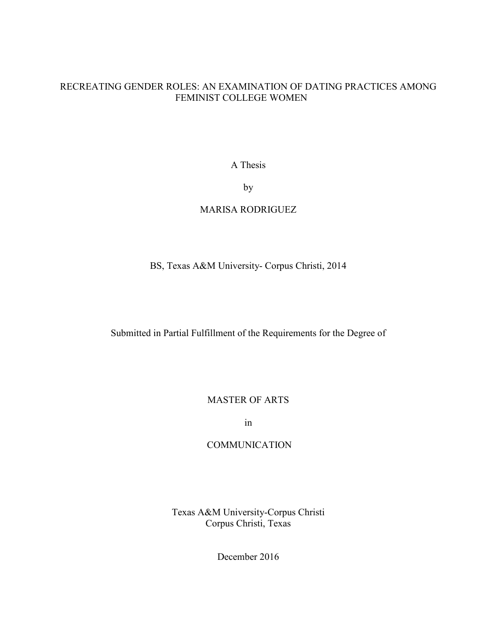## RECREATING GENDER ROLES: AN EXAMINATION OF DATING PRACTICES AMONG FEMINIST COLLEGE WOMEN

A Thesis

by

## MARISA RODRIGUEZ

## BS, Texas A&M University- Corpus Christi, 2014

Submitted in Partial Fulfillment of the Requirements for the Degree of

MASTER OF ARTS

in

### **COMMUNICATION**

Texas A&M University-Corpus Christi Corpus Christi, Texas

December 2016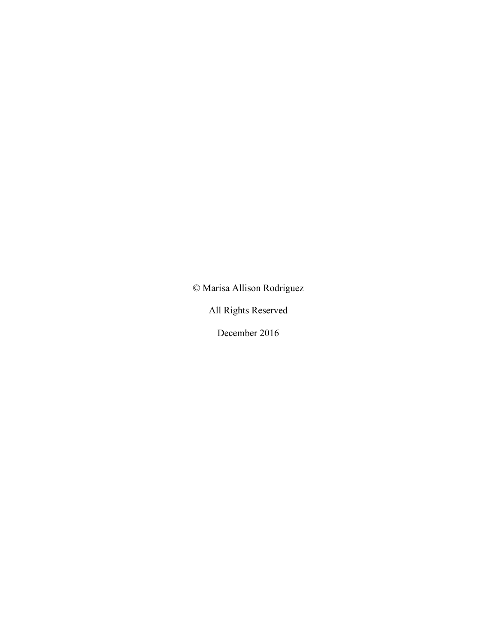© Marisa Allison Rodriguez

All Rights Reserved

December 2016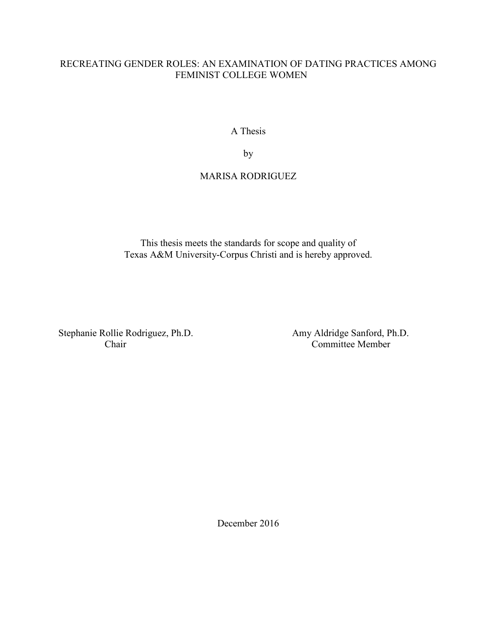## RECREATING GENDER ROLES: AN EXAMINATION OF DATING PRACTICES AMONG FEMINIST COLLEGE WOMEN

A Thesis

by

## MARISA RODRIGUEZ

This thesis meets the standards for scope and quality of Texas A&M University-Corpus Christi and is hereby approved.

Stephanie Rollie Rodriguez, Ph.D. Amy Aldridge Sanford, Ph.D.

Committee Member

December 2016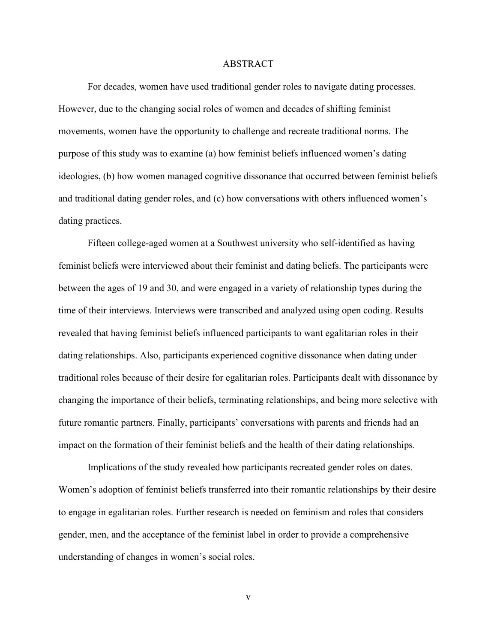### ABSTRACT

For decades, women have used traditional gender roles to navigate dating processes. However, due to the changing social roles of women and decades of shifting feminist movements, women have the opportunity to challenge and recreate traditional norms. The purpose of this study was to examine (a) how feminist beliefs influenced women's dating ideologies, (b) how women managed cognitive dissonance that occurred between feminist beliefs and traditional dating gender roles, and (c) how conversations with others influenced women's dating practices.

Fifteen college-aged women at a Southwest university who self-identified as having feminist beliefs were interviewed about their feminist and dating beliefs. The participants were between the ages of 19 and 30, and were engaged in a variety of relationship types during the time of their interviews. Interviews were transcribed and analyzed using open coding. Results revealed that having feminist beliefs influenced participants to want egalitarian roles in their dating relationships. Also, participants experienced cognitive dissonance when dating under traditional roles because of their desire for egalitarian roles. Participants dealt with dissonance by changing the importance of their beliefs, terminating relationships, and being more selective with future romantic partners. Finally, participants' conversations with parents and friends had an impact on the formation of their feminist beliefs and the health of their dating relationships.

Implications of the study revealed how participants recreated gender roles on dates. Women's adoption of feminist beliefs transferred into their romantic relationships by their desire to engage in egalitarian roles. Further research is needed on feminism and roles that considers gender, men, and the acceptance of the feminist label in order to provide a comprehensive understanding of changes in women's social roles.

v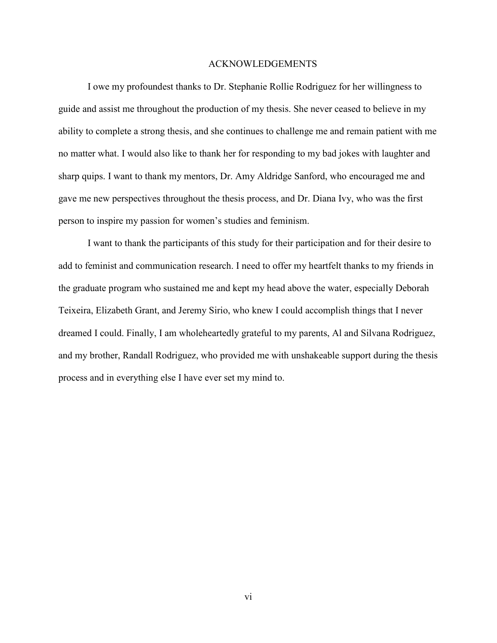#### ACKNOWLEDGEMENTS

I owe my profoundest thanks to Dr. Stephanie Rollie Rodriguez for her willingness to guide and assist me throughout the production of my thesis. She never ceased to believe in my ability to complete a strong thesis, and she continues to challenge me and remain patient with me no matter what. I would also like to thank her for responding to my bad jokes with laughter and sharp quips. I want to thank my mentors, Dr. Amy Aldridge Sanford, who encouraged me and gave me new perspectives throughout the thesis process, and Dr. Diana Ivy, who was the first person to inspire my passion for women's studies and feminism.

 I want to thank the participants of this study for their participation and for their desire to add to feminist and communication research. I need to offer my heartfelt thanks to my friends in the graduate program who sustained me and kept my head above the water, especially Deborah Teixeira, Elizabeth Grant, and Jeremy Sirio, who knew I could accomplish things that I never dreamed I could. Finally, I am wholeheartedly grateful to my parents, Al and Silvana Rodriguez, and my brother, Randall Rodriguez, who provided me with unshakeable support during the thesis process and in everything else I have ever set my mind to.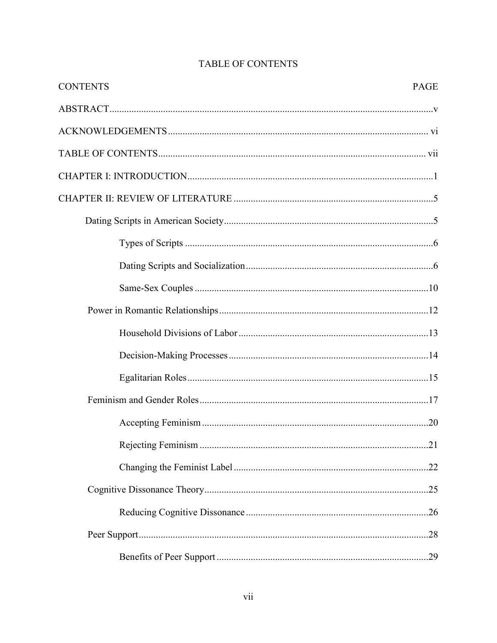| <b>CONTENTS</b> | PAGE |
|-----------------|------|
|                 |      |
|                 |      |
|                 |      |
|                 |      |
|                 |      |
|                 |      |
|                 |      |
|                 |      |
|                 |      |
|                 |      |
|                 |      |
|                 |      |
|                 |      |
|                 |      |
|                 |      |
|                 |      |
|                 |      |
|                 |      |
|                 |      |
|                 |      |
|                 |      |

# **TABLE OF CONTENTS**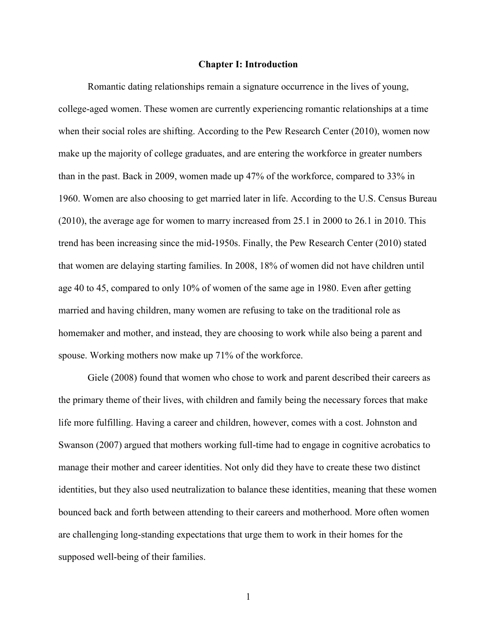### **Chapter I: Introduction**

 Romantic dating relationships remain a signature occurrence in the lives of young, college-aged women. These women are currently experiencing romantic relationships at a time when their social roles are shifting. According to the Pew Research Center (2010), women now make up the majority of college graduates, and are entering the workforce in greater numbers than in the past. Back in 2009, women made up 47% of the workforce, compared to 33% in 1960. Women are also choosing to get married later in life. According to the U.S. Census Bureau (2010), the average age for women to marry increased from 25.1 in 2000 to 26.1 in 2010. This trend has been increasing since the mid-1950s. Finally, the Pew Research Center (2010) stated that women are delaying starting families. In 2008, 18% of women did not have children until age 40 to 45, compared to only 10% of women of the same age in 1980. Even after getting married and having children, many women are refusing to take on the traditional role as homemaker and mother, and instead, they are choosing to work while also being a parent and spouse. Working mothers now make up 71% of the workforce.

Giele (2008) found that women who chose to work and parent described their careers as the primary theme of their lives, with children and family being the necessary forces that make life more fulfilling. Having a career and children, however, comes with a cost. Johnston and Swanson (2007) argued that mothers working full-time had to engage in cognitive acrobatics to manage their mother and career identities. Not only did they have to create these two distinct identities, but they also used neutralization to balance these identities, meaning that these women bounced back and forth between attending to their careers and motherhood. More often women are challenging long-standing expectations that urge them to work in their homes for the supposed well-being of their families.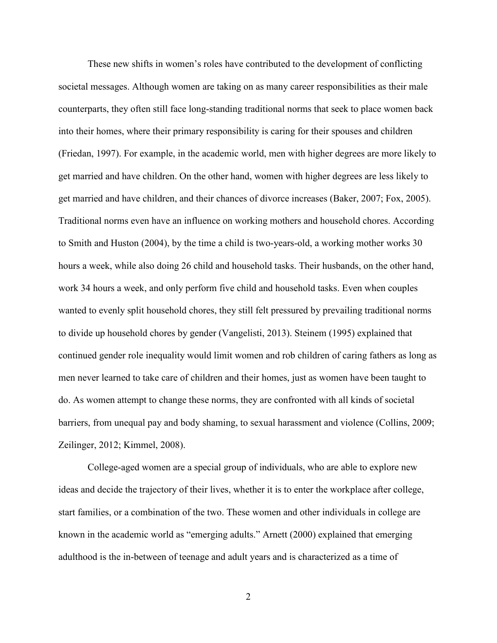These new shifts in women's roles have contributed to the development of conflicting societal messages. Although women are taking on as many career responsibilities as their male counterparts, they often still face long-standing traditional norms that seek to place women back into their homes, where their primary responsibility is caring for their spouses and children (Friedan, 1997). For example, in the academic world, men with higher degrees are more likely to get married and have children. On the other hand, women with higher degrees are less likely to get married and have children, and their chances of divorce increases (Baker, 2007; Fox, 2005). Traditional norms even have an influence on working mothers and household chores. According to Smith and Huston (2004), by the time a child is two-years-old, a working mother works 30 hours a week, while also doing 26 child and household tasks. Their husbands, on the other hand, work 34 hours a week, and only perform five child and household tasks. Even when couples wanted to evenly split household chores, they still felt pressured by prevailing traditional norms to divide up household chores by gender (Vangelisti, 2013). Steinem (1995) explained that continued gender role inequality would limit women and rob children of caring fathers as long as men never learned to take care of children and their homes, just as women have been taught to do. As women attempt to change these norms, they are confronted with all kinds of societal barriers, from unequal pay and body shaming, to sexual harassment and violence (Collins, 2009; Zeilinger, 2012; Kimmel, 2008).

College-aged women are a special group of individuals, who are able to explore new ideas and decide the trajectory of their lives, whether it is to enter the workplace after college, start families, or a combination of the two. These women and other individuals in college are known in the academic world as "emerging adults." Arnett (2000) explained that emerging adulthood is the in-between of teenage and adult years and is characterized as a time of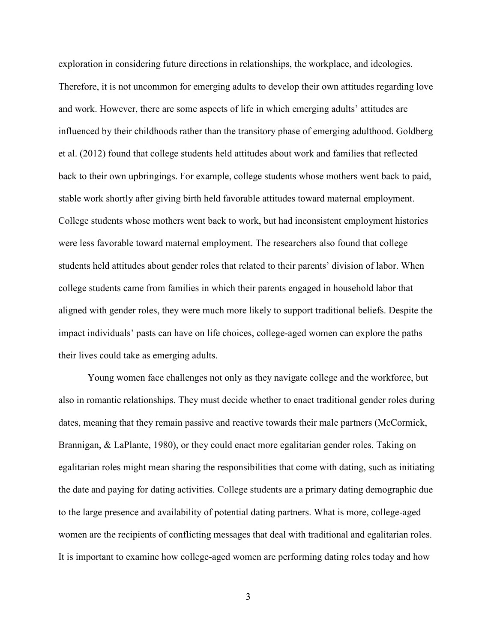exploration in considering future directions in relationships, the workplace, and ideologies. Therefore, it is not uncommon for emerging adults to develop their own attitudes regarding love and work. However, there are some aspects of life in which emerging adults' attitudes are influenced by their childhoods rather than the transitory phase of emerging adulthood. Goldberg et al. (2012) found that college students held attitudes about work and families that reflected back to their own upbringings. For example, college students whose mothers went back to paid, stable work shortly after giving birth held favorable attitudes toward maternal employment. College students whose mothers went back to work, but had inconsistent employment histories were less favorable toward maternal employment. The researchers also found that college students held attitudes about gender roles that related to their parents' division of labor. When college students came from families in which their parents engaged in household labor that aligned with gender roles, they were much more likely to support traditional beliefs. Despite the impact individuals' pasts can have on life choices, college-aged women can explore the paths their lives could take as emerging adults.

 Young women face challenges not only as they navigate college and the workforce, but also in romantic relationships. They must decide whether to enact traditional gender roles during dates, meaning that they remain passive and reactive towards their male partners (McCormick, Brannigan, & LaPlante, 1980), or they could enact more egalitarian gender roles. Taking on egalitarian roles might mean sharing the responsibilities that come with dating, such as initiating the date and paying for dating activities. College students are a primary dating demographic due to the large presence and availability of potential dating partners. What is more, college-aged women are the recipients of conflicting messages that deal with traditional and egalitarian roles. It is important to examine how college-aged women are performing dating roles today and how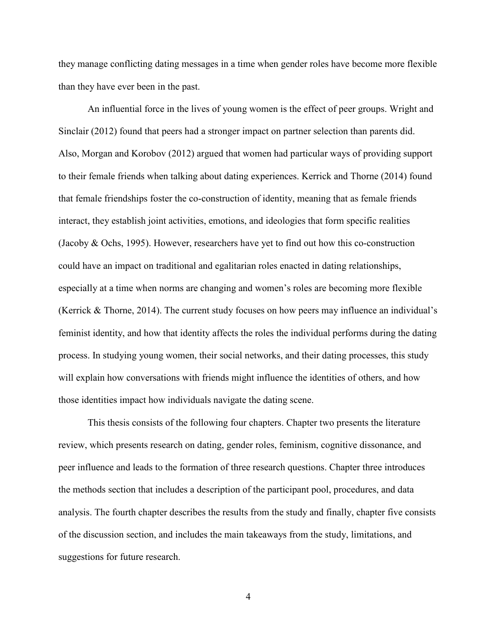they manage conflicting dating messages in a time when gender roles have become more flexible than they have ever been in the past.

 An influential force in the lives of young women is the effect of peer groups. Wright and Sinclair (2012) found that peers had a stronger impact on partner selection than parents did. Also, Morgan and Korobov (2012) argued that women had particular ways of providing support to their female friends when talking about dating experiences. Kerrick and Thorne (2014) found that female friendships foster the co-construction of identity, meaning that as female friends interact, they establish joint activities, emotions, and ideologies that form specific realities (Jacoby & Ochs, 1995). However, researchers have yet to find out how this co-construction could have an impact on traditional and egalitarian roles enacted in dating relationships, especially at a time when norms are changing and women's roles are becoming more flexible (Kerrick & Thorne, 2014). The current study focuses on how peers may influence an individual's feminist identity, and how that identity affects the roles the individual performs during the dating process. In studying young women, their social networks, and their dating processes, this study will explain how conversations with friends might influence the identities of others, and how those identities impact how individuals navigate the dating scene.

 This thesis consists of the following four chapters. Chapter two presents the literature review, which presents research on dating, gender roles, feminism, cognitive dissonance, and peer influence and leads to the formation of three research questions. Chapter three introduces the methods section that includes a description of the participant pool, procedures, and data analysis. The fourth chapter describes the results from the study and finally, chapter five consists of the discussion section, and includes the main takeaways from the study, limitations, and suggestions for future research.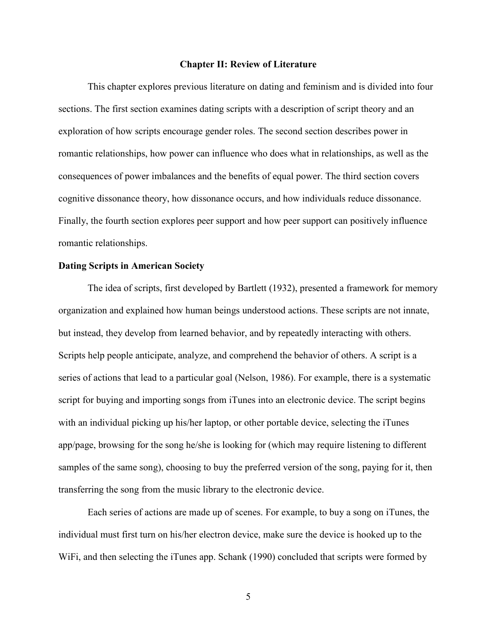### **Chapter II: Review of Literature**

 This chapter explores previous literature on dating and feminism and is divided into four sections. The first section examines dating scripts with a description of script theory and an exploration of how scripts encourage gender roles. The second section describes power in romantic relationships, how power can influence who does what in relationships, as well as the consequences of power imbalances and the benefits of equal power. The third section covers cognitive dissonance theory, how dissonance occurs, and how individuals reduce dissonance. Finally, the fourth section explores peer support and how peer support can positively influence romantic relationships.

### **Dating Scripts in American Society**

 The idea of scripts, first developed by Bartlett (1932), presented a framework for memory organization and explained how human beings understood actions. These scripts are not innate, but instead, they develop from learned behavior, and by repeatedly interacting with others. Scripts help people anticipate, analyze, and comprehend the behavior of others. A script is a series of actions that lead to a particular goal (Nelson, 1986). For example, there is a systematic script for buying and importing songs from iTunes into an electronic device. The script begins with an individual picking up his/her laptop, or other portable device, selecting the iTunes app/page, browsing for the song he/she is looking for (which may require listening to different samples of the same song), choosing to buy the preferred version of the song, paying for it, then transferring the song from the music library to the electronic device.

Each series of actions are made up of scenes. For example, to buy a song on iTunes, the individual must first turn on his/her electron device, make sure the device is hooked up to the WiFi, and then selecting the iTunes app. Schank (1990) concluded that scripts were formed by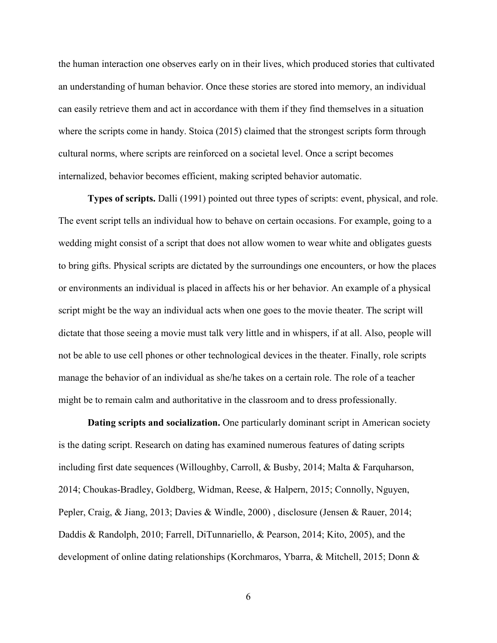the human interaction one observes early on in their lives, which produced stories that cultivated an understanding of human behavior. Once these stories are stored into memory, an individual can easily retrieve them and act in accordance with them if they find themselves in a situation where the scripts come in handy. Stoica (2015) claimed that the strongest scripts form through cultural norms, where scripts are reinforced on a societal level. Once a script becomes internalized, behavior becomes efficient, making scripted behavior automatic.

**Types of scripts.** Dalli (1991) pointed out three types of scripts: event, physical, and role. The event script tells an individual how to behave on certain occasions. For example, going to a wedding might consist of a script that does not allow women to wear white and obligates guests to bring gifts. Physical scripts are dictated by the surroundings one encounters, or how the places or environments an individual is placed in affects his or her behavior. An example of a physical script might be the way an individual acts when one goes to the movie theater. The script will dictate that those seeing a movie must talk very little and in whispers, if at all. Also, people will not be able to use cell phones or other technological devices in the theater. Finally, role scripts manage the behavior of an individual as she/he takes on a certain role. The role of a teacher might be to remain calm and authoritative in the classroom and to dress professionally.

**Dating scripts and socialization.** One particularly dominant script in American society is the dating script. Research on dating has examined numerous features of dating scripts including first date sequences (Willoughby, Carroll, & Busby, 2014; Malta & Farquharson, 2014; Choukas-Bradley, Goldberg, Widman, Reese, & Halpern, 2015; Connolly, Nguyen, Pepler, Craig, & Jiang, 2013; Davies & Windle, 2000) , disclosure (Jensen & Rauer, 2014; Daddis & Randolph, 2010; Farrell, DiTunnariello, & Pearson, 2014; Kito, 2005), and the development of online dating relationships (Korchmaros, Ybarra, & Mitchell, 2015; Donn &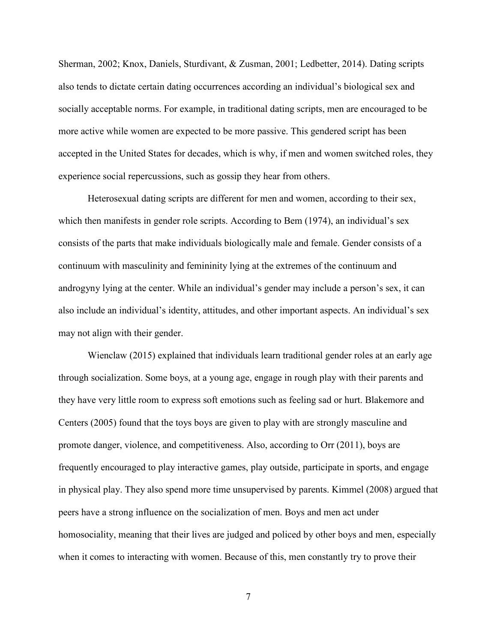Sherman, 2002; Knox, Daniels, Sturdivant, & Zusman, 2001; Ledbetter, 2014). Dating scripts also tends to dictate certain dating occurrences according an individual's biological sex and socially acceptable norms. For example, in traditional dating scripts, men are encouraged to be more active while women are expected to be more passive. This gendered script has been accepted in the United States for decades, which is why, if men and women switched roles, they experience social repercussions, such as gossip they hear from others.

Heterosexual dating scripts are different for men and women, according to their sex, which then manifests in gender role scripts. According to Bem (1974), an individual's sex consists of the parts that make individuals biologically male and female. Gender consists of a continuum with masculinity and femininity lying at the extremes of the continuum and androgyny lying at the center. While an individual's gender may include a person's sex, it can also include an individual's identity, attitudes, and other important aspects. An individual's sex may not align with their gender.

Wienclaw (2015) explained that individuals learn traditional gender roles at an early age through socialization. Some boys, at a young age, engage in rough play with their parents and they have very little room to express soft emotions such as feeling sad or hurt. Blakemore and Centers (2005) found that the toys boys are given to play with are strongly masculine and promote danger, violence, and competitiveness. Also, according to Orr (2011), boys are frequently encouraged to play interactive games, play outside, participate in sports, and engage in physical play. They also spend more time unsupervised by parents. Kimmel (2008) argued that peers have a strong influence on the socialization of men. Boys and men act under homosociality, meaning that their lives are judged and policed by other boys and men, especially when it comes to interacting with women. Because of this, men constantly try to prove their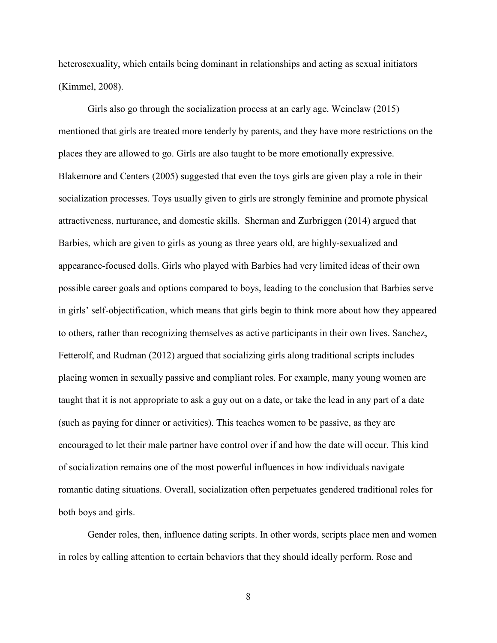heterosexuality, which entails being dominant in relationships and acting as sexual initiators (Kimmel, 2008).

Girls also go through the socialization process at an early age. Weinclaw (2015) mentioned that girls are treated more tenderly by parents, and they have more restrictions on the places they are allowed to go. Girls are also taught to be more emotionally expressive. Blakemore and Centers (2005) suggested that even the toys girls are given play a role in their socialization processes. Toys usually given to girls are strongly feminine and promote physical attractiveness, nurturance, and domestic skills. Sherman and Zurbriggen (2014) argued that Barbies, which are given to girls as young as three years old, are highly-sexualized and appearance-focused dolls. Girls who played with Barbies had very limited ideas of their own possible career goals and options compared to boys, leading to the conclusion that Barbies serve in girls' self-objectification, which means that girls begin to think more about how they appeared to others, rather than recognizing themselves as active participants in their own lives. Sanchez, Fetterolf, and Rudman (2012) argued that socializing girls along traditional scripts includes placing women in sexually passive and compliant roles. For example, many young women are taught that it is not appropriate to ask a guy out on a date, or take the lead in any part of a date (such as paying for dinner or activities). This teaches women to be passive, as they are encouraged to let their male partner have control over if and how the date will occur. This kind of socialization remains one of the most powerful influences in how individuals navigate romantic dating situations. Overall, socialization often perpetuates gendered traditional roles for both boys and girls.

Gender roles, then, influence dating scripts. In other words, scripts place men and women in roles by calling attention to certain behaviors that they should ideally perform. Rose and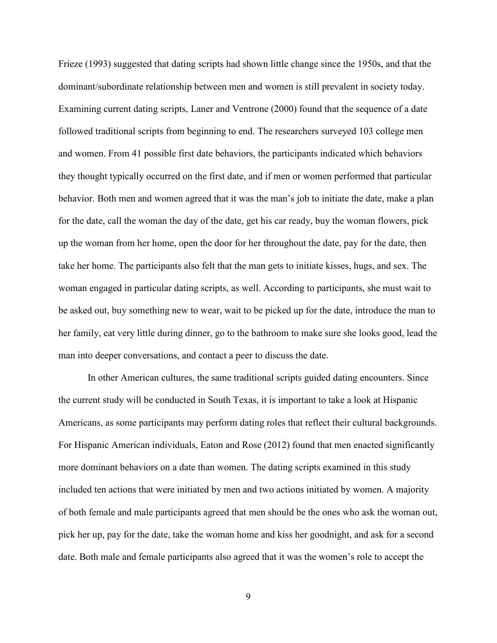Frieze (1993) suggested that dating scripts had shown little change since the 1950s, and that the dominant/subordinate relationship between men and women is still prevalent in society today. Examining current dating scripts, Laner and Ventrone (2000) found that the sequence of a date followed traditional scripts from beginning to end. The researchers surveyed 103 college men and women. From 41 possible first date behaviors, the participants indicated which behaviors they thought typically occurred on the first date, and if men or women performed that particular behavior. Both men and women agreed that it was the man's job to initiate the date, make a plan for the date, call the woman the day of the date, get his car ready, buy the woman flowers, pick up the woman from her home, open the door for her throughout the date, pay for the date, then take her home. The participants also felt that the man gets to initiate kisses, hugs, and sex. The woman engaged in particular dating scripts, as well. According to participants, she must wait to be asked out, buy something new to wear, wait to be picked up for the date, introduce the man to her family, eat very little during dinner, go to the bathroom to make sure she looks good, lead the man into deeper conversations, and contact a peer to discuss the date.

In other American cultures, the same traditional scripts guided dating encounters. Since the current study will be conducted in South Texas, it is important to take a look at Hispanic Americans, as some participants may perform dating roles that reflect their cultural backgrounds. For Hispanic American individuals, Eaton and Rose (2012) found that men enacted significantly more dominant behaviors on a date than women. The dating scripts examined in this study included ten actions that were initiated by men and two actions initiated by women. A majority of both female and male participants agreed that men should be the ones who ask the woman out, pick her up, pay for the date, take the woman home and kiss her goodnight, and ask for a second date. Both male and female participants also agreed that it was the women's role to accept the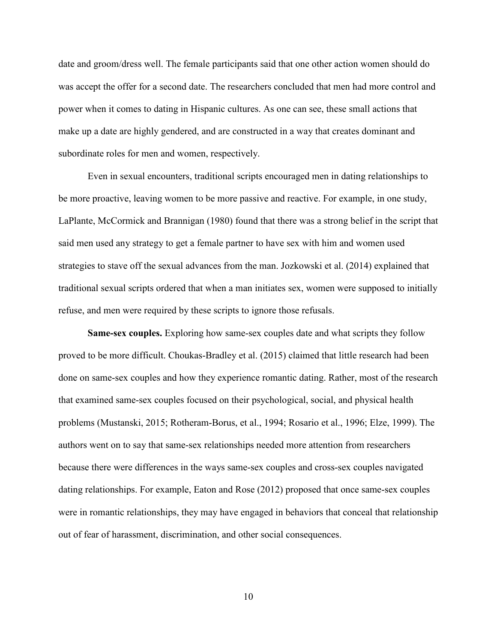date and groom/dress well. The female participants said that one other action women should do was accept the offer for a second date. The researchers concluded that men had more control and power when it comes to dating in Hispanic cultures. As one can see, these small actions that make up a date are highly gendered, and are constructed in a way that creates dominant and subordinate roles for men and women, respectively.

Even in sexual encounters, traditional scripts encouraged men in dating relationships to be more proactive, leaving women to be more passive and reactive. For example, in one study, LaPlante, McCormick and Brannigan (1980) found that there was a strong belief in the script that said men used any strategy to get a female partner to have sex with him and women used strategies to stave off the sexual advances from the man. Jozkowski et al. (2014) explained that traditional sexual scripts ordered that when a man initiates sex, women were supposed to initially refuse, and men were required by these scripts to ignore those refusals.

**Same-sex couples.** Exploring how same-sex couples date and what scripts they follow proved to be more difficult. Choukas-Bradley et al. (2015) claimed that little research had been done on same-sex couples and how they experience romantic dating. Rather, most of the research that examined same-sex couples focused on their psychological, social, and physical health problems (Mustanski, 2015; Rotheram-Borus, et al., 1994; Rosario et al., 1996; Elze, 1999). The authors went on to say that same-sex relationships needed more attention from researchers because there were differences in the ways same-sex couples and cross-sex couples navigated dating relationships. For example, Eaton and Rose (2012) proposed that once same-sex couples were in romantic relationships, they may have engaged in behaviors that conceal that relationship out of fear of harassment, discrimination, and other social consequences.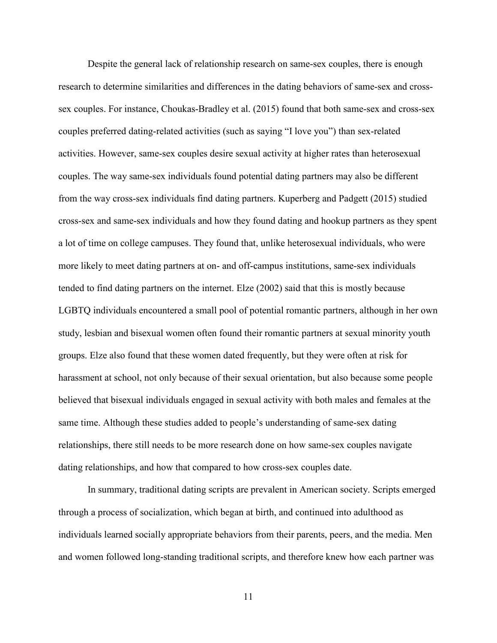Despite the general lack of relationship research on same-sex couples, there is enough research to determine similarities and differences in the dating behaviors of same-sex and crosssex couples. For instance, Choukas-Bradley et al. (2015) found that both same-sex and cross-sex couples preferred dating-related activities (such as saying "I love you") than sex-related activities. However, same-sex couples desire sexual activity at higher rates than heterosexual couples. The way same-sex individuals found potential dating partners may also be different from the way cross-sex individuals find dating partners. Kuperberg and Padgett (2015) studied cross-sex and same-sex individuals and how they found dating and hookup partners as they spent a lot of time on college campuses. They found that, unlike heterosexual individuals, who were more likely to meet dating partners at on- and off-campus institutions, same-sex individuals tended to find dating partners on the internet. Elze (2002) said that this is mostly because LGBTQ individuals encountered a small pool of potential romantic partners, although in her own study, lesbian and bisexual women often found their romantic partners at sexual minority youth groups. Elze also found that these women dated frequently, but they were often at risk for harassment at school, not only because of their sexual orientation, but also because some people believed that bisexual individuals engaged in sexual activity with both males and females at the same time. Although these studies added to people's understanding of same-sex dating relationships, there still needs to be more research done on how same-sex couples navigate dating relationships, and how that compared to how cross-sex couples date.

In summary, traditional dating scripts are prevalent in American society. Scripts emerged through a process of socialization, which began at birth, and continued into adulthood as individuals learned socially appropriate behaviors from their parents, peers, and the media. Men and women followed long-standing traditional scripts, and therefore knew how each partner was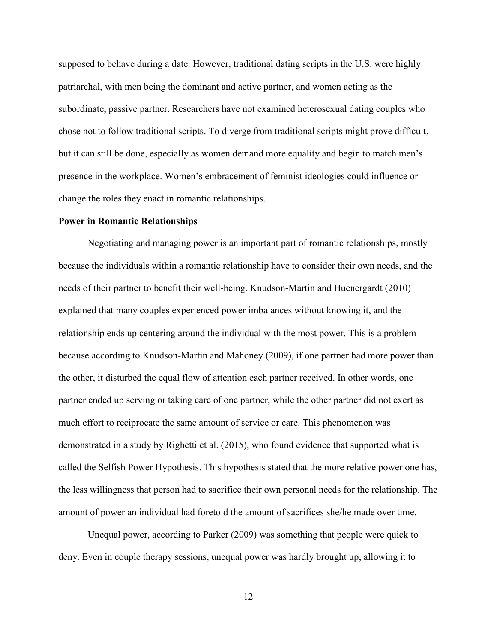supposed to behave during a date. However, traditional dating scripts in the U.S. were highly patriarchal, with men being the dominant and active partner, and women acting as the subordinate, passive partner. Researchers have not examined heterosexual dating couples who chose not to follow traditional scripts. To diverge from traditional scripts might prove difficult, but it can still be done, especially as women demand more equality and begin to match men's presence in the workplace. Women's embracement of feminist ideologies could influence or change the roles they enact in romantic relationships.

### **Power in Romantic Relationships**

Negotiating and managing power is an important part of romantic relationships, mostly because the individuals within a romantic relationship have to consider their own needs, and the needs of their partner to benefit their well-being. Knudson-Martin and Huenergardt (2010) explained that many couples experienced power imbalances without knowing it, and the relationship ends up centering around the individual with the most power. This is a problem because according to Knudson-Martin and Mahoney (2009), if one partner had more power than the other, it disturbed the equal flow of attention each partner received. In other words, one partner ended up serving or taking care of one partner, while the other partner did not exert as much effort to reciprocate the same amount of service or care. This phenomenon was demonstrated in a study by Righetti et al. (2015), who found evidence that supported what is called the Selfish Power Hypothesis. This hypothesis stated that the more relative power one has, the less willingness that person had to sacrifice their own personal needs for the relationship. The amount of power an individual had foretold the amount of sacrifices she/he made over time.

Unequal power, according to Parker (2009) was something that people were quick to deny. Even in couple therapy sessions, unequal power was hardly brought up, allowing it to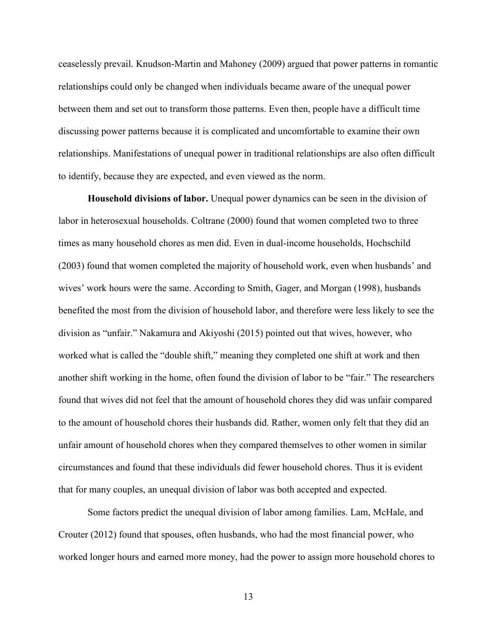ceaselessly prevail. Knudson-Martin and Mahoney (2009) argued that power patterns in romantic relationships could only be changed when individuals became aware of the unequal power between them and set out to transform those patterns. Even then, people have a difficult time discussing power patterns because it is complicated and uncomfortable to examine their own relationships. Manifestations of unequal power in traditional relationships are also often difficult to identify, because they are expected, and even viewed as the norm.

**Household divisions of labor.** Unequal power dynamics can be seen in the division of labor in heterosexual households. Coltrane (2000) found that women completed two to three times as many household chores as men did. Even in dual-income households, Hochschild (2003) found that women completed the majority of household work, even when husbands' and wives' work hours were the same. According to Smith, Gager, and Morgan (1998), husbands benefited the most from the division of household labor, and therefore were less likely to see the division as "unfair." Nakamura and Akiyoshi (2015) pointed out that wives, however, who worked what is called the "double shift," meaning they completed one shift at work and then another shift working in the home, often found the division of labor to be "fair." The researchers found that wives did not feel that the amount of household chores they did was unfair compared to the amount of household chores their husbands did. Rather, women only felt that they did an unfair amount of household chores when they compared themselves to other women in similar circumstances and found that these individuals did fewer household chores. Thus it is evident that for many couples, an unequal division of labor was both accepted and expected.

Some factors predict the unequal division of labor among families. Lam, McHale, and Crouter (2012) found that spouses, often husbands, who had the most financial power, who worked longer hours and earned more money, had the power to assign more household chores to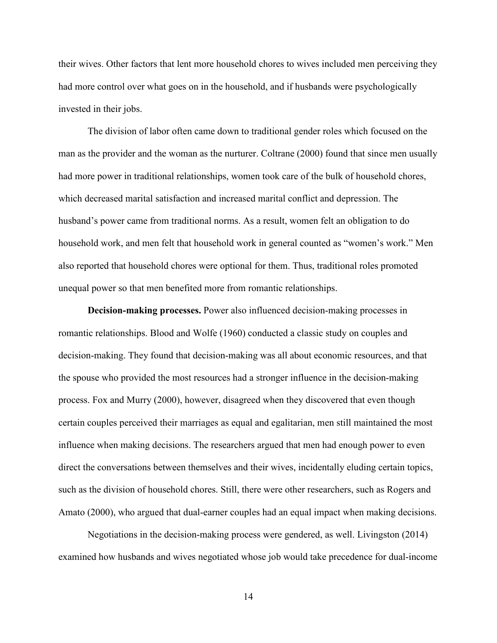their wives. Other factors that lent more household chores to wives included men perceiving they had more control over what goes on in the household, and if husbands were psychologically invested in their jobs.

The division of labor often came down to traditional gender roles which focused on the man as the provider and the woman as the nurturer. Coltrane (2000) found that since men usually had more power in traditional relationships, women took care of the bulk of household chores, which decreased marital satisfaction and increased marital conflict and depression. The husband's power came from traditional norms. As a result, women felt an obligation to do household work, and men felt that household work in general counted as "women's work." Men also reported that household chores were optional for them. Thus, traditional roles promoted unequal power so that men benefited more from romantic relationships.

**Decision-making processes.** Power also influenced decision-making processes in romantic relationships. Blood and Wolfe (1960) conducted a classic study on couples and decision-making. They found that decision-making was all about economic resources, and that the spouse who provided the most resources had a stronger influence in the decision-making process. Fox and Murry (2000), however, disagreed when they discovered that even though certain couples perceived their marriages as equal and egalitarian, men still maintained the most influence when making decisions. The researchers argued that men had enough power to even direct the conversations between themselves and their wives, incidentally eluding certain topics, such as the division of household chores. Still, there were other researchers, such as Rogers and Amato (2000), who argued that dual-earner couples had an equal impact when making decisions.

Negotiations in the decision-making process were gendered, as well. Livingston (2014) examined how husbands and wives negotiated whose job would take precedence for dual-income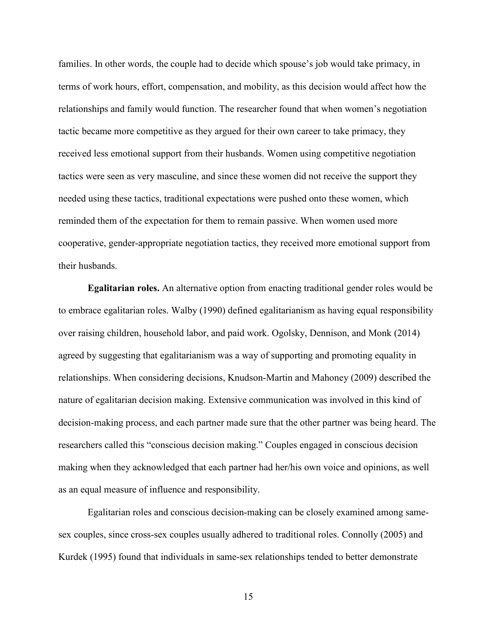families. In other words, the couple had to decide which spouse's job would take primacy, in terms of work hours, effort, compensation, and mobility, as this decision would affect how the relationships and family would function. The researcher found that when women's negotiation tactic became more competitive as they argued for their own career to take primacy, they received less emotional support from their husbands. Women using competitive negotiation tactics were seen as very masculine, and since these women did not receive the support they needed using these tactics, traditional expectations were pushed onto these women, which reminded them of the expectation for them to remain passive. When women used more cooperative, gender-appropriate negotiation tactics, they received more emotional support from their husbands.

**Egalitarian roles.** An alternative option from enacting traditional gender roles would be to embrace egalitarian roles. Walby (1990) defined egalitarianism as having equal responsibility over raising children, household labor, and paid work. Ogolsky, Dennison, and Monk (2014) agreed by suggesting that egalitarianism was a way of supporting and promoting equality in relationships. When considering decisions, Knudson-Martin and Mahoney (2009) described the nature of egalitarian decision making. Extensive communication was involved in this kind of decision-making process, and each partner made sure that the other partner was being heard. The researchers called this "conscious decision making." Couples engaged in conscious decision making when they acknowledged that each partner had her/his own voice and opinions, as well as an equal measure of influence and responsibility.

Egalitarian roles and conscious decision-making can be closely examined among samesex couples, since cross-sex couples usually adhered to traditional roles. Connolly (2005) and Kurdek (1995) found that individuals in same-sex relationships tended to better demonstrate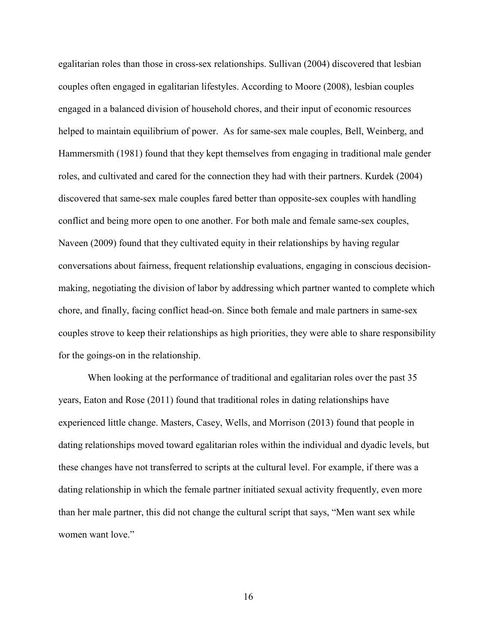egalitarian roles than those in cross-sex relationships. Sullivan (2004) discovered that lesbian couples often engaged in egalitarian lifestyles. According to Moore (2008), lesbian couples engaged in a balanced division of household chores, and their input of economic resources helped to maintain equilibrium of power. As for same-sex male couples, Bell, Weinberg, and Hammersmith (1981) found that they kept themselves from engaging in traditional male gender roles, and cultivated and cared for the connection they had with their partners. Kurdek (2004) discovered that same-sex male couples fared better than opposite-sex couples with handling conflict and being more open to one another. For both male and female same-sex couples, Naveen (2009) found that they cultivated equity in their relationships by having regular conversations about fairness, frequent relationship evaluations, engaging in conscious decisionmaking, negotiating the division of labor by addressing which partner wanted to complete which chore, and finally, facing conflict head-on. Since both female and male partners in same-sex couples strove to keep their relationships as high priorities, they were able to share responsibility for the goings-on in the relationship.

When looking at the performance of traditional and egalitarian roles over the past 35 years, Eaton and Rose (2011) found that traditional roles in dating relationships have experienced little change. Masters, Casey, Wells, and Morrison (2013) found that people in dating relationships moved toward egalitarian roles within the individual and dyadic levels, but these changes have not transferred to scripts at the cultural level. For example, if there was a dating relationship in which the female partner initiated sexual activity frequently, even more than her male partner, this did not change the cultural script that says, "Men want sex while women want love."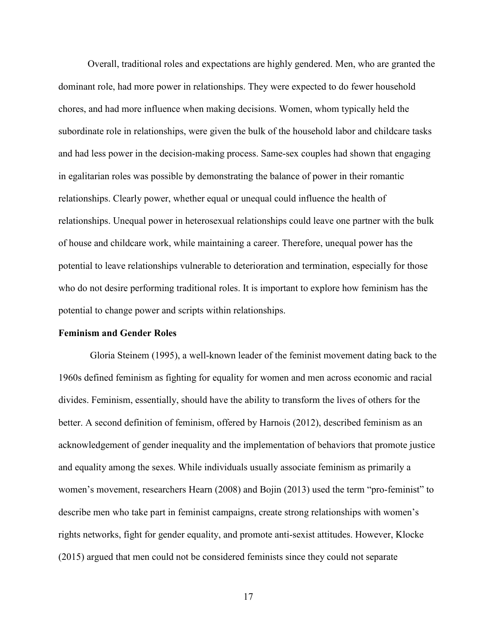Overall, traditional roles and expectations are highly gendered. Men, who are granted the dominant role, had more power in relationships. They were expected to do fewer household chores, and had more influence when making decisions. Women, whom typically held the subordinate role in relationships, were given the bulk of the household labor and childcare tasks and had less power in the decision-making process. Same-sex couples had shown that engaging in egalitarian roles was possible by demonstrating the balance of power in their romantic relationships. Clearly power, whether equal or unequal could influence the health of relationships. Unequal power in heterosexual relationships could leave one partner with the bulk of house and childcare work, while maintaining a career. Therefore, unequal power has the potential to leave relationships vulnerable to deterioration and termination, especially for those who do not desire performing traditional roles. It is important to explore how feminism has the potential to change power and scripts within relationships.

### **Feminism and Gender Roles**

 Gloria Steinem (1995), a well-known leader of the feminist movement dating back to the 1960s defined feminism as fighting for equality for women and men across economic and racial divides. Feminism, essentially, should have the ability to transform the lives of others for the better. A second definition of feminism, offered by Harnois (2012), described feminism as an acknowledgement of gender inequality and the implementation of behaviors that promote justice and equality among the sexes. While individuals usually associate feminism as primarily a women's movement, researchers Hearn (2008) and Bojin (2013) used the term "pro-feminist" to describe men who take part in feminist campaigns, create strong relationships with women's rights networks, fight for gender equality, and promote anti-sexist attitudes. However, Klocke (2015) argued that men could not be considered feminists since they could not separate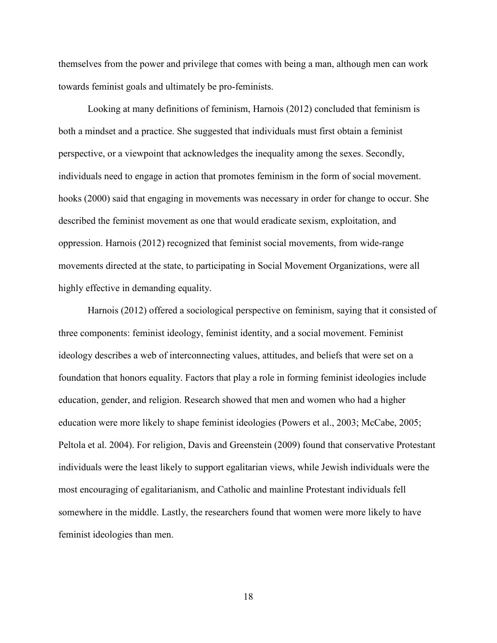themselves from the power and privilege that comes with being a man, although men can work towards feminist goals and ultimately be pro-feminists.

Looking at many definitions of feminism, Harnois (2012) concluded that feminism is both a mindset and a practice. She suggested that individuals must first obtain a feminist perspective, or a viewpoint that acknowledges the inequality among the sexes. Secondly, individuals need to engage in action that promotes feminism in the form of social movement. hooks (2000) said that engaging in movements was necessary in order for change to occur. She described the feminist movement as one that would eradicate sexism, exploitation, and oppression. Harnois (2012) recognized that feminist social movements, from wide-range movements directed at the state, to participating in Social Movement Organizations, were all highly effective in demanding equality.

Harnois (2012) offered a sociological perspective on feminism, saying that it consisted of three components: feminist ideology, feminist identity, and a social movement. Feminist ideology describes a web of interconnecting values, attitudes, and beliefs that were set on a foundation that honors equality. Factors that play a role in forming feminist ideologies include education, gender, and religion. Research showed that men and women who had a higher education were more likely to shape feminist ideologies (Powers et al., 2003; McCabe, 2005; Peltola et al. 2004). For religion, Davis and Greenstein (2009) found that conservative Protestant individuals were the least likely to support egalitarian views, while Jewish individuals were the most encouraging of egalitarianism, and Catholic and mainline Protestant individuals fell somewhere in the middle. Lastly, the researchers found that women were more likely to have feminist ideologies than men.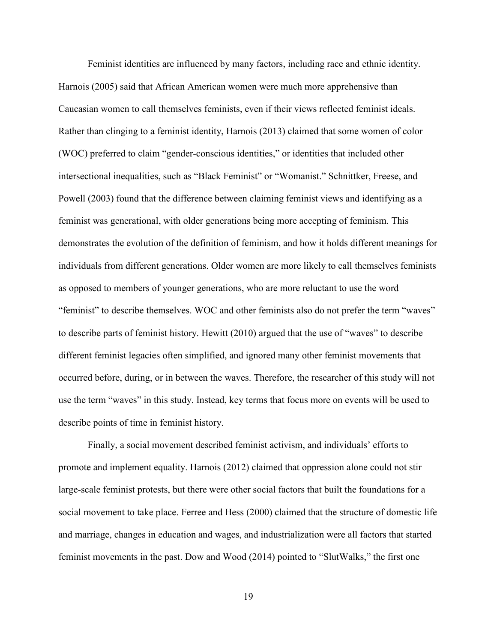Feminist identities are influenced by many factors, including race and ethnic identity. Harnois (2005) said that African American women were much more apprehensive than Caucasian women to call themselves feminists, even if their views reflected feminist ideals. Rather than clinging to a feminist identity, Harnois (2013) claimed that some women of color (WOC) preferred to claim "gender-conscious identities," or identities that included other intersectional inequalities, such as "Black Feminist" or "Womanist." Schnittker, Freese, and Powell (2003) found that the difference between claiming feminist views and identifying as a feminist was generational, with older generations being more accepting of feminism. This demonstrates the evolution of the definition of feminism, and how it holds different meanings for individuals from different generations. Older women are more likely to call themselves feminists as opposed to members of younger generations, who are more reluctant to use the word "feminist" to describe themselves. WOC and other feminists also do not prefer the term "waves" to describe parts of feminist history. Hewitt (2010) argued that the use of "waves" to describe different feminist legacies often simplified, and ignored many other feminist movements that occurred before, during, or in between the waves. Therefore, the researcher of this study will not use the term "waves" in this study. Instead, key terms that focus more on events will be used to describe points of time in feminist history.

Finally, a social movement described feminist activism, and individuals' efforts to promote and implement equality. Harnois (2012) claimed that oppression alone could not stir large-scale feminist protests, but there were other social factors that built the foundations for a social movement to take place. Ferree and Hess (2000) claimed that the structure of domestic life and marriage, changes in education and wages, and industrialization were all factors that started feminist movements in the past. Dow and Wood (2014) pointed to "SlutWalks," the first one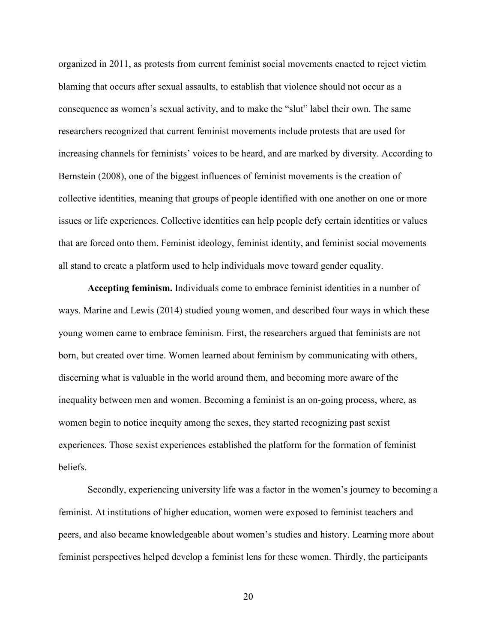organized in 2011, as protests from current feminist social movements enacted to reject victim blaming that occurs after sexual assaults, to establish that violence should not occur as a consequence as women's sexual activity, and to make the "slut" label their own. The same researchers recognized that current feminist movements include protests that are used for increasing channels for feminists' voices to be heard, and are marked by diversity. According to Bernstein (2008), one of the biggest influences of feminist movements is the creation of collective identities, meaning that groups of people identified with one another on one or more issues or life experiences. Collective identities can help people defy certain identities or values that are forced onto them. Feminist ideology, feminist identity, and feminist social movements all stand to create a platform used to help individuals move toward gender equality.

**Accepting feminism.** Individuals come to embrace feminist identities in a number of ways. Marine and Lewis (2014) studied young women, and described four ways in which these young women came to embrace feminism. First, the researchers argued that feminists are not born, but created over time. Women learned about feminism by communicating with others, discerning what is valuable in the world around them, and becoming more aware of the inequality between men and women. Becoming a feminist is an on-going process, where, as women begin to notice inequity among the sexes, they started recognizing past sexist experiences. Those sexist experiences established the platform for the formation of feminist beliefs.

Secondly, experiencing university life was a factor in the women's journey to becoming a feminist. At institutions of higher education, women were exposed to feminist teachers and peers, and also became knowledgeable about women's studies and history. Learning more about feminist perspectives helped develop a feminist lens for these women. Thirdly, the participants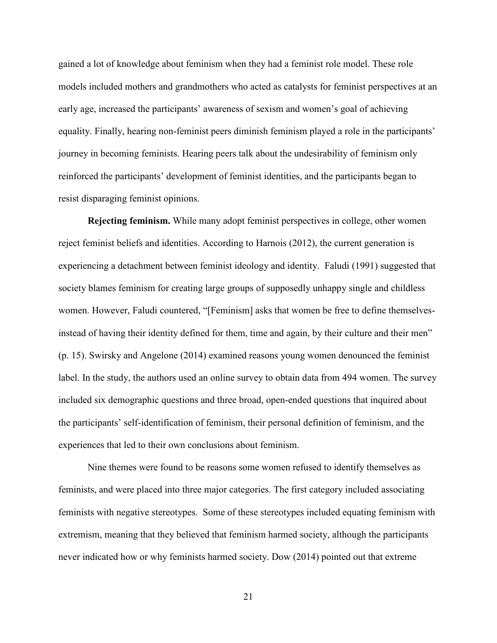gained a lot of knowledge about feminism when they had a feminist role model. These role models included mothers and grandmothers who acted as catalysts for feminist perspectives at an early age, increased the participants' awareness of sexism and women's goal of achieving equality. Finally, hearing non-feminist peers diminish feminism played a role in the participants' journey in becoming feminists. Hearing peers talk about the undesirability of feminism only reinforced the participants' development of feminist identities, and the participants began to resist disparaging feminist opinions.

**Rejecting feminism.** While many adopt feminist perspectives in college, other women reject feminist beliefs and identities. According to Harnois (2012), the current generation is experiencing a detachment between feminist ideology and identity. Faludi (1991) suggested that society blames feminism for creating large groups of supposedly unhappy single and childless women. However, Faludi countered, "[Feminism] asks that women be free to define themselvesinstead of having their identity defined for them, time and again, by their culture and their men" (p. 15). Swirsky and Angelone (2014) examined reasons young women denounced the feminist label. In the study, the authors used an online survey to obtain data from 494 women. The survey included six demographic questions and three broad, open-ended questions that inquired about the participants' self-identification of feminism, their personal definition of feminism, and the experiences that led to their own conclusions about feminism.

Nine themes were found to be reasons some women refused to identify themselves as feminists, and were placed into three major categories. The first category included associating feminists with negative stereotypes. Some of these stereotypes included equating feminism with extremism, meaning that they believed that feminism harmed society, although the participants never indicated how or why feminists harmed society. Dow (2014) pointed out that extreme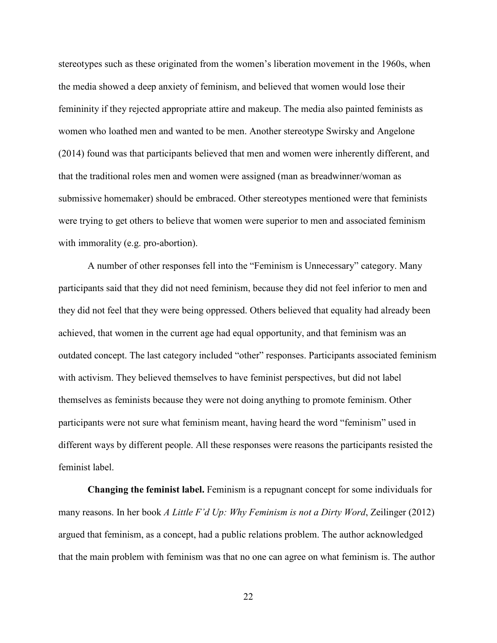stereotypes such as these originated from the women's liberation movement in the 1960s, when the media showed a deep anxiety of feminism, and believed that women would lose their femininity if they rejected appropriate attire and makeup. The media also painted feminists as women who loathed men and wanted to be men. Another stereotype Swirsky and Angelone (2014) found was that participants believed that men and women were inherently different, and that the traditional roles men and women were assigned (man as breadwinner/woman as submissive homemaker) should be embraced. Other stereotypes mentioned were that feminists were trying to get others to believe that women were superior to men and associated feminism with immorality (e.g. pro-abortion).

A number of other responses fell into the "Feminism is Unnecessary" category. Many participants said that they did not need feminism, because they did not feel inferior to men and they did not feel that they were being oppressed. Others believed that equality had already been achieved, that women in the current age had equal opportunity, and that feminism was an outdated concept. The last category included "other" responses. Participants associated feminism with activism. They believed themselves to have feminist perspectives, but did not label themselves as feminists because they were not doing anything to promote feminism. Other participants were not sure what feminism meant, having heard the word "feminism" used in different ways by different people. All these responses were reasons the participants resisted the feminist label.

**Changing the feminist label.** Feminism is a repugnant concept for some individuals for many reasons. In her book *A Little F'd Up: Why Feminism is not a Dirty Word*, Zeilinger (2012) argued that feminism, as a concept, had a public relations problem. The author acknowledged that the main problem with feminism was that no one can agree on what feminism is. The author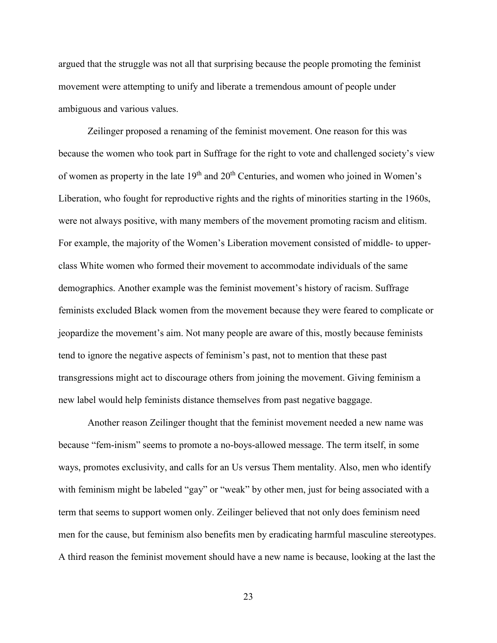argued that the struggle was not all that surprising because the people promoting the feminist movement were attempting to unify and liberate a tremendous amount of people under ambiguous and various values.

Zeilinger proposed a renaming of the feminist movement. One reason for this was because the women who took part in Suffrage for the right to vote and challenged society's view of women as property in the late  $19<sup>th</sup>$  and  $20<sup>th</sup>$  Centuries, and women who joined in Women's Liberation, who fought for reproductive rights and the rights of minorities starting in the 1960s, were not always positive, with many members of the movement promoting racism and elitism. For example, the majority of the Women's Liberation movement consisted of middle- to upperclass White women who formed their movement to accommodate individuals of the same demographics. Another example was the feminist movement's history of racism. Suffrage feminists excluded Black women from the movement because they were feared to complicate or jeopardize the movement's aim. Not many people are aware of this, mostly because feminists tend to ignore the negative aspects of feminism's past, not to mention that these past transgressions might act to discourage others from joining the movement. Giving feminism a new label would help feminists distance themselves from past negative baggage.

Another reason Zeilinger thought that the feminist movement needed a new name was because "fem-inism" seems to promote a no-boys-allowed message. The term itself, in some ways, promotes exclusivity, and calls for an Us versus Them mentality. Also, men who identify with feminism might be labeled "gay" or "weak" by other men, just for being associated with a term that seems to support women only. Zeilinger believed that not only does feminism need men for the cause, but feminism also benefits men by eradicating harmful masculine stereotypes. A third reason the feminist movement should have a new name is because, looking at the last the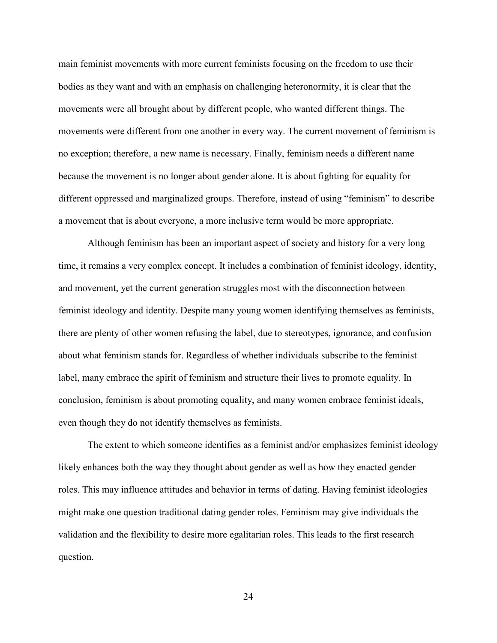main feminist movements with more current feminists focusing on the freedom to use their bodies as they want and with an emphasis on challenging heteronormity, it is clear that the movements were all brought about by different people, who wanted different things. The movements were different from one another in every way. The current movement of feminism is no exception; therefore, a new name is necessary. Finally, feminism needs a different name because the movement is no longer about gender alone. It is about fighting for equality for different oppressed and marginalized groups. Therefore, instead of using "feminism" to describe a movement that is about everyone, a more inclusive term would be more appropriate.

Although feminism has been an important aspect of society and history for a very long time, it remains a very complex concept. It includes a combination of feminist ideology, identity, and movement, yet the current generation struggles most with the disconnection between feminist ideology and identity. Despite many young women identifying themselves as feminists, there are plenty of other women refusing the label, due to stereotypes, ignorance, and confusion about what feminism stands for. Regardless of whether individuals subscribe to the feminist label, many embrace the spirit of feminism and structure their lives to promote equality. In conclusion, feminism is about promoting equality, and many women embrace feminist ideals, even though they do not identify themselves as feminists.

The extent to which someone identifies as a feminist and/or emphasizes feminist ideology likely enhances both the way they thought about gender as well as how they enacted gender roles. This may influence attitudes and behavior in terms of dating. Having feminist ideologies might make one question traditional dating gender roles. Feminism may give individuals the validation and the flexibility to desire more egalitarian roles. This leads to the first research question.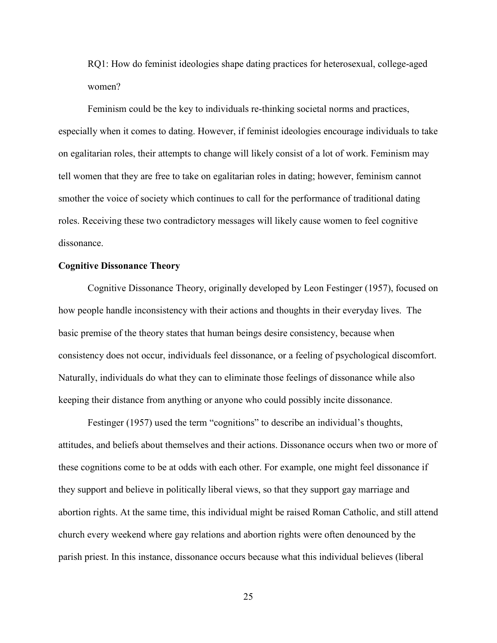RQ1: How do feminist ideologies shape dating practices for heterosexual, college-aged women?

Feminism could be the key to individuals re-thinking societal norms and practices, especially when it comes to dating. However, if feminist ideologies encourage individuals to take on egalitarian roles, their attempts to change will likely consist of a lot of work. Feminism may tell women that they are free to take on egalitarian roles in dating; however, feminism cannot smother the voice of society which continues to call for the performance of traditional dating roles. Receiving these two contradictory messages will likely cause women to feel cognitive dissonance.

### **Cognitive Dissonance Theory**

 Cognitive Dissonance Theory, originally developed by Leon Festinger (1957), focused on how people handle inconsistency with their actions and thoughts in their everyday lives. The basic premise of the theory states that human beings desire consistency, because when consistency does not occur, individuals feel dissonance, or a feeling of psychological discomfort. Naturally, individuals do what they can to eliminate those feelings of dissonance while also keeping their distance from anything or anyone who could possibly incite dissonance.

Festinger (1957) used the term "cognitions" to describe an individual's thoughts, attitudes, and beliefs about themselves and their actions. Dissonance occurs when two or more of these cognitions come to be at odds with each other. For example, one might feel dissonance if they support and believe in politically liberal views, so that they support gay marriage and abortion rights. At the same time, this individual might be raised Roman Catholic, and still attend church every weekend where gay relations and abortion rights were often denounced by the parish priest. In this instance, dissonance occurs because what this individual believes (liberal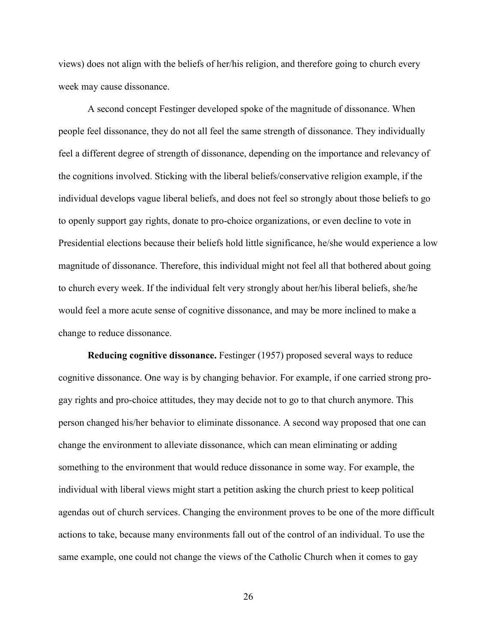views) does not align with the beliefs of her/his religion, and therefore going to church every week may cause dissonance.

 A second concept Festinger developed spoke of the magnitude of dissonance. When people feel dissonance, they do not all feel the same strength of dissonance. They individually feel a different degree of strength of dissonance, depending on the importance and relevancy of the cognitions involved. Sticking with the liberal beliefs/conservative religion example, if the individual develops vague liberal beliefs, and does not feel so strongly about those beliefs to go to openly support gay rights, donate to pro-choice organizations, or even decline to vote in Presidential elections because their beliefs hold little significance, he/she would experience a low magnitude of dissonance. Therefore, this individual might not feel all that bothered about going to church every week. If the individual felt very strongly about her/his liberal beliefs, she/he would feel a more acute sense of cognitive dissonance, and may be more inclined to make a change to reduce dissonance.

**Reducing cognitive dissonance.** Festinger (1957) proposed several ways to reduce cognitive dissonance. One way is by changing behavior. For example, if one carried strong progay rights and pro-choice attitudes, they may decide not to go to that church anymore. This person changed his/her behavior to eliminate dissonance. A second way proposed that one can change the environment to alleviate dissonance, which can mean eliminating or adding something to the environment that would reduce dissonance in some way. For example, the individual with liberal views might start a petition asking the church priest to keep political agendas out of church services. Changing the environment proves to be one of the more difficult actions to take, because many environments fall out of the control of an individual. To use the same example, one could not change the views of the Catholic Church when it comes to gay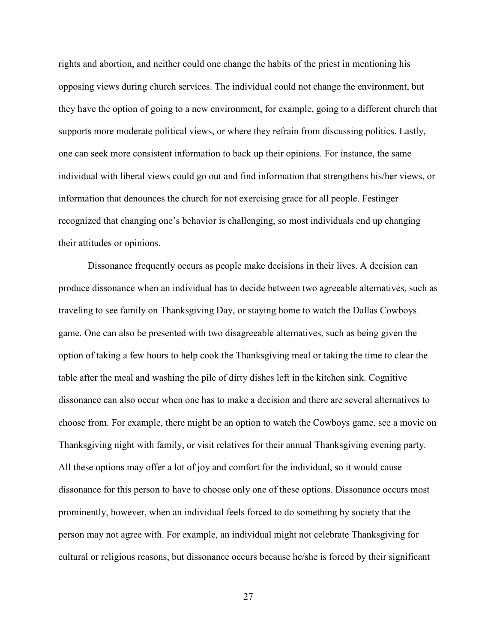rights and abortion, and neither could one change the habits of the priest in mentioning his opposing views during church services. The individual could not change the environment, but they have the option of going to a new environment, for example, going to a different church that supports more moderate political views, or where they refrain from discussing politics. Lastly, one can seek more consistent information to back up their opinions. For instance, the same individual with liberal views could go out and find information that strengthens his/her views, or information that denounces the church for not exercising grace for all people. Festinger recognized that changing one's behavior is challenging, so most individuals end up changing their attitudes or opinions.

 Dissonance frequently occurs as people make decisions in their lives. A decision can produce dissonance when an individual has to decide between two agreeable alternatives, such as traveling to see family on Thanksgiving Day, or staying home to watch the Dallas Cowboys game. One can also be presented with two disagreeable alternatives, such as being given the option of taking a few hours to help cook the Thanksgiving meal or taking the time to clear the table after the meal and washing the pile of dirty dishes left in the kitchen sink. Cognitive dissonance can also occur when one has to make a decision and there are several alternatives to choose from. For example, there might be an option to watch the Cowboys game, see a movie on Thanksgiving night with family, or visit relatives for their annual Thanksgiving evening party. All these options may offer a lot of joy and comfort for the individual, so it would cause dissonance for this person to have to choose only one of these options. Dissonance occurs most prominently, however, when an individual feels forced to do something by society that the person may not agree with. For example, an individual might not celebrate Thanksgiving for cultural or religious reasons, but dissonance occurs because he/she is forced by their significant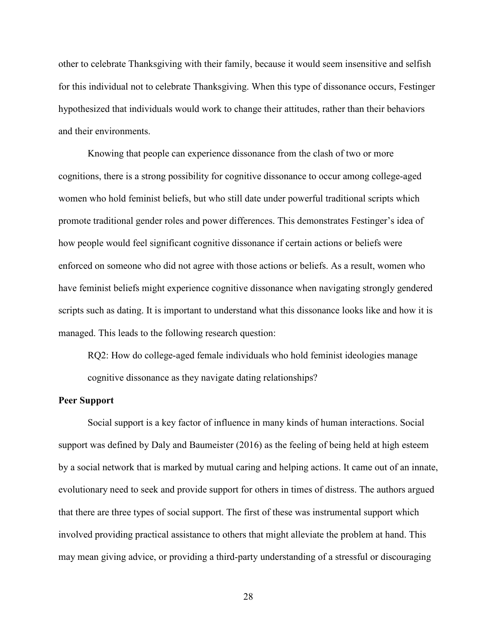other to celebrate Thanksgiving with their family, because it would seem insensitive and selfish for this individual not to celebrate Thanksgiving. When this type of dissonance occurs, Festinger hypothesized that individuals would work to change their attitudes, rather than their behaviors and their environments.

 Knowing that people can experience dissonance from the clash of two or more cognitions, there is a strong possibility for cognitive dissonance to occur among college-aged women who hold feminist beliefs, but who still date under powerful traditional scripts which promote traditional gender roles and power differences. This demonstrates Festinger's idea of how people would feel significant cognitive dissonance if certain actions or beliefs were enforced on someone who did not agree with those actions or beliefs. As a result, women who have feminist beliefs might experience cognitive dissonance when navigating strongly gendered scripts such as dating. It is important to understand what this dissonance looks like and how it is managed. This leads to the following research question:

RQ2: How do college-aged female individuals who hold feminist ideologies manage cognitive dissonance as they navigate dating relationships?

### **Peer Support**

Social support is a key factor of influence in many kinds of human interactions. Social support was defined by Daly and Baumeister (2016) as the feeling of being held at high esteem by a social network that is marked by mutual caring and helping actions. It came out of an innate, evolutionary need to seek and provide support for others in times of distress. The authors argued that there are three types of social support. The first of these was instrumental support which involved providing practical assistance to others that might alleviate the problem at hand. This may mean giving advice, or providing a third-party understanding of a stressful or discouraging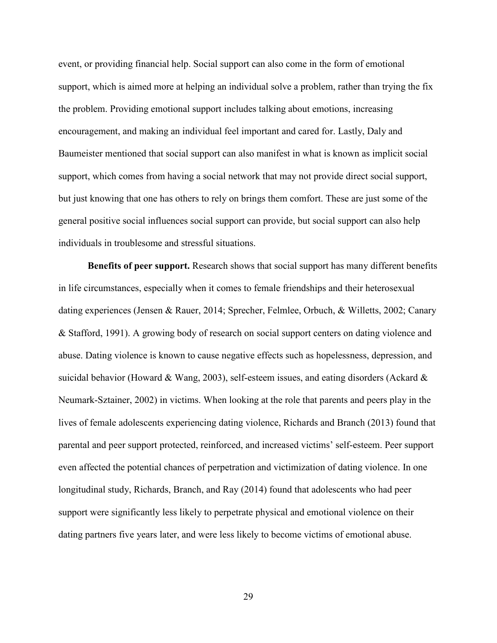event, or providing financial help. Social support can also come in the form of emotional support, which is aimed more at helping an individual solve a problem, rather than trying the fix the problem. Providing emotional support includes talking about emotions, increasing encouragement, and making an individual feel important and cared for. Lastly, Daly and Baumeister mentioned that social support can also manifest in what is known as implicit social support, which comes from having a social network that may not provide direct social support, but just knowing that one has others to rely on brings them comfort. These are just some of the general positive social influences social support can provide, but social support can also help individuals in troublesome and stressful situations.

**Benefits of peer support.** Research shows that social support has many different benefits in life circumstances, especially when it comes to female friendships and their heterosexual dating experiences (Jensen & Rauer, 2014; Sprecher, Felmlee, Orbuch, & Willetts, 2002; Canary & Stafford, 1991). A growing body of research on social support centers on dating violence and abuse. Dating violence is known to cause negative effects such as hopelessness, depression, and suicidal behavior (Howard & Wang, 2003), self-esteem issues, and eating disorders (Ackard  $\&$ Neumark-Sztainer, 2002) in victims. When looking at the role that parents and peers play in the lives of female adolescents experiencing dating violence, Richards and Branch (2013) found that parental and peer support protected, reinforced, and increased victims' self-esteem. Peer support even affected the potential chances of perpetration and victimization of dating violence. In one longitudinal study, Richards, Branch, and Ray (2014) found that adolescents who had peer support were significantly less likely to perpetrate physical and emotional violence on their dating partners five years later, and were less likely to become victims of emotional abuse.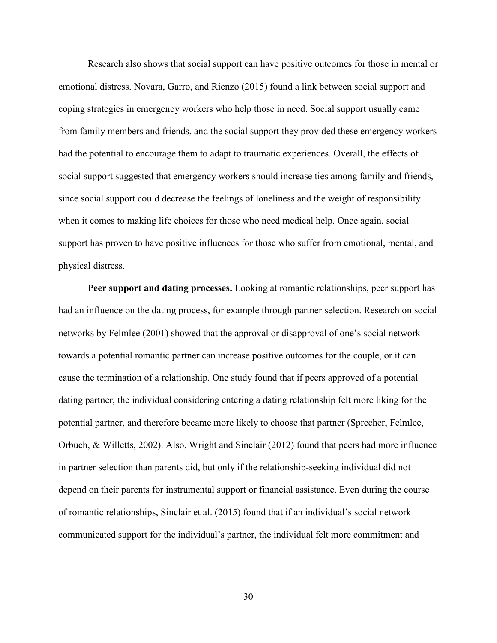Research also shows that social support can have positive outcomes for those in mental or emotional distress. Novara, Garro, and Rienzo (2015) found a link between social support and coping strategies in emergency workers who help those in need. Social support usually came from family members and friends, and the social support they provided these emergency workers had the potential to encourage them to adapt to traumatic experiences. Overall, the effects of social support suggested that emergency workers should increase ties among family and friends, since social support could decrease the feelings of loneliness and the weight of responsibility when it comes to making life choices for those who need medical help. Once again, social support has proven to have positive influences for those who suffer from emotional, mental, and physical distress.

**Peer support and dating processes.** Looking at romantic relationships, peer support has had an influence on the dating process, for example through partner selection. Research on social networks by Felmlee (2001) showed that the approval or disapproval of one's social network towards a potential romantic partner can increase positive outcomes for the couple, or it can cause the termination of a relationship. One study found that if peers approved of a potential dating partner, the individual considering entering a dating relationship felt more liking for the potential partner, and therefore became more likely to choose that partner (Sprecher, Felmlee, Orbuch, & Willetts, 2002). Also, Wright and Sinclair (2012) found that peers had more influence in partner selection than parents did, but only if the relationship-seeking individual did not depend on their parents for instrumental support or financial assistance. Even during the course of romantic relationships, Sinclair et al. (2015) found that if an individual's social network communicated support for the individual's partner, the individual felt more commitment and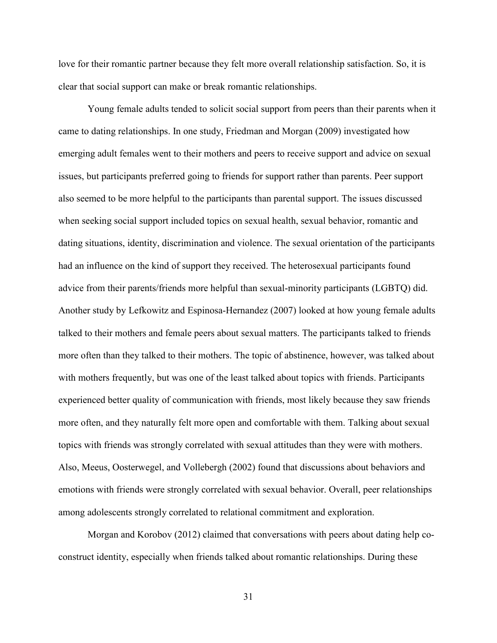love for their romantic partner because they felt more overall relationship satisfaction. So, it is clear that social support can make or break romantic relationships.

Young female adults tended to solicit social support from peers than their parents when it came to dating relationships. In one study, Friedman and Morgan (2009) investigated how emerging adult females went to their mothers and peers to receive support and advice on sexual issues, but participants preferred going to friends for support rather than parents. Peer support also seemed to be more helpful to the participants than parental support. The issues discussed when seeking social support included topics on sexual health, sexual behavior, romantic and dating situations, identity, discrimination and violence. The sexual orientation of the participants had an influence on the kind of support they received. The heterosexual participants found advice from their parents/friends more helpful than sexual-minority participants (LGBTQ) did. Another study by Lefkowitz and Espinosa-Hernandez (2007) looked at how young female adults talked to their mothers and female peers about sexual matters. The participants talked to friends more often than they talked to their mothers. The topic of abstinence, however, was talked about with mothers frequently, but was one of the least talked about topics with friends. Participants experienced better quality of communication with friends, most likely because they saw friends more often, and they naturally felt more open and comfortable with them. Talking about sexual topics with friends was strongly correlated with sexual attitudes than they were with mothers. Also, Meeus, Oosterwegel, and Vollebergh (2002) found that discussions about behaviors and emotions with friends were strongly correlated with sexual behavior. Overall, peer relationships among adolescents strongly correlated to relational commitment and exploration.

Morgan and Korobov (2012) claimed that conversations with peers about dating help coconstruct identity, especially when friends talked about romantic relationships. During these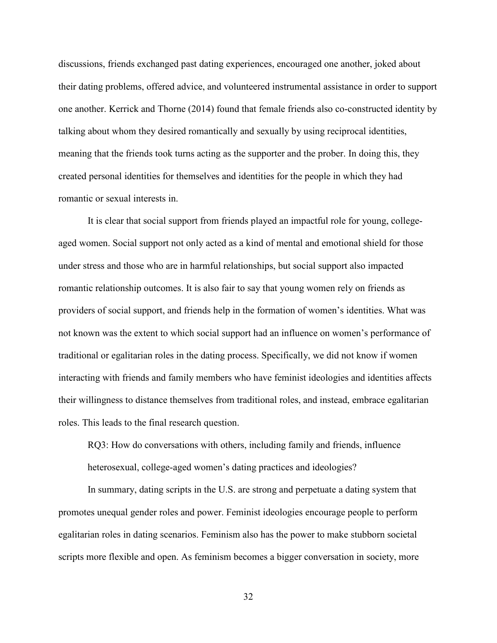discussions, friends exchanged past dating experiences, encouraged one another, joked about their dating problems, offered advice, and volunteered instrumental assistance in order to support one another. Kerrick and Thorne (2014) found that female friends also co-constructed identity by talking about whom they desired romantically and sexually by using reciprocal identities, meaning that the friends took turns acting as the supporter and the prober. In doing this, they created personal identities for themselves and identities for the people in which they had romantic or sexual interests in.

It is clear that social support from friends played an impactful role for young, collegeaged women. Social support not only acted as a kind of mental and emotional shield for those under stress and those who are in harmful relationships, but social support also impacted romantic relationship outcomes. It is also fair to say that young women rely on friends as providers of social support, and friends help in the formation of women's identities. What was not known was the extent to which social support had an influence on women's performance of traditional or egalitarian roles in the dating process. Specifically, we did not know if women interacting with friends and family members who have feminist ideologies and identities affects their willingness to distance themselves from traditional roles, and instead, embrace egalitarian roles. This leads to the final research question.

RQ3: How do conversations with others, including family and friends, influence heterosexual, college-aged women's dating practices and ideologies?

In summary, dating scripts in the U.S. are strong and perpetuate a dating system that promotes unequal gender roles and power. Feminist ideologies encourage people to perform egalitarian roles in dating scenarios. Feminism also has the power to make stubborn societal scripts more flexible and open. As feminism becomes a bigger conversation in society, more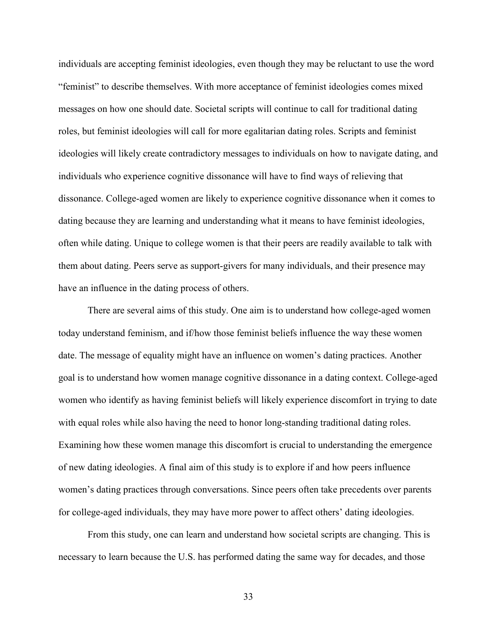individuals are accepting feminist ideologies, even though they may be reluctant to use the word "feminist" to describe themselves. With more acceptance of feminist ideologies comes mixed messages on how one should date. Societal scripts will continue to call for traditional dating roles, but feminist ideologies will call for more egalitarian dating roles. Scripts and feminist ideologies will likely create contradictory messages to individuals on how to navigate dating, and individuals who experience cognitive dissonance will have to find ways of relieving that dissonance. College-aged women are likely to experience cognitive dissonance when it comes to dating because they are learning and understanding what it means to have feminist ideologies, often while dating. Unique to college women is that their peers are readily available to talk with them about dating. Peers serve as support-givers for many individuals, and their presence may have an influence in the dating process of others.

 There are several aims of this study. One aim is to understand how college-aged women today understand feminism, and if/how those feminist beliefs influence the way these women date. The message of equality might have an influence on women's dating practices. Another goal is to understand how women manage cognitive dissonance in a dating context. College-aged women who identify as having feminist beliefs will likely experience discomfort in trying to date with equal roles while also having the need to honor long-standing traditional dating roles. Examining how these women manage this discomfort is crucial to understanding the emergence of new dating ideologies. A final aim of this study is to explore if and how peers influence women's dating practices through conversations. Since peers often take precedents over parents for college-aged individuals, they may have more power to affect others' dating ideologies.

 From this study, one can learn and understand how societal scripts are changing. This is necessary to learn because the U.S. has performed dating the same way for decades, and those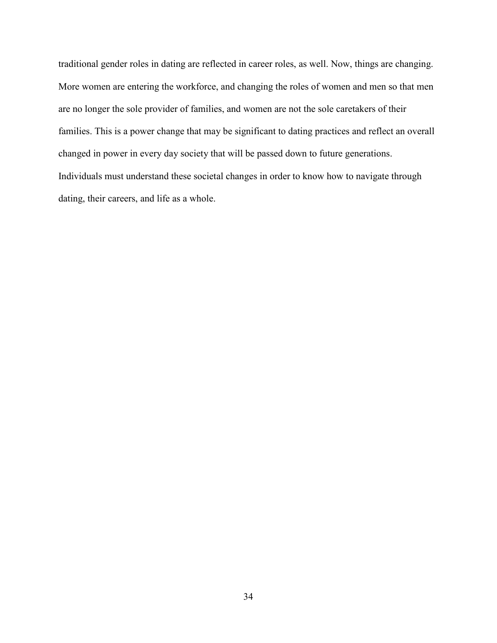traditional gender roles in dating are reflected in career roles, as well. Now, things are changing. More women are entering the workforce, and changing the roles of women and men so that men are no longer the sole provider of families, and women are not the sole caretakers of their families. This is a power change that may be significant to dating practices and reflect an overall changed in power in every day society that will be passed down to future generations. Individuals must understand these societal changes in order to know how to navigate through dating, their careers, and life as a whole.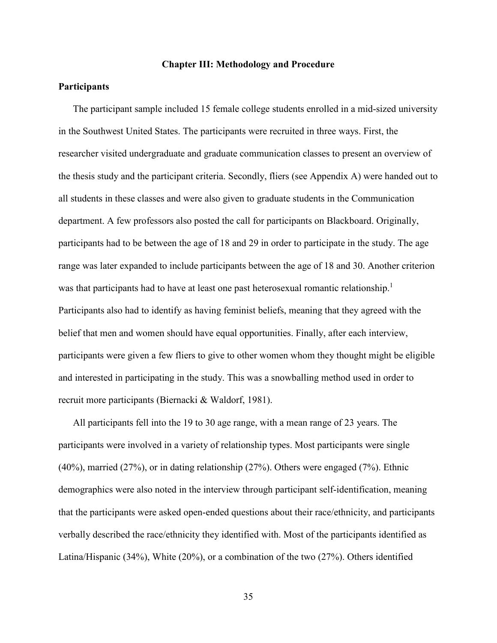### **Chapter III: Methodology and Procedure**

## **Participants**

The participant sample included 15 female college students enrolled in a mid-sized university in the Southwest United States. The participants were recruited in three ways. First, the researcher visited undergraduate and graduate communication classes to present an overview of the thesis study and the participant criteria. Secondly, fliers (see Appendix A) were handed out to all students in these classes and were also given to graduate students in the Communication department. A few professors also posted the call for participants on Blackboard. Originally, participants had to be between the age of 18 and 29 in order to participate in the study. The age range was later expanded to include participants between the age of 18 and 30. Another criterion was that participants had to have at least one past heterosexual romantic relationship.<sup>1</sup> Participants also had to identify as having feminist beliefs, meaning that they agreed with the belief that men and women should have equal opportunities. Finally, after each interview, participants were given a few fliers to give to other women whom they thought might be eligible and interested in participating in the study. This was a snowballing method used in order to recruit more participants (Biernacki & Waldorf, 1981).

All participants fell into the 19 to 30 age range, with a mean range of 23 years. The participants were involved in a variety of relationship types. Most participants were single (40%), married (27%), or in dating relationship (27%). Others were engaged (7%). Ethnic demographics were also noted in the interview through participant self-identification, meaning that the participants were asked open-ended questions about their race/ethnicity, and participants verbally described the race/ethnicity they identified with. Most of the participants identified as Latina/Hispanic (34%), White (20%), or a combination of the two (27%). Others identified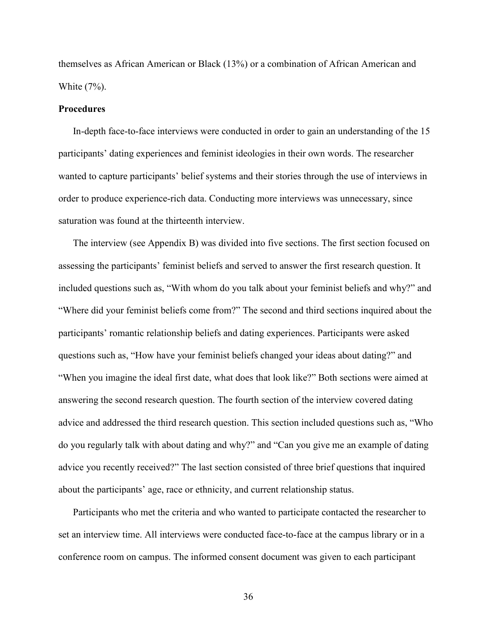themselves as African American or Black (13%) or a combination of African American and White (7%).

## **Procedures**

In-depth face-to-face interviews were conducted in order to gain an understanding of the 15 participants' dating experiences and feminist ideologies in their own words. The researcher wanted to capture participants' belief systems and their stories through the use of interviews in order to produce experience-rich data. Conducting more interviews was unnecessary, since saturation was found at the thirteenth interview.

The interview (see Appendix B) was divided into five sections. The first section focused on assessing the participants' feminist beliefs and served to answer the first research question. It included questions such as, "With whom do you talk about your feminist beliefs and why?" and "Where did your feminist beliefs come from?" The second and third sections inquired about the participants' romantic relationship beliefs and dating experiences. Participants were asked questions such as, "How have your feminist beliefs changed your ideas about dating?" and "When you imagine the ideal first date, what does that look like?" Both sections were aimed at answering the second research question. The fourth section of the interview covered dating advice and addressed the third research question. This section included questions such as, "Who do you regularly talk with about dating and why?" and "Can you give me an example of dating advice you recently received?" The last section consisted of three brief questions that inquired about the participants' age, race or ethnicity, and current relationship status.

Participants who met the criteria and who wanted to participate contacted the researcher to set an interview time. All interviews were conducted face-to-face at the campus library or in a conference room on campus. The informed consent document was given to each participant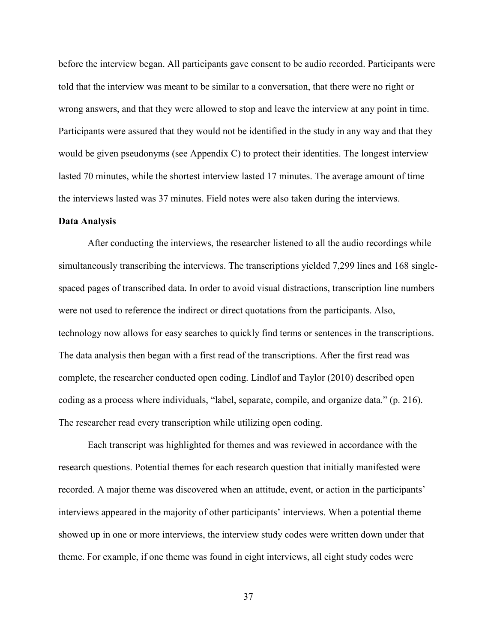before the interview began. All participants gave consent to be audio recorded. Participants were told that the interview was meant to be similar to a conversation, that there were no right or wrong answers, and that they were allowed to stop and leave the interview at any point in time. Participants were assured that they would not be identified in the study in any way and that they would be given pseudonyms (see Appendix C) to protect their identities. The longest interview lasted 70 minutes, while the shortest interview lasted 17 minutes. The average amount of time the interviews lasted was 37 minutes. Field notes were also taken during the interviews.

#### **Data Analysis**

After conducting the interviews, the researcher listened to all the audio recordings while simultaneously transcribing the interviews. The transcriptions yielded 7,299 lines and 168 singlespaced pages of transcribed data. In order to avoid visual distractions, transcription line numbers were not used to reference the indirect or direct quotations from the participants. Also, technology now allows for easy searches to quickly find terms or sentences in the transcriptions. The data analysis then began with a first read of the transcriptions. After the first read was complete, the researcher conducted open coding. Lindlof and Taylor (2010) described open coding as a process where individuals, "label, separate, compile, and organize data." (p. 216). The researcher read every transcription while utilizing open coding.

Each transcript was highlighted for themes and was reviewed in accordance with the research questions. Potential themes for each research question that initially manifested were recorded. A major theme was discovered when an attitude, event, or action in the participants' interviews appeared in the majority of other participants' interviews. When a potential theme showed up in one or more interviews, the interview study codes were written down under that theme. For example, if one theme was found in eight interviews, all eight study codes were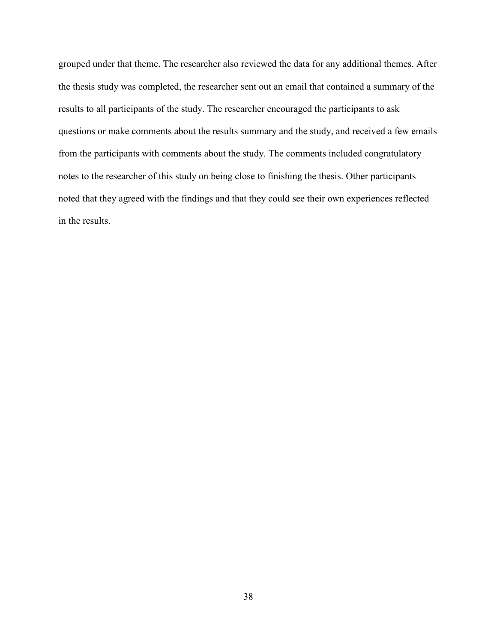grouped under that theme. The researcher also reviewed the data for any additional themes. After the thesis study was completed, the researcher sent out an email that contained a summary of the results to all participants of the study. The researcher encouraged the participants to ask questions or make comments about the results summary and the study, and received a few emails from the participants with comments about the study. The comments included congratulatory notes to the researcher of this study on being close to finishing the thesis. Other participants noted that they agreed with the findings and that they could see their own experiences reflected in the results.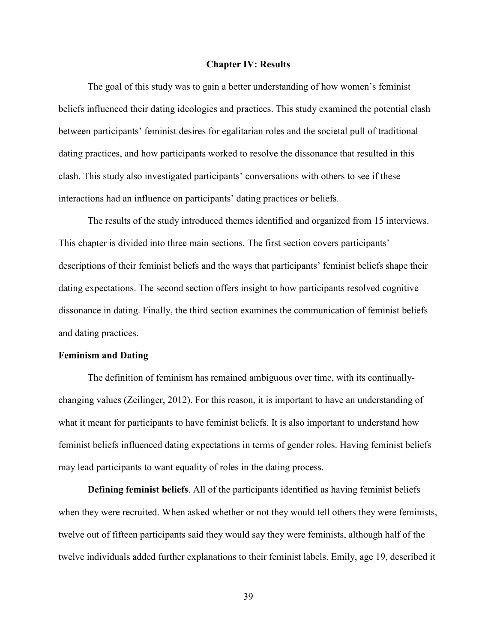#### **Chapter IV: Results**

The goal of this study was to gain a better understanding of how women's feminist beliefs influenced their dating ideologies and practices. This study examined the potential clash between participants' feminist desires for egalitarian roles and the societal pull of traditional dating practices, and how participants worked to resolve the dissonance that resulted in this clash. This study also investigated participants' conversations with others to see if these interactions had an influence on participants' dating practices or beliefs.

The results of the study introduced themes identified and organized from 15 interviews. This chapter is divided into three main sections. The first section covers participants' descriptions of their feminist beliefs and the ways that participants' feminist beliefs shape their dating expectations. The second section offers insight to how participants resolved cognitive dissonance in dating. Finally, the third section examines the communication of feminist beliefs and dating practices.

### **Feminism and Dating**

The definition of feminism has remained ambiguous over time, with its continuallychanging values (Zeilinger, 2012). For this reason, it is important to have an understanding of what it meant for participants to have feminist beliefs. It is also important to understand how feminist beliefs influenced dating expectations in terms of gender roles. Having feminist beliefs may lead participants to want equality of roles in the dating process.

**Defining feminist beliefs**. All of the participants identified as having feminist beliefs when they were recruited. When asked whether or not they would tell others they were feminists, twelve out of fifteen participants said they would say they were feminists, although half of the twelve individuals added further explanations to their feminist labels. Emily, age 19, described it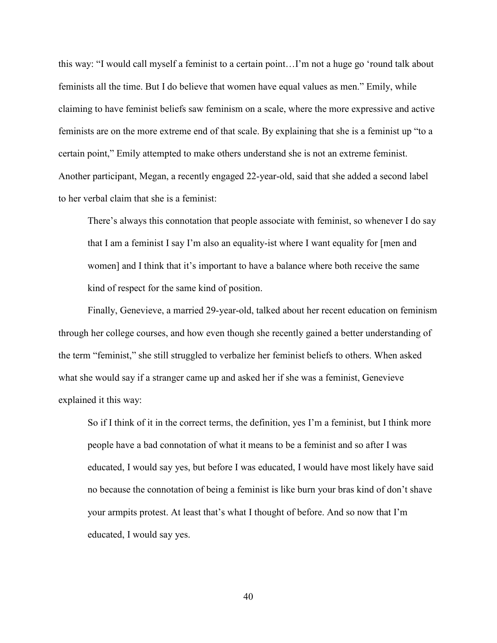this way: "I would call myself a feminist to a certain point…I'm not a huge go 'round talk about feminists all the time. But I do believe that women have equal values as men." Emily, while claiming to have feminist beliefs saw feminism on a scale, where the more expressive and active feminists are on the more extreme end of that scale. By explaining that she is a feminist up "to a certain point," Emily attempted to make others understand she is not an extreme feminist. Another participant, Megan, a recently engaged 22-year-old, said that she added a second label to her verbal claim that she is a feminist:

There's always this connotation that people associate with feminist, so whenever I do say that I am a feminist I say I'm also an equality-ist where I want equality for [men and women] and I think that it's important to have a balance where both receive the same kind of respect for the same kind of position.

Finally, Genevieve, a married 29-year-old, talked about her recent education on feminism through her college courses, and how even though she recently gained a better understanding of the term "feminist," she still struggled to verbalize her feminist beliefs to others. When asked what she would say if a stranger came up and asked her if she was a feminist, Genevieve explained it this way:

So if I think of it in the correct terms, the definition, yes I'm a feminist, but I think more people have a bad connotation of what it means to be a feminist and so after I was educated, I would say yes, but before I was educated, I would have most likely have said no because the connotation of being a feminist is like burn your bras kind of don't shave your armpits protest. At least that's what I thought of before. And so now that I'm educated, I would say yes.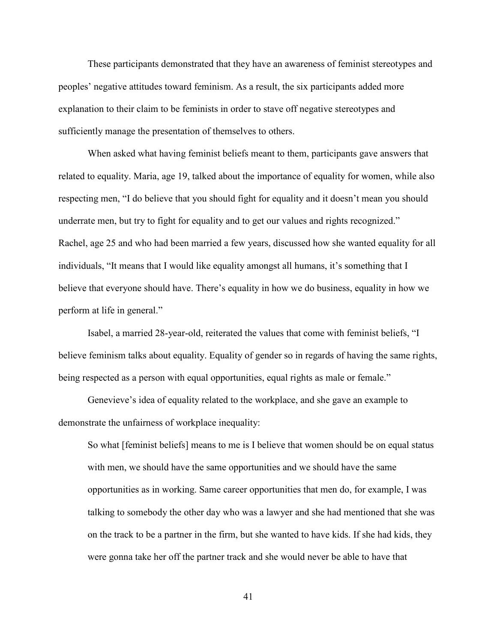These participants demonstrated that they have an awareness of feminist stereotypes and peoples' negative attitudes toward feminism. As a result, the six participants added more explanation to their claim to be feminists in order to stave off negative stereotypes and sufficiently manage the presentation of themselves to others.

When asked what having feminist beliefs meant to them, participants gave answers that related to equality. Maria, age 19, talked about the importance of equality for women, while also respecting men, "I do believe that you should fight for equality and it doesn't mean you should underrate men, but try to fight for equality and to get our values and rights recognized." Rachel, age 25 and who had been married a few years, discussed how she wanted equality for all individuals, "It means that I would like equality amongst all humans, it's something that I believe that everyone should have. There's equality in how we do business, equality in how we perform at life in general."

 Isabel, a married 28-year-old, reiterated the values that come with feminist beliefs, "I believe feminism talks about equality. Equality of gender so in regards of having the same rights, being respected as a person with equal opportunities, equal rights as male or female."

 Genevieve's idea of equality related to the workplace, and she gave an example to demonstrate the unfairness of workplace inequality:

So what [feminist beliefs] means to me is I believe that women should be on equal status with men, we should have the same opportunities and we should have the same opportunities as in working. Same career opportunities that men do, for example, I was talking to somebody the other day who was a lawyer and she had mentioned that she was on the track to be a partner in the firm, but she wanted to have kids. If she had kids, they were gonna take her off the partner track and she would never be able to have that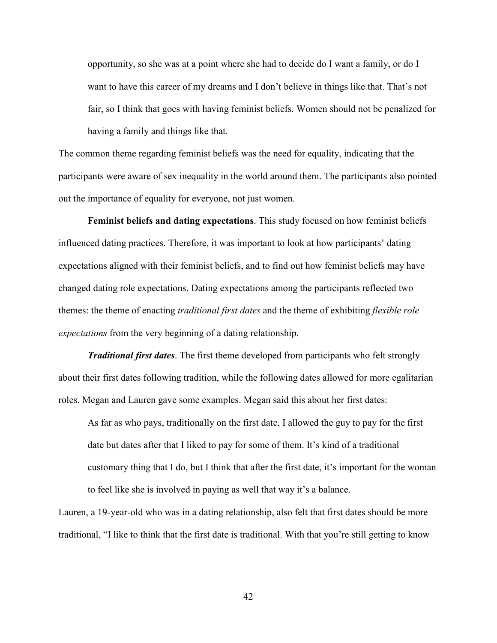opportunity, so she was at a point where she had to decide do I want a family, or do I want to have this career of my dreams and I don't believe in things like that. That's not fair, so I think that goes with having feminist beliefs. Women should not be penalized for having a family and things like that.

The common theme regarding feminist beliefs was the need for equality, indicating that the participants were aware of sex inequality in the world around them. The participants also pointed out the importance of equality for everyone, not just women.

**Feminist beliefs and dating expectations**. This study focused on how feminist beliefs influenced dating practices. Therefore, it was important to look at how participants' dating expectations aligned with their feminist beliefs, and to find out how feminist beliefs may have changed dating role expectations. Dating expectations among the participants reflected two themes: the theme of enacting *traditional first dates* and the theme of exhibiting *flexible role expectations* from the very beginning of a dating relationship.

*Traditional first dates*. The first theme developed from participants who felt strongly about their first dates following tradition, while the following dates allowed for more egalitarian roles. Megan and Lauren gave some examples. Megan said this about her first dates:

As far as who pays, traditionally on the first date, I allowed the guy to pay for the first date but dates after that I liked to pay for some of them. It's kind of a traditional customary thing that I do, but I think that after the first date, it's important for the woman to feel like she is involved in paying as well that way it's a balance.

Lauren, a 19-year-old who was in a dating relationship, also felt that first dates should be more traditional, "I like to think that the first date is traditional. With that you're still getting to know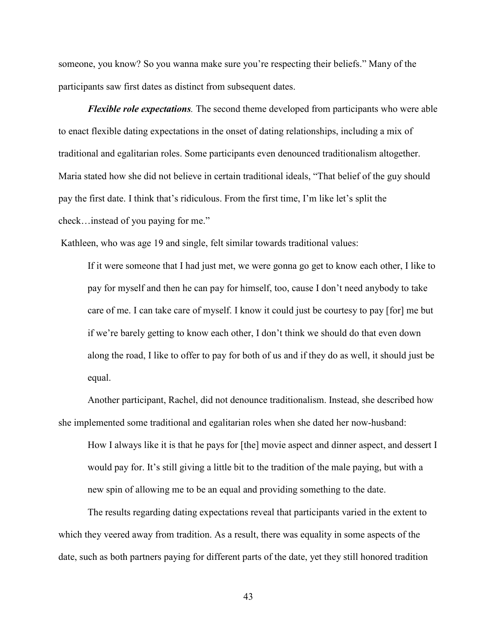someone, you know? So you wanna make sure you're respecting their beliefs." Many of the participants saw first dates as distinct from subsequent dates.

*Flexible role expectations.* The second theme developed from participants who were able to enact flexible dating expectations in the onset of dating relationships, including a mix of traditional and egalitarian roles. Some participants even denounced traditionalism altogether. Maria stated how she did not believe in certain traditional ideals, "That belief of the guy should pay the first date. I think that's ridiculous. From the first time, I'm like let's split the check…instead of you paying for me."

Kathleen, who was age 19 and single, felt similar towards traditional values:

If it were someone that I had just met, we were gonna go get to know each other, I like to pay for myself and then he can pay for himself, too, cause I don't need anybody to take care of me. I can take care of myself. I know it could just be courtesy to pay [for] me but if we're barely getting to know each other, I don't think we should do that even down along the road, I like to offer to pay for both of us and if they do as well, it should just be equal.

Another participant, Rachel, did not denounce traditionalism. Instead, she described how she implemented some traditional and egalitarian roles when she dated her now-husband:

How I always like it is that he pays for [the] movie aspect and dinner aspect, and dessert I would pay for. It's still giving a little bit to the tradition of the male paying, but with a new spin of allowing me to be an equal and providing something to the date.

The results regarding dating expectations reveal that participants varied in the extent to which they veered away from tradition. As a result, there was equality in some aspects of the date, such as both partners paying for different parts of the date, yet they still honored tradition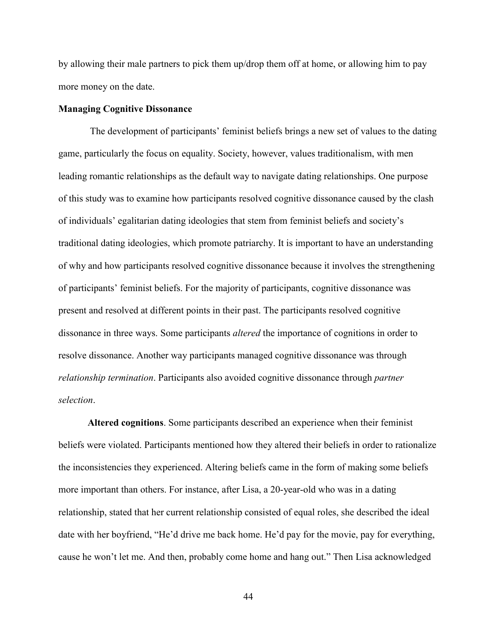by allowing their male partners to pick them up/drop them off at home, or allowing him to pay more money on the date.

### **Managing Cognitive Dissonance**

 The development of participants' feminist beliefs brings a new set of values to the dating game, particularly the focus on equality. Society, however, values traditionalism, with men leading romantic relationships as the default way to navigate dating relationships. One purpose of this study was to examine how participants resolved cognitive dissonance caused by the clash of individuals' egalitarian dating ideologies that stem from feminist beliefs and society's traditional dating ideologies, which promote patriarchy. It is important to have an understanding of why and how participants resolved cognitive dissonance because it involves the strengthening of participants' feminist beliefs. For the majority of participants, cognitive dissonance was present and resolved at different points in their past. The participants resolved cognitive dissonance in three ways. Some participants *altered* the importance of cognitions in order to resolve dissonance. Another way participants managed cognitive dissonance was through *relationship termination*. Participants also avoided cognitive dissonance through *partner selection*.

**Altered cognitions**. Some participants described an experience when their feminist beliefs were violated. Participants mentioned how they altered their beliefs in order to rationalize the inconsistencies they experienced. Altering beliefs came in the form of making some beliefs more important than others. For instance, after Lisa, a 20-year-old who was in a dating relationship, stated that her current relationship consisted of equal roles, she described the ideal date with her boyfriend, "He'd drive me back home. He'd pay for the movie, pay for everything, cause he won't let me. And then, probably come home and hang out." Then Lisa acknowledged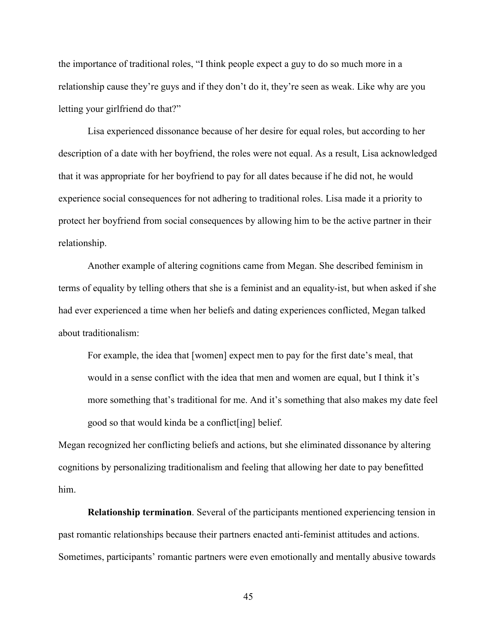the importance of traditional roles, "I think people expect a guy to do so much more in a relationship cause they're guys and if they don't do it, they're seen as weak. Like why are you letting your girlfriend do that?"

Lisa experienced dissonance because of her desire for equal roles, but according to her description of a date with her boyfriend, the roles were not equal. As a result, Lisa acknowledged that it was appropriate for her boyfriend to pay for all dates because if he did not, he would experience social consequences for not adhering to traditional roles. Lisa made it a priority to protect her boyfriend from social consequences by allowing him to be the active partner in their relationship.

Another example of altering cognitions came from Megan. She described feminism in terms of equality by telling others that she is a feminist and an equality-ist, but when asked if she had ever experienced a time when her beliefs and dating experiences conflicted, Megan talked about traditionalism:

For example, the idea that [women] expect men to pay for the first date's meal, that would in a sense conflict with the idea that men and women are equal, but I think it's more something that's traditional for me. And it's something that also makes my date feel good so that would kinda be a conflict[ing] belief.

Megan recognized her conflicting beliefs and actions, but she eliminated dissonance by altering cognitions by personalizing traditionalism and feeling that allowing her date to pay benefitted him.

**Relationship termination**. Several of the participants mentioned experiencing tension in past romantic relationships because their partners enacted anti-feminist attitudes and actions. Sometimes, participants' romantic partners were even emotionally and mentally abusive towards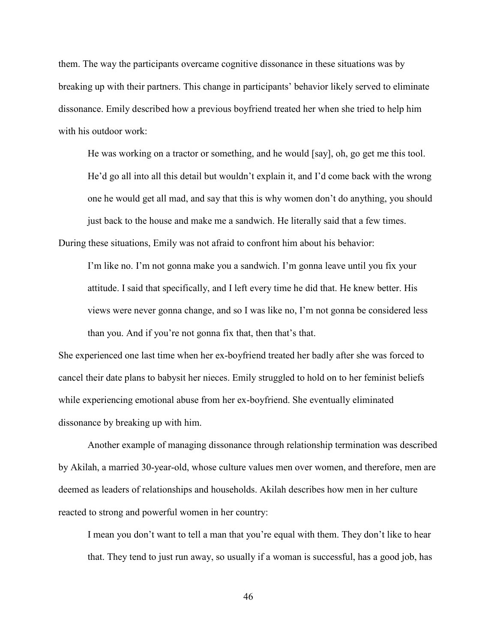them. The way the participants overcame cognitive dissonance in these situations was by breaking up with their partners. This change in participants' behavior likely served to eliminate dissonance. Emily described how a previous boyfriend treated her when she tried to help him with his outdoor work:

He was working on a tractor or something, and he would [say], oh, go get me this tool. He'd go all into all this detail but wouldn't explain it, and I'd come back with the wrong one he would get all mad, and say that this is why women don't do anything, you should just back to the house and make me a sandwich. He literally said that a few times.

During these situations, Emily was not afraid to confront him about his behavior:

I'm like no. I'm not gonna make you a sandwich. I'm gonna leave until you fix your attitude. I said that specifically, and I left every time he did that. He knew better. His views were never gonna change, and so I was like no, I'm not gonna be considered less than you. And if you're not gonna fix that, then that's that.

She experienced one last time when her ex-boyfriend treated her badly after she was forced to cancel their date plans to babysit her nieces. Emily struggled to hold on to her feminist beliefs while experiencing emotional abuse from her ex-boyfriend. She eventually eliminated dissonance by breaking up with him.

 Another example of managing dissonance through relationship termination was described by Akilah, a married 30-year-old, whose culture values men over women, and therefore, men are deemed as leaders of relationships and households. Akilah describes how men in her culture reacted to strong and powerful women in her country:

I mean you don't want to tell a man that you're equal with them. They don't like to hear that. They tend to just run away, so usually if a woman is successful, has a good job, has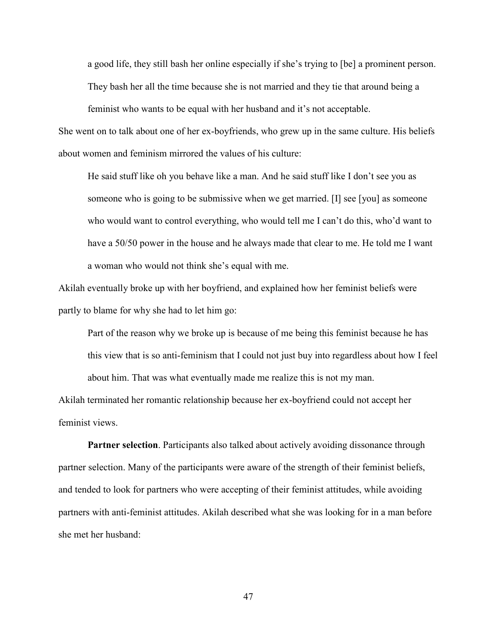a good life, they still bash her online especially if she's trying to [be] a prominent person. They bash her all the time because she is not married and they tie that around being a

feminist who wants to be equal with her husband and it's not acceptable.

She went on to talk about one of her ex-boyfriends, who grew up in the same culture. His beliefs about women and feminism mirrored the values of his culture:

He said stuff like oh you behave like a man. And he said stuff like I don't see you as someone who is going to be submissive when we get married. [I] see [you] as someone who would want to control everything, who would tell me I can't do this, who'd want to have a 50/50 power in the house and he always made that clear to me. He told me I want a woman who would not think she's equal with me.

Akilah eventually broke up with her boyfriend, and explained how her feminist beliefs were partly to blame for why she had to let him go:

Part of the reason why we broke up is because of me being this feminist because he has this view that is so anti-feminism that I could not just buy into regardless about how I feel about him. That was what eventually made me realize this is not my man.

Akilah terminated her romantic relationship because her ex-boyfriend could not accept her feminist views.

**Partner selection**. Participants also talked about actively avoiding dissonance through partner selection. Many of the participants were aware of the strength of their feminist beliefs, and tended to look for partners who were accepting of their feminist attitudes, while avoiding partners with anti-feminist attitudes. Akilah described what she was looking for in a man before she met her husband: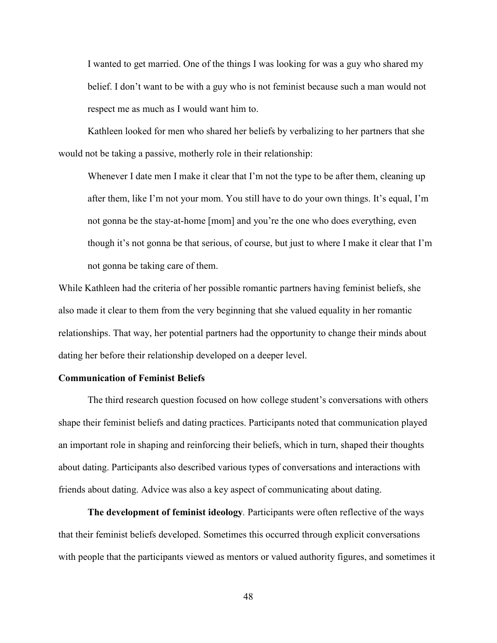I wanted to get married. One of the things I was looking for was a guy who shared my belief. I don't want to be with a guy who is not feminist because such a man would not respect me as much as I would want him to.

Kathleen looked for men who shared her beliefs by verbalizing to her partners that she would not be taking a passive, motherly role in their relationship:

Whenever I date men I make it clear that I'm not the type to be after them, cleaning up after them, like I'm not your mom. You still have to do your own things. It's equal, I'm not gonna be the stay-at-home [mom] and you're the one who does everything, even though it's not gonna be that serious, of course, but just to where I make it clear that I'm not gonna be taking care of them.

While Kathleen had the criteria of her possible romantic partners having feminist beliefs, she also made it clear to them from the very beginning that she valued equality in her romantic relationships. That way, her potential partners had the opportunity to change their minds about dating her before their relationship developed on a deeper level.

### **Communication of Feminist Beliefs**

The third research question focused on how college student's conversations with others shape their feminist beliefs and dating practices. Participants noted that communication played an important role in shaping and reinforcing their beliefs, which in turn, shaped their thoughts about dating. Participants also described various types of conversations and interactions with friends about dating. Advice was also a key aspect of communicating about dating.

**The development of feminist ideology***.* Participants were often reflective of the ways that their feminist beliefs developed. Sometimes this occurred through explicit conversations with people that the participants viewed as mentors or valued authority figures, and sometimes it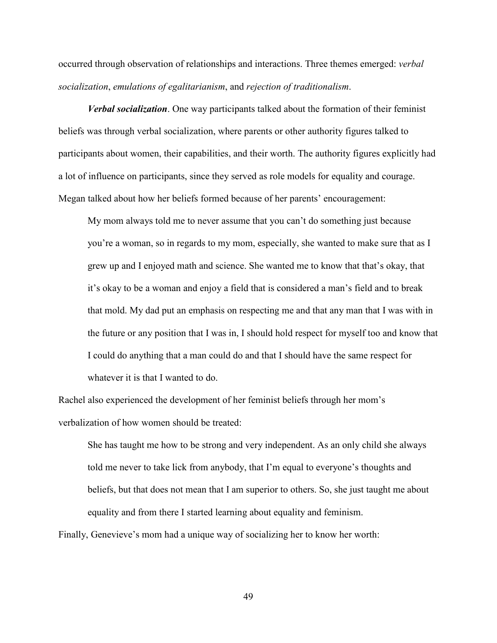occurred through observation of relationships and interactions. Three themes emerged: *verbal socialization*, *emulations of egalitarianism*, and *rejection of traditionalism*.

*Verbal socialization*. One way participants talked about the formation of their feminist beliefs was through verbal socialization, where parents or other authority figures talked to participants about women, their capabilities, and their worth. The authority figures explicitly had a lot of influence on participants, since they served as role models for equality and courage. Megan talked about how her beliefs formed because of her parents' encouragement:

My mom always told me to never assume that you can't do something just because you're a woman, so in regards to my mom, especially, she wanted to make sure that as I grew up and I enjoyed math and science. She wanted me to know that that's okay, that it's okay to be a woman and enjoy a field that is considered a man's field and to break that mold. My dad put an emphasis on respecting me and that any man that I was with in the future or any position that I was in, I should hold respect for myself too and know that I could do anything that a man could do and that I should have the same respect for whatever it is that I wanted to do.

Rachel also experienced the development of her feminist beliefs through her mom's verbalization of how women should be treated:

She has taught me how to be strong and very independent. As an only child she always told me never to take lick from anybody, that I'm equal to everyone's thoughts and beliefs, but that does not mean that I am superior to others. So, she just taught me about equality and from there I started learning about equality and feminism.

Finally, Genevieve's mom had a unique way of socializing her to know her worth: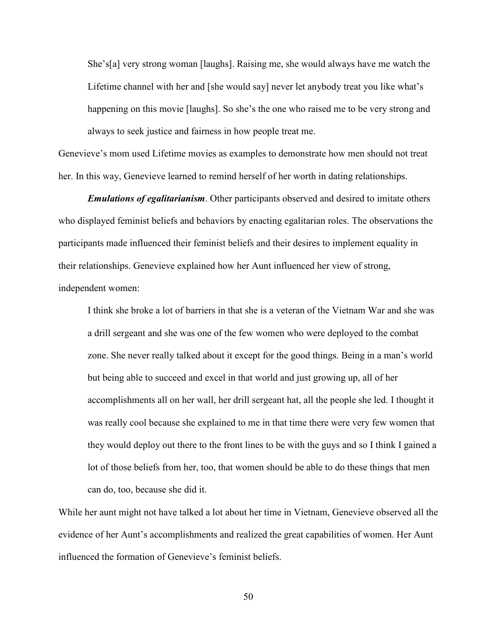She's[a] very strong woman [laughs]. Raising me, she would always have me watch the Lifetime channel with her and [she would say] never let anybody treat you like what's happening on this movie [laughs]. So she's the one who raised me to be very strong and always to seek justice and fairness in how people treat me.

Genevieve's mom used Lifetime movies as examples to demonstrate how men should not treat her. In this way, Genevieve learned to remind herself of her worth in dating relationships.

*Emulations of egalitarianism*. Other participants observed and desired to imitate others who displayed feminist beliefs and behaviors by enacting egalitarian roles. The observations the participants made influenced their feminist beliefs and their desires to implement equality in their relationships. Genevieve explained how her Aunt influenced her view of strong, independent women:

I think she broke a lot of barriers in that she is a veteran of the Vietnam War and she was a drill sergeant and she was one of the few women who were deployed to the combat zone. She never really talked about it except for the good things. Being in a man's world but being able to succeed and excel in that world and just growing up, all of her accomplishments all on her wall, her drill sergeant hat, all the people she led. I thought it was really cool because she explained to me in that time there were very few women that they would deploy out there to the front lines to be with the guys and so I think I gained a lot of those beliefs from her, too, that women should be able to do these things that men can do, too, because she did it.

While her aunt might not have talked a lot about her time in Vietnam, Genevieve observed all the evidence of her Aunt's accomplishments and realized the great capabilities of women. Her Aunt influenced the formation of Genevieve's feminist beliefs.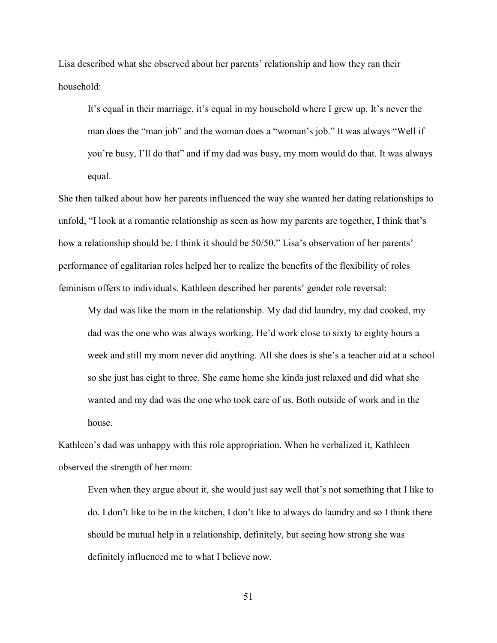Lisa described what she observed about her parents' relationship and how they ran their household:

It's equal in their marriage, it's equal in my household where I grew up. It's never the man does the "man job" and the woman does a "woman's job." It was always "Well if you're busy, I'll do that" and if my dad was busy, my mom would do that. It was always equal.

She then talked about how her parents influenced the way she wanted her dating relationships to unfold, "I look at a romantic relationship as seen as how my parents are together, I think that's how a relationship should be. I think it should be 50/50." Lisa's observation of her parents' performance of egalitarian roles helped her to realize the benefits of the flexibility of roles feminism offers to individuals. Kathleen described her parents' gender role reversal:

My dad was like the mom in the relationship. My dad did laundry, my dad cooked, my dad was the one who was always working. He'd work close to sixty to eighty hours a week and still my mom never did anything. All she does is she's a teacher aid at a school so she just has eight to three. She came home she kinda just relaxed and did what she wanted and my dad was the one who took care of us. Both outside of work and in the house.

Kathleen's dad was unhappy with this role appropriation. When he verbalized it, Kathleen observed the strength of her mom:

Even when they argue about it, she would just say well that's not something that I like to do. I don't like to be in the kitchen, I don't like to always do laundry and so I think there should be mutual help in a relationship, definitely, but seeing how strong she was definitely influenced me to what I believe now.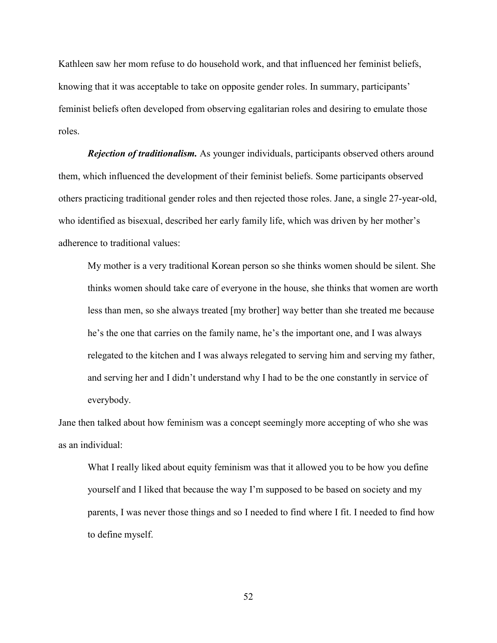Kathleen saw her mom refuse to do household work, and that influenced her feminist beliefs, knowing that it was acceptable to take on opposite gender roles. In summary, participants' feminist beliefs often developed from observing egalitarian roles and desiring to emulate those roles.

*Rejection of traditionalism.* As younger individuals, participants observed others around them, which influenced the development of their feminist beliefs. Some participants observed others practicing traditional gender roles and then rejected those roles. Jane, a single 27-year-old, who identified as bisexual, described her early family life, which was driven by her mother's adherence to traditional values:

My mother is a very traditional Korean person so she thinks women should be silent. She thinks women should take care of everyone in the house, she thinks that women are worth less than men, so she always treated [my brother] way better than she treated me because he's the one that carries on the family name, he's the important one, and I was always relegated to the kitchen and I was always relegated to serving him and serving my father, and serving her and I didn't understand why I had to be the one constantly in service of everybody.

Jane then talked about how feminism was a concept seemingly more accepting of who she was as an individual:

What I really liked about equity feminism was that it allowed you to be how you define yourself and I liked that because the way I'm supposed to be based on society and my parents, I was never those things and so I needed to find where I fit. I needed to find how to define myself.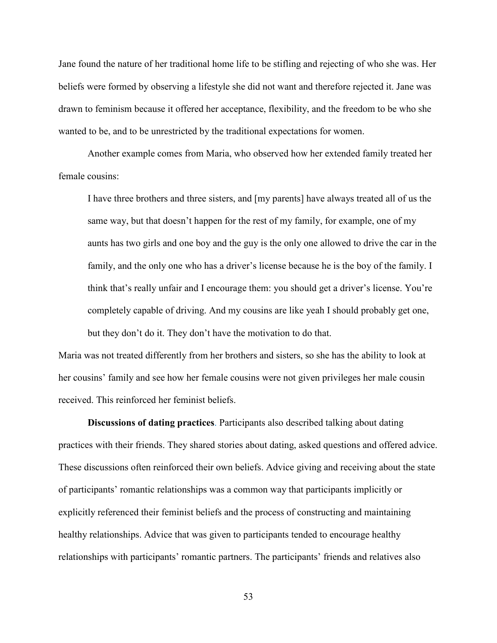Jane found the nature of her traditional home life to be stifling and rejecting of who she was. Her beliefs were formed by observing a lifestyle she did not want and therefore rejected it. Jane was drawn to feminism because it offered her acceptance, flexibility, and the freedom to be who she wanted to be, and to be unrestricted by the traditional expectations for women.

Another example comes from Maria, who observed how her extended family treated her female cousins:

I have three brothers and three sisters, and [my parents] have always treated all of us the same way, but that doesn't happen for the rest of my family, for example, one of my aunts has two girls and one boy and the guy is the only one allowed to drive the car in the family, and the only one who has a driver's license because he is the boy of the family. I think that's really unfair and I encourage them: you should get a driver's license. You're completely capable of driving. And my cousins are like yeah I should probably get one, but they don't do it. They don't have the motivation to do that.

Maria was not treated differently from her brothers and sisters, so she has the ability to look at her cousins' family and see how her female cousins were not given privileges her male cousin received. This reinforced her feminist beliefs.

**Discussions of dating practices**. Participants also described talking about dating practices with their friends. They shared stories about dating, asked questions and offered advice. These discussions often reinforced their own beliefs. Advice giving and receiving about the state of participants' romantic relationships was a common way that participants implicitly or explicitly referenced their feminist beliefs and the process of constructing and maintaining healthy relationships. Advice that was given to participants tended to encourage healthy relationships with participants' romantic partners. The participants' friends and relatives also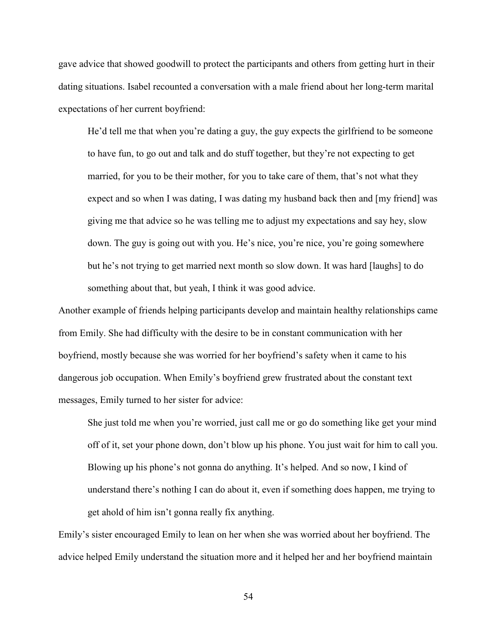gave advice that showed goodwill to protect the participants and others from getting hurt in their dating situations. Isabel recounted a conversation with a male friend about her long-term marital expectations of her current boyfriend:

He'd tell me that when you're dating a guy, the guy expects the girlfriend to be someone to have fun, to go out and talk and do stuff together, but they're not expecting to get married, for you to be their mother, for you to take care of them, that's not what they expect and so when I was dating, I was dating my husband back then and [my friend] was giving me that advice so he was telling me to adjust my expectations and say hey, slow down. The guy is going out with you. He's nice, you're nice, you're going somewhere but he's not trying to get married next month so slow down. It was hard [laughs] to do something about that, but yeah, I think it was good advice.

Another example of friends helping participants develop and maintain healthy relationships came from Emily. She had difficulty with the desire to be in constant communication with her boyfriend, mostly because she was worried for her boyfriend's safety when it came to his dangerous job occupation. When Emily's boyfriend grew frustrated about the constant text messages, Emily turned to her sister for advice:

She just told me when you're worried, just call me or go do something like get your mind off of it, set your phone down, don't blow up his phone. You just wait for him to call you. Blowing up his phone's not gonna do anything. It's helped. And so now, I kind of understand there's nothing I can do about it, even if something does happen, me trying to get ahold of him isn't gonna really fix anything.

Emily's sister encouraged Emily to lean on her when she was worried about her boyfriend. The advice helped Emily understand the situation more and it helped her and her boyfriend maintain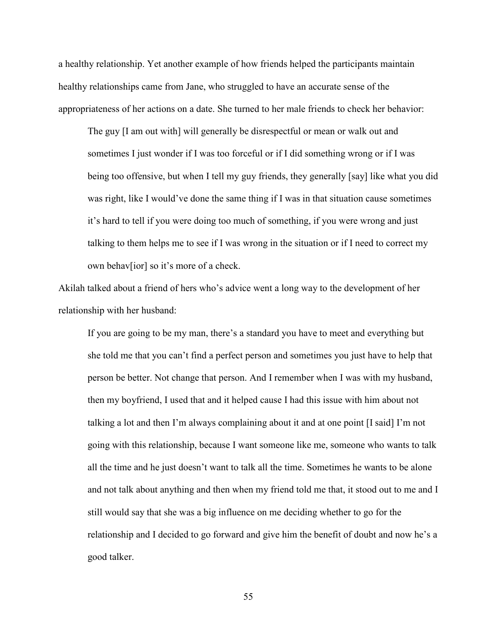a healthy relationship. Yet another example of how friends helped the participants maintain healthy relationships came from Jane, who struggled to have an accurate sense of the appropriateness of her actions on a date. She turned to her male friends to check her behavior:

The guy [I am out with] will generally be disrespectful or mean or walk out and sometimes I just wonder if I was too forceful or if I did something wrong or if I was being too offensive, but when I tell my guy friends, they generally [say] like what you did was right, like I would've done the same thing if I was in that situation cause sometimes it's hard to tell if you were doing too much of something, if you were wrong and just talking to them helps me to see if I was wrong in the situation or if I need to correct my own behav[ior] so it's more of a check.

Akilah talked about a friend of hers who's advice went a long way to the development of her relationship with her husband:

If you are going to be my man, there's a standard you have to meet and everything but she told me that you can't find a perfect person and sometimes you just have to help that person be better. Not change that person. And I remember when I was with my husband, then my boyfriend, I used that and it helped cause I had this issue with him about not talking a lot and then I'm always complaining about it and at one point [I said] I'm not going with this relationship, because I want someone like me, someone who wants to talk all the time and he just doesn't want to talk all the time. Sometimes he wants to be alone and not talk about anything and then when my friend told me that, it stood out to me and I still would say that she was a big influence on me deciding whether to go for the relationship and I decided to go forward and give him the benefit of doubt and now he's a good talker.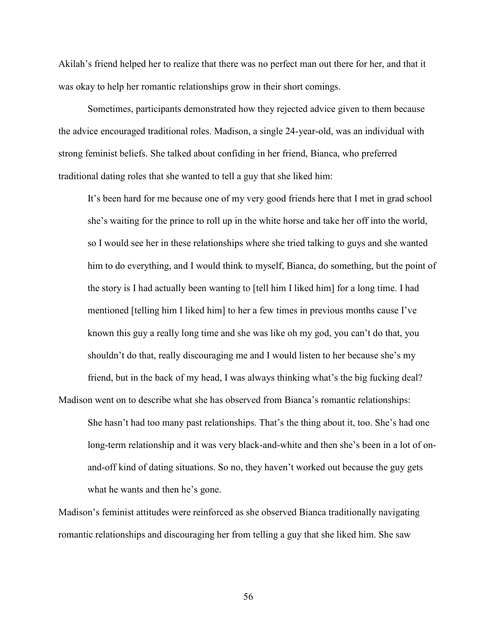Akilah's friend helped her to realize that there was no perfect man out there for her, and that it was okay to help her romantic relationships grow in their short comings.

 Sometimes, participants demonstrated how they rejected advice given to them because the advice encouraged traditional roles. Madison, a single 24-year-old, was an individual with strong feminist beliefs. She talked about confiding in her friend, Bianca, who preferred traditional dating roles that she wanted to tell a guy that she liked him:

It's been hard for me because one of my very good friends here that I met in grad school she's waiting for the prince to roll up in the white horse and take her off into the world, so I would see her in these relationships where she tried talking to guys and she wanted him to do everything, and I would think to myself, Bianca, do something, but the point of the story is I had actually been wanting to [tell him I liked him] for a long time. I had mentioned [telling him I liked him] to her a few times in previous months cause I've known this guy a really long time and she was like oh my god, you can't do that, you shouldn't do that, really discouraging me and I would listen to her because she's my friend, but in the back of my head, I was always thinking what's the big fucking deal?

Madison went on to describe what she has observed from Bianca's romantic relationships: She hasn't had too many past relationships. That's the thing about it, too. She's had one long-term relationship and it was very black-and-white and then she's been in a lot of onand-off kind of dating situations. So no, they haven't worked out because the guy gets what he wants and then he's gone.

Madison's feminist attitudes were reinforced as she observed Bianca traditionally navigating romantic relationships and discouraging her from telling a guy that she liked him. She saw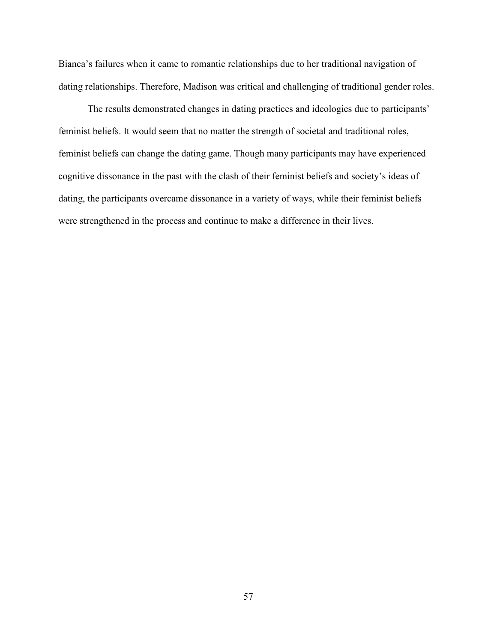Bianca's failures when it came to romantic relationships due to her traditional navigation of dating relationships. Therefore, Madison was critical and challenging of traditional gender roles.

The results demonstrated changes in dating practices and ideologies due to participants' feminist beliefs. It would seem that no matter the strength of societal and traditional roles, feminist beliefs can change the dating game. Though many participants may have experienced cognitive dissonance in the past with the clash of their feminist beliefs and society's ideas of dating, the participants overcame dissonance in a variety of ways, while their feminist beliefs were strengthened in the process and continue to make a difference in their lives.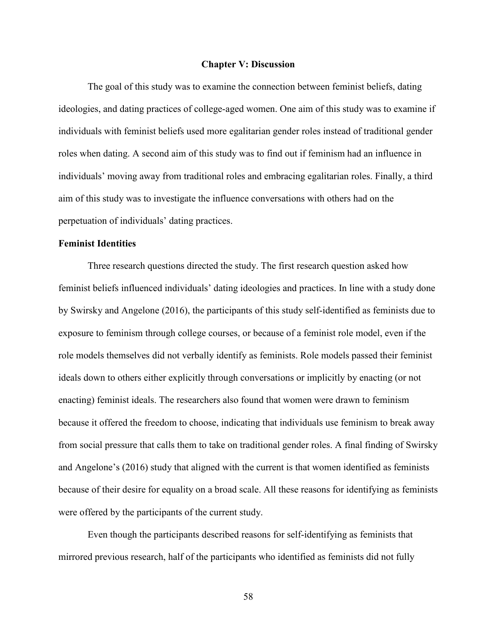#### **Chapter V: Discussion**

The goal of this study was to examine the connection between feminist beliefs, dating ideologies, and dating practices of college-aged women. One aim of this study was to examine if individuals with feminist beliefs used more egalitarian gender roles instead of traditional gender roles when dating. A second aim of this study was to find out if feminism had an influence in individuals' moving away from traditional roles and embracing egalitarian roles. Finally, a third aim of this study was to investigate the influence conversations with others had on the perpetuation of individuals' dating practices.

# **Feminist Identities**

Three research questions directed the study. The first research question asked how feminist beliefs influenced individuals' dating ideologies and practices. In line with a study done by Swirsky and Angelone (2016), the participants of this study self-identified as feminists due to exposure to feminism through college courses, or because of a feminist role model, even if the role models themselves did not verbally identify as feminists. Role models passed their feminist ideals down to others either explicitly through conversations or implicitly by enacting (or not enacting) feminist ideals. The researchers also found that women were drawn to feminism because it offered the freedom to choose, indicating that individuals use feminism to break away from social pressure that calls them to take on traditional gender roles. A final finding of Swirsky and Angelone's (2016) study that aligned with the current is that women identified as feminists because of their desire for equality on a broad scale. All these reasons for identifying as feminists were offered by the participants of the current study.

Even though the participants described reasons for self-identifying as feminists that mirrored previous research, half of the participants who identified as feminists did not fully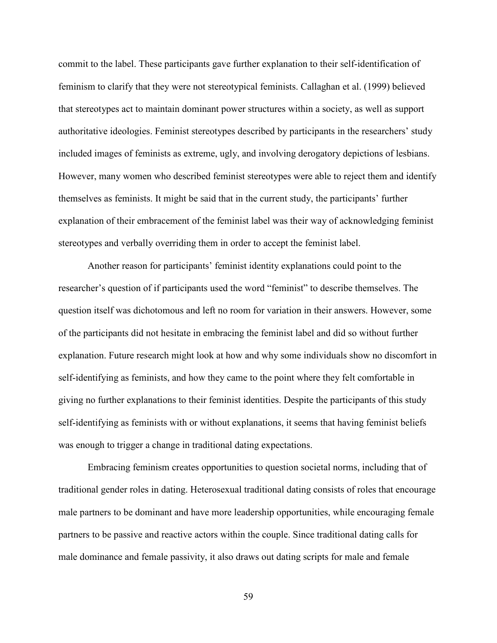commit to the label. These participants gave further explanation to their self-identification of feminism to clarify that they were not stereotypical feminists. Callaghan et al. (1999) believed that stereotypes act to maintain dominant power structures within a society, as well as support authoritative ideologies. Feminist stereotypes described by participants in the researchers' study included images of feminists as extreme, ugly, and involving derogatory depictions of lesbians. However, many women who described feminist stereotypes were able to reject them and identify themselves as feminists. It might be said that in the current study, the participants' further explanation of their embracement of the feminist label was their way of acknowledging feminist stereotypes and verbally overriding them in order to accept the feminist label.

Another reason for participants' feminist identity explanations could point to the researcher's question of if participants used the word "feminist" to describe themselves. The question itself was dichotomous and left no room for variation in their answers. However, some of the participants did not hesitate in embracing the feminist label and did so without further explanation. Future research might look at how and why some individuals show no discomfort in self-identifying as feminists, and how they came to the point where they felt comfortable in giving no further explanations to their feminist identities. Despite the participants of this study self-identifying as feminists with or without explanations, it seems that having feminist beliefs was enough to trigger a change in traditional dating expectations.

Embracing feminism creates opportunities to question societal norms, including that of traditional gender roles in dating. Heterosexual traditional dating consists of roles that encourage male partners to be dominant and have more leadership opportunities, while encouraging female partners to be passive and reactive actors within the couple. Since traditional dating calls for male dominance and female passivity, it also draws out dating scripts for male and female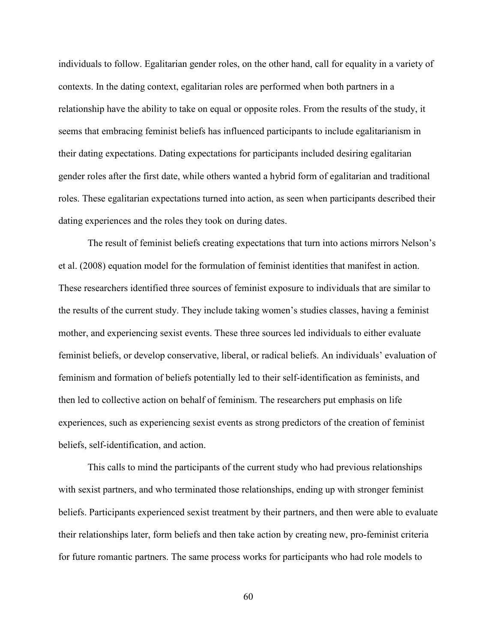individuals to follow. Egalitarian gender roles, on the other hand, call for equality in a variety of contexts. In the dating context, egalitarian roles are performed when both partners in a relationship have the ability to take on equal or opposite roles. From the results of the study, it seems that embracing feminist beliefs has influenced participants to include egalitarianism in their dating expectations. Dating expectations for participants included desiring egalitarian gender roles after the first date, while others wanted a hybrid form of egalitarian and traditional roles. These egalitarian expectations turned into action, as seen when participants described their dating experiences and the roles they took on during dates.

The result of feminist beliefs creating expectations that turn into actions mirrors Nelson's et al. (2008) equation model for the formulation of feminist identities that manifest in action. These researchers identified three sources of feminist exposure to individuals that are similar to the results of the current study. They include taking women's studies classes, having a feminist mother, and experiencing sexist events. These three sources led individuals to either evaluate feminist beliefs, or develop conservative, liberal, or radical beliefs. An individuals' evaluation of feminism and formation of beliefs potentially led to their self-identification as feminists, and then led to collective action on behalf of feminism. The researchers put emphasis on life experiences, such as experiencing sexist events as strong predictors of the creation of feminist beliefs, self-identification, and action.

This calls to mind the participants of the current study who had previous relationships with sexist partners, and who terminated those relationships, ending up with stronger feminist beliefs. Participants experienced sexist treatment by their partners, and then were able to evaluate their relationships later, form beliefs and then take action by creating new, pro-feminist criteria for future romantic partners. The same process works for participants who had role models to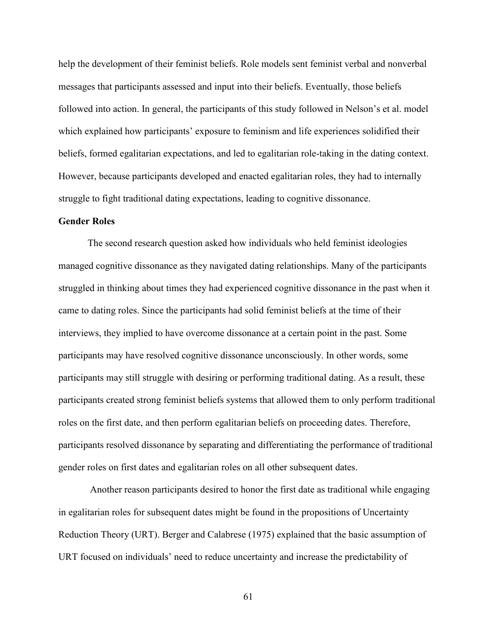help the development of their feminist beliefs. Role models sent feminist verbal and nonverbal messages that participants assessed and input into their beliefs. Eventually, those beliefs followed into action. In general, the participants of this study followed in Nelson's et al. model which explained how participants' exposure to feminism and life experiences solidified their beliefs, formed egalitarian expectations, and led to egalitarian role-taking in the dating context. However, because participants developed and enacted egalitarian roles, they had to internally struggle to fight traditional dating expectations, leading to cognitive dissonance.

### **Gender Roles**

The second research question asked how individuals who held feminist ideologies managed cognitive dissonance as they navigated dating relationships. Many of the participants struggled in thinking about times they had experienced cognitive dissonance in the past when it came to dating roles. Since the participants had solid feminist beliefs at the time of their interviews, they implied to have overcome dissonance at a certain point in the past. Some participants may have resolved cognitive dissonance unconsciously. In other words, some participants may still struggle with desiring or performing traditional dating. As a result, these participants created strong feminist beliefs systems that allowed them to only perform traditional roles on the first date, and then perform egalitarian beliefs on proceeding dates. Therefore, participants resolved dissonance by separating and differentiating the performance of traditional gender roles on first dates and egalitarian roles on all other subsequent dates.

 Another reason participants desired to honor the first date as traditional while engaging in egalitarian roles for subsequent dates might be found in the propositions of Uncertainty Reduction Theory (URT). Berger and Calabrese (1975) explained that the basic assumption of URT focused on individuals' need to reduce uncertainty and increase the predictability of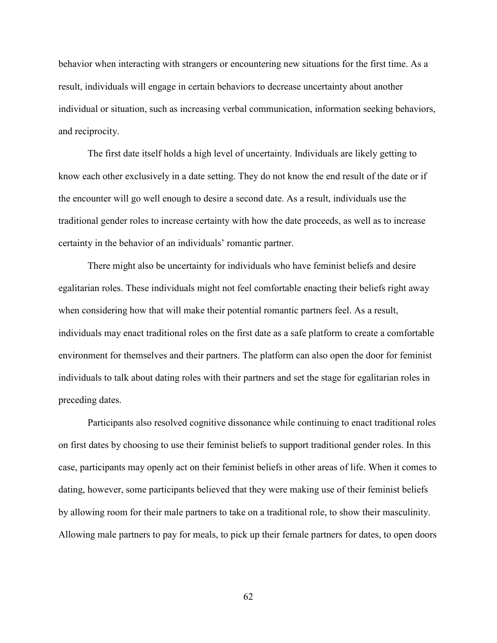behavior when interacting with strangers or encountering new situations for the first time. As a result, individuals will engage in certain behaviors to decrease uncertainty about another individual or situation, such as increasing verbal communication, information seeking behaviors, and reciprocity.

The first date itself holds a high level of uncertainty. Individuals are likely getting to know each other exclusively in a date setting. They do not know the end result of the date or if the encounter will go well enough to desire a second date. As a result, individuals use the traditional gender roles to increase certainty with how the date proceeds, as well as to increase certainty in the behavior of an individuals' romantic partner.

There might also be uncertainty for individuals who have feminist beliefs and desire egalitarian roles. These individuals might not feel comfortable enacting their beliefs right away when considering how that will make their potential romantic partners feel. As a result, individuals may enact traditional roles on the first date as a safe platform to create a comfortable environment for themselves and their partners. The platform can also open the door for feminist individuals to talk about dating roles with their partners and set the stage for egalitarian roles in preceding dates.

Participants also resolved cognitive dissonance while continuing to enact traditional roles on first dates by choosing to use their feminist beliefs to support traditional gender roles. In this case, participants may openly act on their feminist beliefs in other areas of life. When it comes to dating, however, some participants believed that they were making use of their feminist beliefs by allowing room for their male partners to take on a traditional role, to show their masculinity. Allowing male partners to pay for meals, to pick up their female partners for dates, to open doors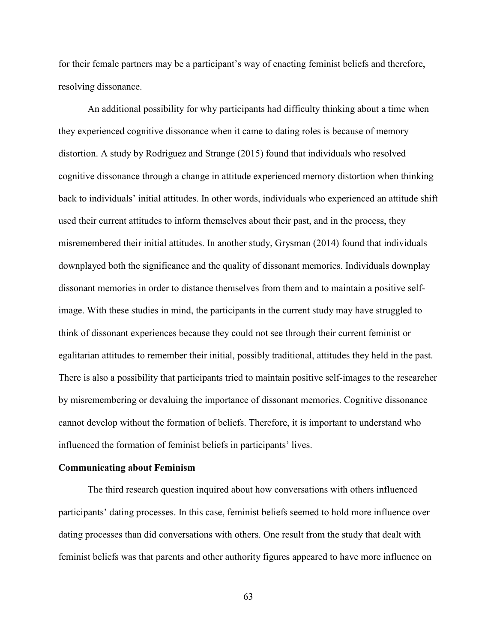for their female partners may be a participant's way of enacting feminist beliefs and therefore, resolving dissonance.

An additional possibility for why participants had difficulty thinking about a time when they experienced cognitive dissonance when it came to dating roles is because of memory distortion. A study by Rodriguez and Strange (2015) found that individuals who resolved cognitive dissonance through a change in attitude experienced memory distortion when thinking back to individuals' initial attitudes. In other words, individuals who experienced an attitude shift used their current attitudes to inform themselves about their past, and in the process, they misremembered their initial attitudes. In another study, Grysman (2014) found that individuals downplayed both the significance and the quality of dissonant memories. Individuals downplay dissonant memories in order to distance themselves from them and to maintain a positive selfimage. With these studies in mind, the participants in the current study may have struggled to think of dissonant experiences because they could not see through their current feminist or egalitarian attitudes to remember their initial, possibly traditional, attitudes they held in the past. There is also a possibility that participants tried to maintain positive self-images to the researcher by misremembering or devaluing the importance of dissonant memories. Cognitive dissonance cannot develop without the formation of beliefs. Therefore, it is important to understand who influenced the formation of feminist beliefs in participants' lives.

### **Communicating about Feminism**

The third research question inquired about how conversations with others influenced participants' dating processes. In this case, feminist beliefs seemed to hold more influence over dating processes than did conversations with others. One result from the study that dealt with feminist beliefs was that parents and other authority figures appeared to have more influence on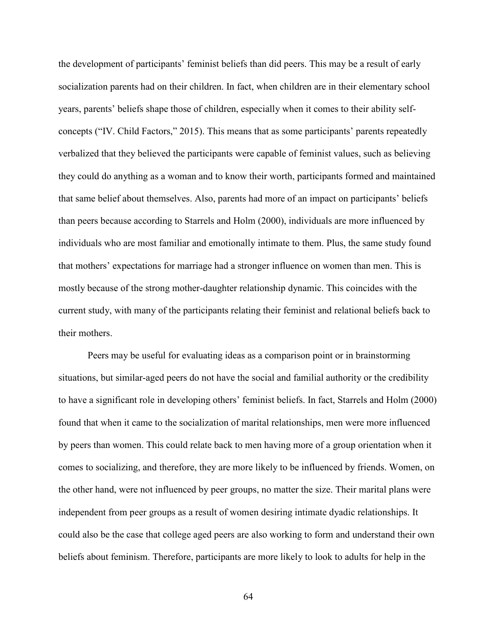the development of participants' feminist beliefs than did peers. This may be a result of early socialization parents had on their children. In fact, when children are in their elementary school years, parents' beliefs shape those of children, especially when it comes to their ability selfconcepts ("IV. Child Factors," 2015). This means that as some participants' parents repeatedly verbalized that they believed the participants were capable of feminist values, such as believing they could do anything as a woman and to know their worth, participants formed and maintained that same belief about themselves. Also, parents had more of an impact on participants' beliefs than peers because according to Starrels and Holm (2000), individuals are more influenced by individuals who are most familiar and emotionally intimate to them. Plus, the same study found that mothers' expectations for marriage had a stronger influence on women than men. This is mostly because of the strong mother-daughter relationship dynamic. This coincides with the current study, with many of the participants relating their feminist and relational beliefs back to their mothers.

Peers may be useful for evaluating ideas as a comparison point or in brainstorming situations, but similar-aged peers do not have the social and familial authority or the credibility to have a significant role in developing others' feminist beliefs. In fact, Starrels and Holm (2000) found that when it came to the socialization of marital relationships, men were more influenced by peers than women. This could relate back to men having more of a group orientation when it comes to socializing, and therefore, they are more likely to be influenced by friends. Women, on the other hand, were not influenced by peer groups, no matter the size. Their marital plans were independent from peer groups as a result of women desiring intimate dyadic relationships. It could also be the case that college aged peers are also working to form and understand their own beliefs about feminism. Therefore, participants are more likely to look to adults for help in the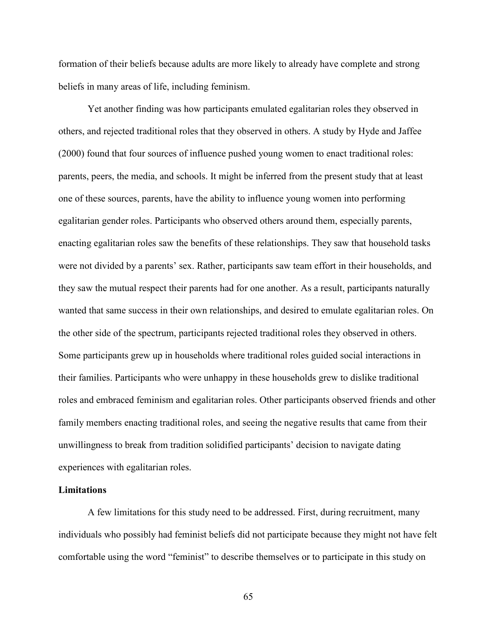formation of their beliefs because adults are more likely to already have complete and strong beliefs in many areas of life, including feminism.

Yet another finding was how participants emulated egalitarian roles they observed in others, and rejected traditional roles that they observed in others. A study by Hyde and Jaffee (2000) found that four sources of influence pushed young women to enact traditional roles: parents, peers, the media, and schools. It might be inferred from the present study that at least one of these sources, parents, have the ability to influence young women into performing egalitarian gender roles. Participants who observed others around them, especially parents, enacting egalitarian roles saw the benefits of these relationships. They saw that household tasks were not divided by a parents' sex. Rather, participants saw team effort in their households, and they saw the mutual respect their parents had for one another. As a result, participants naturally wanted that same success in their own relationships, and desired to emulate egalitarian roles. On the other side of the spectrum, participants rejected traditional roles they observed in others. Some participants grew up in households where traditional roles guided social interactions in their families. Participants who were unhappy in these households grew to dislike traditional roles and embraced feminism and egalitarian roles. Other participants observed friends and other family members enacting traditional roles, and seeing the negative results that came from their unwillingness to break from tradition solidified participants' decision to navigate dating experiences with egalitarian roles.

### **Limitations**

A few limitations for this study need to be addressed. First, during recruitment, many individuals who possibly had feminist beliefs did not participate because they might not have felt comfortable using the word "feminist" to describe themselves or to participate in this study on

65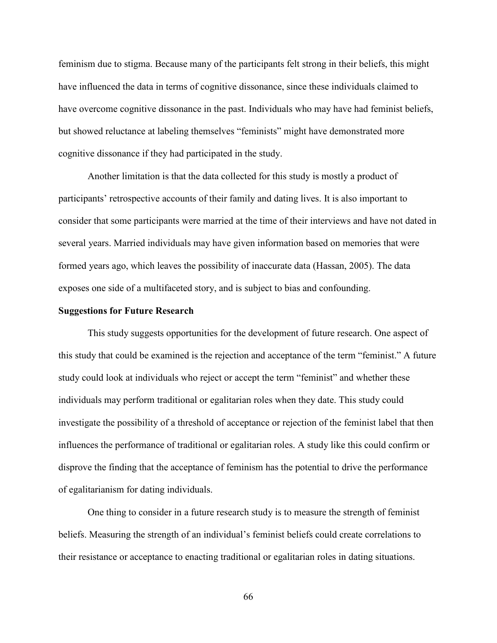feminism due to stigma. Because many of the participants felt strong in their beliefs, this might have influenced the data in terms of cognitive dissonance, since these individuals claimed to have overcome cognitive dissonance in the past. Individuals who may have had feminist beliefs, but showed reluctance at labeling themselves "feminists" might have demonstrated more cognitive dissonance if they had participated in the study.

Another limitation is that the data collected for this study is mostly a product of participants' retrospective accounts of their family and dating lives. It is also important to consider that some participants were married at the time of their interviews and have not dated in several years. Married individuals may have given information based on memories that were formed years ago, which leaves the possibility of inaccurate data (Hassan, 2005). The data exposes one side of a multifaceted story, and is subject to bias and confounding.

#### **Suggestions for Future Research**

This study suggests opportunities for the development of future research. One aspect of this study that could be examined is the rejection and acceptance of the term "feminist." A future study could look at individuals who reject or accept the term "feminist" and whether these individuals may perform traditional or egalitarian roles when they date. This study could investigate the possibility of a threshold of acceptance or rejection of the feminist label that then influences the performance of traditional or egalitarian roles. A study like this could confirm or disprove the finding that the acceptance of feminism has the potential to drive the performance of egalitarianism for dating individuals.

One thing to consider in a future research study is to measure the strength of feminist beliefs. Measuring the strength of an individual's feminist beliefs could create correlations to their resistance or acceptance to enacting traditional or egalitarian roles in dating situations.

66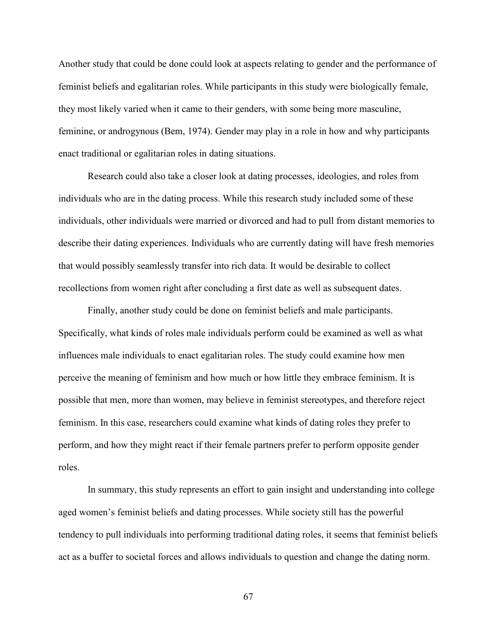Another study that could be done could look at aspects relating to gender and the performance of feminist beliefs and egalitarian roles. While participants in this study were biologically female, they most likely varied when it came to their genders, with some being more masculine, feminine, or androgynous (Bem, 1974). Gender may play in a role in how and why participants enact traditional or egalitarian roles in dating situations.

 Research could also take a closer look at dating processes, ideologies, and roles from individuals who are in the dating process. While this research study included some of these individuals, other individuals were married or divorced and had to pull from distant memories to describe their dating experiences. Individuals who are currently dating will have fresh memories that would possibly seamlessly transfer into rich data. It would be desirable to collect recollections from women right after concluding a first date as well as subsequent dates.

Finally, another study could be done on feminist beliefs and male participants. Specifically, what kinds of roles male individuals perform could be examined as well as what influences male individuals to enact egalitarian roles. The study could examine how men perceive the meaning of feminism and how much or how little they embrace feminism. It is possible that men, more than women, may believe in feminist stereotypes, and therefore reject feminism. In this case, researchers could examine what kinds of dating roles they prefer to perform, and how they might react if their female partners prefer to perform opposite gender roles.

In summary, this study represents an effort to gain insight and understanding into college aged women's feminist beliefs and dating processes. While society still has the powerful tendency to pull individuals into performing traditional dating roles, it seems that feminist beliefs act as a buffer to societal forces and allows individuals to question and change the dating norm.

67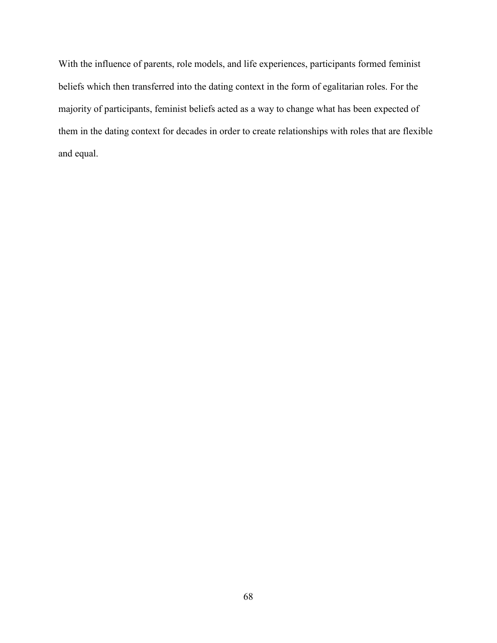With the influence of parents, role models, and life experiences, participants formed feminist beliefs which then transferred into the dating context in the form of egalitarian roles. For the majority of participants, feminist beliefs acted as a way to change what has been expected of them in the dating context for decades in order to create relationships with roles that are flexible and equal.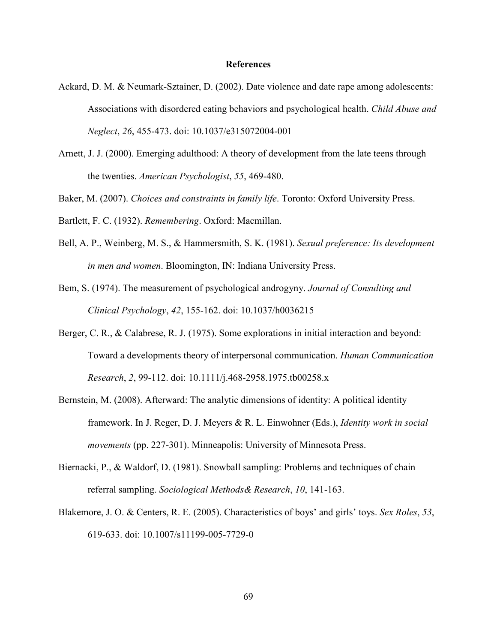#### **References**

- Ackard, D. M. & Neumark-Sztainer, D. (2002). Date violence and date rape among adolescents: Associations with disordered eating behaviors and psychological health. *Child Abuse and Neglect*, *26*, 455-473. doi: 10.1037/e315072004-001
- Arnett, J. J. (2000). Emerging adulthood: A theory of development from the late teens through the twenties. *American Psychologist*, *55*, 469-480.
- Baker, M. (2007). *Choices and constraints in family life*. Toronto: Oxford University Press.
- Bartlett, F. C. (1932). *Remembering*. Oxford: Macmillan.
- Bell, A. P., Weinberg, M. S., & Hammersmith, S. K. (1981). *Sexual preference: Its development in men and women*. Bloomington, IN: Indiana University Press.
- Bem, S. (1974). The measurement of psychological androgyny. *Journal of Consulting and Clinical Psychology*, *42*, 155-162. doi: 10.1037/h0036215
- Berger, C. R., & Calabrese, R. J. (1975). Some explorations in initial interaction and beyond: Toward a developments theory of interpersonal communication. *Human Communication Research*, *2*, 99-112. doi: 10.1111/j.468-2958.1975.tb00258.x
- Bernstein, M. (2008). Afterward: The analytic dimensions of identity: A political identity framework. In J. Reger, D. J. Meyers & R. L. Einwohner (Eds.), *Identity work in social movements* (pp. 227-301). Minneapolis: University of Minnesota Press.
- Biernacki, P., & Waldorf, D. (1981). Snowball sampling: Problems and techniques of chain referral sampling. *Sociological Methods& Research*, *10*, 141-163.
- Blakemore, J. O. & Centers, R. E. (2005). Characteristics of boys' and girls' toys. *Sex Roles*, *53*, 619-633. doi: 10.1007/s11199-005-7729-0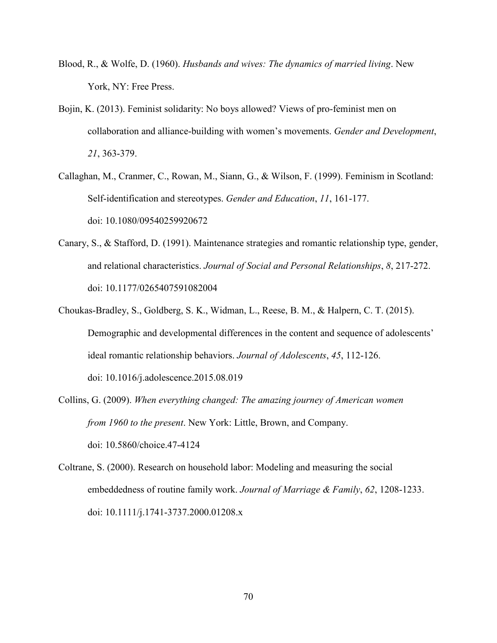- Blood, R., & Wolfe, D. (1960). *Husbands and wives: The dynamics of married living*. New York, NY: Free Press.
- Bojin, K. (2013). Feminist solidarity: No boys allowed? Views of pro-feminist men on collaboration and alliance-building with women's movements. *Gender and Development*, *21*, 363-379.
- Callaghan, M., Cranmer, C., Rowan, M., Siann, G., & Wilson, F. (1999). Feminism in Scotland: Self-identification and stereotypes. *Gender and Education*, *11*, 161-177. doi: 10.1080/09540259920672
- Canary, S., & Stafford, D. (1991). Maintenance strategies and romantic relationship type, gender, and relational characteristics. *Journal of Social and Personal Relationships*, *8*, 217-272. doi: 10.1177/0265407591082004
- Choukas-Bradley, S., Goldberg, S. K., Widman, L., Reese, B. M., & Halpern, C. T. (2015). Demographic and developmental differences in the content and sequence of adolescents' ideal romantic relationship behaviors. *Journal of Adolescents*, *45*, 112-126. doi: 10.1016/j.adolescence.2015.08.019
- Collins, G. (2009). *When everything changed: The amazing journey of American women from 1960 to the present*. New York: Little, Brown, and Company. doi: 10.5860/choice.47-4124
- Coltrane, S. (2000). Research on household labor: Modeling and measuring the social embeddedness of routine family work. *Journal of Marriage & Family*, *62*, 1208-1233. doi: 10.1111/j.1741-3737.2000.01208.x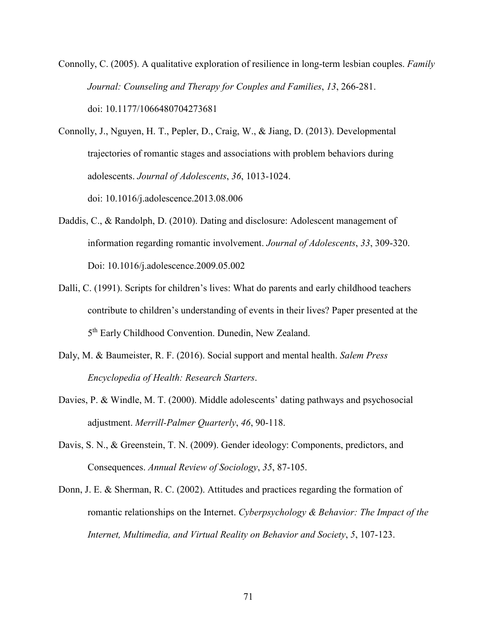Connolly, C. (2005). A qualitative exploration of resilience in long-term lesbian couples. *Family Journal: Counseling and Therapy for Couples and Families*, *13*, 266-281. doi: 10.1177/1066480704273681

Connolly, J., Nguyen, H. T., Pepler, D., Craig, W., & Jiang, D. (2013). Developmental trajectories of romantic stages and associations with problem behaviors during adolescents. *Journal of Adolescents*, *36*, 1013-1024. doi: 10.1016/j.adolescence.2013.08.006

- Daddis, C., & Randolph, D. (2010). Dating and disclosure: Adolescent management of information regarding romantic involvement. *Journal of Adolescents*, *33*, 309-320. Doi: 10.1016/j.adolescence.2009.05.002
- Dalli, C. (1991). Scripts for children's lives: What do parents and early childhood teachers contribute to children's understanding of events in their lives? Paper presented at the 5th Early Childhood Convention. Dunedin, New Zealand.
- Daly, M. & Baumeister, R. F. (2016). Social support and mental health. *Salem Press Encyclopedia of Health: Research Starters*.
- Davies, P. & Windle, M. T. (2000). Middle adolescents' dating pathways and psychosocial adjustment. *Merrill-Palmer Quarterly*, *46*, 90-118.
- Davis, S. N., & Greenstein, T. N. (2009). Gender ideology: Components, predictors, and Consequences. *Annual Review of Sociology*, *35*, 87-105.
- Donn, J. E. & Sherman, R. C. (2002). Attitudes and practices regarding the formation of romantic relationships on the Internet. *Cyberpsychology & Behavior: The Impact of the Internet, Multimedia, and Virtual Reality on Behavior and Society*, *5*, 107-123.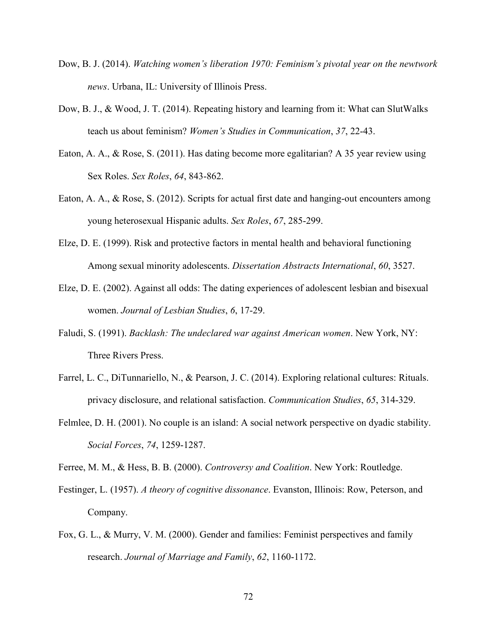- Dow, B. J. (2014). *Watching women's liberation 1970: Feminism's pivotal year on the newtwork news*. Urbana, IL: University of Illinois Press.
- Dow, B. J., & Wood, J. T. (2014). Repeating history and learning from it: What can SlutWalks teach us about feminism? *Women's Studies in Communication*, *37*, 22-43.
- Eaton, A. A., & Rose, S. (2011). Has dating become more egalitarian? A 35 year review using Sex Roles. *Sex Roles*, *64*, 843-862.
- Eaton, A. A., & Rose, S. (2012). Scripts for actual first date and hanging-out encounters among young heterosexual Hispanic adults. *Sex Roles*, *67*, 285-299.
- Elze, D. E. (1999). Risk and protective factors in mental health and behavioral functioning Among sexual minority adolescents. *Dissertation Abstracts International*, *60*, 3527.
- Elze, D. E. (2002). Against all odds: The dating experiences of adolescent lesbian and bisexual women. *Journal of Lesbian Studies*, *6*, 17-29.
- Faludi, S. (1991). *Backlash: The undeclared war against American women*. New York, NY: Three Rivers Press.
- Farrel, L. C., DiTunnariello, N., & Pearson, J. C. (2014). Exploring relational cultures: Rituals. privacy disclosure, and relational satisfaction. *Communication Studies*, *65*, 314-329.
- Felmlee, D. H. (2001). No couple is an island: A social network perspective on dyadic stability. *Social Forces*, *74*, 1259-1287.

Ferree, M. M., & Hess, B. B. (2000). *Controversy and Coalition*. New York: Routledge.

- Festinger, L. (1957). *A theory of cognitive dissonance*. Evanston, Illinois: Row, Peterson, and Company.
- Fox, G. L., & Murry, V. M. (2000). Gender and families: Feminist perspectives and family research. *Journal of Marriage and Family*, *62*, 1160-1172.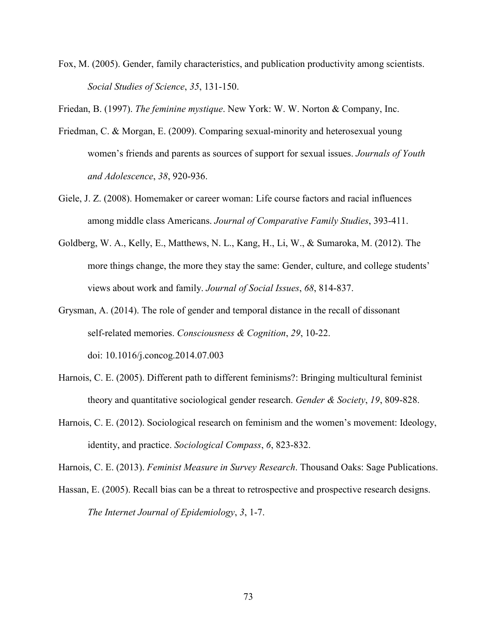Fox, M. (2005). Gender, family characteristics, and publication productivity among scientists. *Social Studies of Science*, *35*, 131-150.

Friedan, B. (1997). *The feminine mystique*. New York: W. W. Norton & Company, Inc.

- Friedman, C. & Morgan, E. (2009). Comparing sexual-minority and heterosexual young women's friends and parents as sources of support for sexual issues. *Journals of Youth and Adolescence*, *38*, 920-936.
- Giele, J. Z. (2008). Homemaker or career woman: Life course factors and racial influences among middle class Americans. *Journal of Comparative Family Studies*, 393-411.
- Goldberg, W. A., Kelly, E., Matthews, N. L., Kang, H., Li, W., & Sumaroka, M. (2012). The more things change, the more they stay the same: Gender, culture, and college students' views about work and family. *Journal of Social Issues*, *68*, 814-837.
- Grysman, A. (2014). The role of gender and temporal distance in the recall of dissonant self-related memories. *Consciousness & Cognition*, *29*, 10-22. doi: 10.1016/j.concog.2014.07.003
- Harnois, C. E. (2005). Different path to different feminisms?: Bringing multicultural feminist theory and quantitative sociological gender research. *Gender & Society*, *19*, 809-828.
- Harnois, C. E. (2012). Sociological research on feminism and the women's movement: Ideology, identity, and practice. *Sociological Compass*, *6*, 823-832.

Harnois, C. E. (2013). *Feminist Measure in Survey Research*. Thousand Oaks: Sage Publications.

Hassan, E. (2005). Recall bias can be a threat to retrospective and prospective research designs.  *The Internet Journal of Epidemiology*, *3*, 1-7.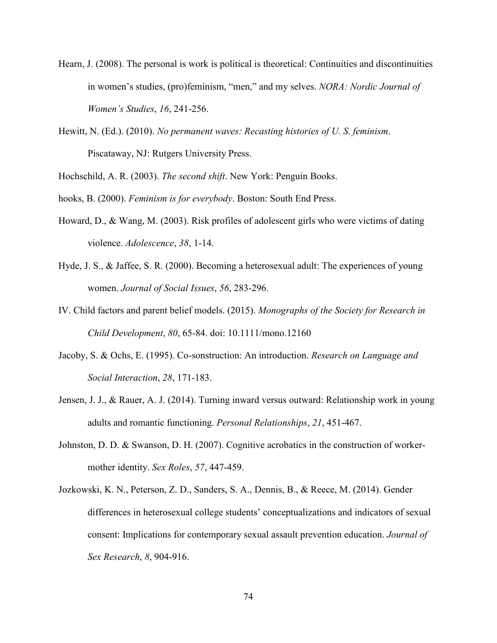- Hearn, J. (2008). The personal is work is political is theoretical: Continuities and discontinuities in women's studies, (pro)feminism, "men," and my selves. *NORA: Nordic Journal of Women's Studies*, *16*, 241-256.
- Hewitt, N. (Ed.). (2010). *No permanent waves: Recasting histories of U. S. feminism*. Piscataway, NJ: Rutgers University Press.

Hochschild, A. R. (2003). *The second shift*. New York: Penguin Books.

- hooks, B. (2000). *Feminism is for everybody*. Boston: South End Press.
- Howard, D., & Wang, M. (2003). Risk profiles of adolescent girls who were victims of dating violence. *Adolescence*, *38*, 1-14.
- Hyde, J. S., & Jaffee, S. R. (2000). Becoming a heterosexual adult: The experiences of young women. *Journal of Social Issues*, *56*, 283-296.
- IV. Child factors and parent belief models. (2015). *Monographs of the Society for Research in Child Development*, *80*, 65-84. doi: 10.1111/mono.12160
- Jacoby, S. & Ochs, E. (1995). Co-sonstruction: An introduction. *Research on Language and Social Interaction*, *28*, 171-183.
- Jensen, J. J., & Rauer, A. J. (2014). Turning inward versus outward: Relationship work in young adults and romantic functioning. *Personal Relationships*, *21*, 451-467.
- Johnston, D. D. & Swanson, D. H. (2007). Cognitive acrobatics in the construction of worker mother identity. *Sex Roles*, *57*, 447-459.
- Jozkowski, K. N., Peterson, Z. D., Sanders, S. A., Dennis, B., & Reece, M. (2014). Gender differences in heterosexual college students' conceptualizations and indicators of sexual consent: Implications for contemporary sexual assault prevention education. *Journal of Sex Research*, *8*, 904-916.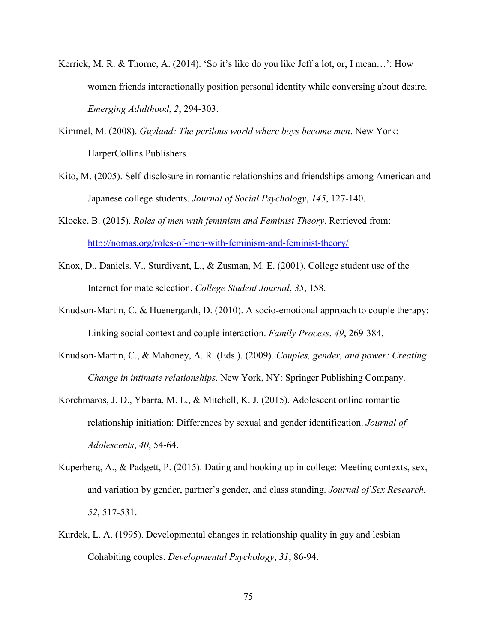- Kerrick, M. R. & Thorne, A. (2014). 'So it's like do you like Jeff a lot, or, I mean…': How women friends interactionally position personal identity while conversing about desire. *Emerging Adulthood*, *2*, 294-303.
- Kimmel, M. (2008). *Guyland: The perilous world where boys become men*. New York: HarperCollins Publishers.
- Kito, M. (2005). Self-disclosure in romantic relationships and friendships among American and Japanese college students. *Journal of Social Psychology*, *145*, 127-140.
- Klocke, B. (2015). *Roles of men with feminism and Feminist Theory*. Retrieved from: http://nomas.org/roles-of-men-with-feminism-and-feminist-theory/
- Knox, D., Daniels. V., Sturdivant, L., & Zusman, M. E. (2001). College student use of the Internet for mate selection. *College Student Journal*, *35*, 158.
- Knudson-Martin, C. & Huenergardt, D. (2010). A socio-emotional approach to couple therapy: Linking social context and couple interaction. *Family Process*, *49*, 269-384.
- Knudson-Martin, C., & Mahoney, A. R. (Eds.). (2009). *Couples, gender, and power: Creating Change in intimate relationships*. New York, NY: Springer Publishing Company.
- Korchmaros, J. D., Ybarra, M. L., & Mitchell, K. J. (2015). Adolescent online romantic relationship initiation: Differences by sexual and gender identification. *Journal of Adolescents*, *40*, 54-64.
- Kuperberg, A., & Padgett, P. (2015). Dating and hooking up in college: Meeting contexts, sex, and variation by gender, partner's gender, and class standing. *Journal of Sex Research*,  *52*, 517-531.
- Kurdek, L. A. (1995). Developmental changes in relationship quality in gay and lesbian Cohabiting couples. *Developmental Psychology*, *31*, 86-94.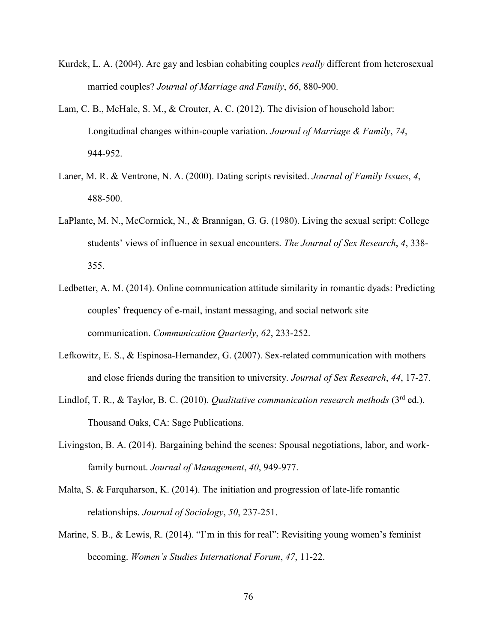- Kurdek, L. A. (2004). Are gay and lesbian cohabiting couples *really* different from heterosexual married couples? *Journal of Marriage and Family*, *66*, 880-900.
- Lam, C. B., McHale, S. M., & Crouter, A. C. (2012). The division of household labor: Longitudinal changes within-couple variation. *Journal of Marriage & Family*, *74*, 944-952.
- Laner, M. R. & Ventrone, N. A. (2000). Dating scripts revisited. *Journal of Family Issues*, *4*, 488-500.
- LaPlante, M. N., McCormick, N., & Brannigan, G. G. (1980). Living the sexual script: College students' views of influence in sexual encounters. *The Journal of Sex Research*, *4*, 338- 355.
- Ledbetter, A. M. (2014). Online communication attitude similarity in romantic dyads: Predicting couples' frequency of e-mail, instant messaging, and social network site communication. *Communication Quarterly*, *62*, 233-252.
- Lefkowitz, E. S., & Espinosa-Hernandez, G. (2007). Sex-related communication with mothers and close friends during the transition to university. *Journal of Sex Research*, *44*, 17-27.
- Lindlof, T. R., & Taylor, B. C. (2010). *Qualitative communication research methods* (3<sup>rd</sup> ed.). Thousand Oaks, CA: Sage Publications.
- Livingston, B. A. (2014). Bargaining behind the scenes: Spousal negotiations, labor, and work family burnout. *Journal of Management*, *40*, 949-977.
- Malta, S. & Farquharson, K. (2014). The initiation and progression of late-life romantic relationships. *Journal of Sociology*, *50*, 237-251.
- Marine, S. B., & Lewis, R. (2014). "I'm in this for real": Revisiting young women's feminist becoming. *Women's Studies International Forum*, *47*, 11-22.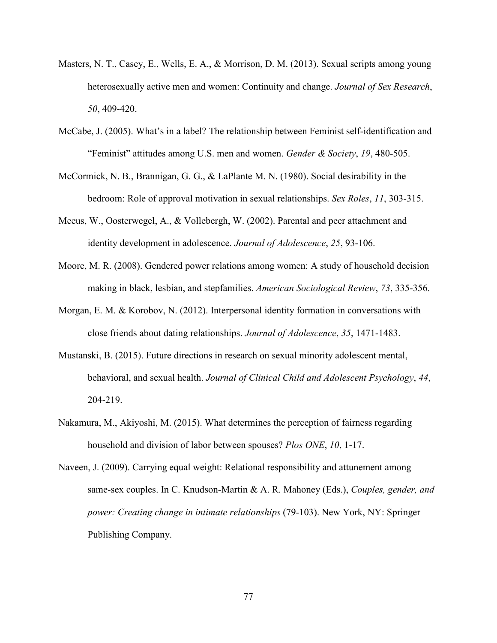- Masters, N. T., Casey, E., Wells, E. A., & Morrison, D. M. (2013). Sexual scripts among young heterosexually active men and women: Continuity and change. *Journal of Sex Research*, *50*, 409-420.
- McCabe, J. (2005). What's in a label? The relationship between Feminist self-identification and "Feminist" attitudes among U.S. men and women. *Gender & Society*, *19*, 480-505.
- McCormick, N. B., Brannigan, G. G., & LaPlante M. N. (1980). Social desirability in the bedroom: Role of approval motivation in sexual relationships. *Sex Roles*, *11*, 303-315.
- Meeus, W., Oosterwegel, A., & Vollebergh, W. (2002). Parental and peer attachment and identity development in adolescence. *Journal of Adolescence*, *25*, 93-106.
- Moore, M. R. (2008). Gendered power relations among women: A study of household decision making in black, lesbian, and stepfamilies. *American Sociological Review*, *73*, 335-356.
- Morgan, E. M. & Korobov, N. (2012). Interpersonal identity formation in conversations with close friends about dating relationships. *Journal of Adolescence*, *35*, 1471-1483.
- Mustanski, B. (2015). Future directions in research on sexual minority adolescent mental, behavioral, and sexual health. *Journal of Clinical Child and Adolescent Psychology*, *44*, 204-219.
- Nakamura, M., Akiyoshi, M. (2015). What determines the perception of fairness regarding household and division of labor between spouses? *Plos ONE*, *10*, 1-17.
- Naveen, J. (2009). Carrying equal weight: Relational responsibility and attunement among same-sex couples. In C. Knudson-Martin & A. R. Mahoney (Eds.), *Couples, gender, and power: Creating change in intimate relationships* (79-103). New York, NY: Springer Publishing Company.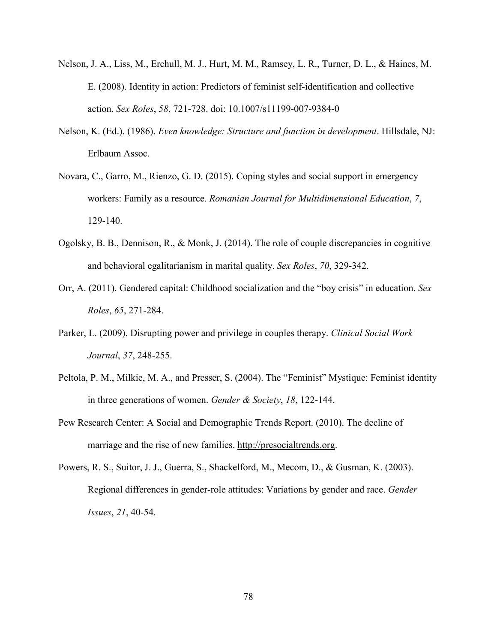- Nelson, J. A., Liss, M., Erchull, M. J., Hurt, M. M., Ramsey, L. R., Turner, D. L., & Haines, M. E. (2008). Identity in action: Predictors of feminist self-identification and collective action. *Sex Roles*, *58*, 721-728. doi: 10.1007/s11199-007-9384-0
- Nelson, K. (Ed.). (1986). *Even knowledge: Structure and function in development*. Hillsdale, NJ: Erlbaum Assoc.
- Novara, C., Garro, M., Rienzo, G. D. (2015). Coping styles and social support in emergency workers: Family as a resource. *Romanian Journal for Multidimensional Education*, *7*, 129-140.
- Ogolsky, B. B., Dennison, R., & Monk, J. (2014). The role of couple discrepancies in cognitive and behavioral egalitarianism in marital quality. *Sex Roles*, *70*, 329-342.
- Orr, A. (2011). Gendered capital: Childhood socialization and the "boy crisis" in education. *Sex Roles*, *65*, 271-284.
- Parker, L. (2009). Disrupting power and privilege in couples therapy. *Clinical Social Work Journal*, *37*, 248-255.
- Peltola, P. M., Milkie, M. A., and Presser, S. (2004). The "Feminist" Mystique: Feminist identity in three generations of women. *Gender & Society*, *18*, 122-144.
- Pew Research Center: A Social and Demographic Trends Report. (2010). The decline of marriage and the rise of new families. http://presocialtrends.org.
- Powers, R. S., Suitor, J. J., Guerra, S., Shackelford, M., Mecom, D., & Gusman, K. (2003). Regional differences in gender-role attitudes: Variations by gender and race. *Gender Issues*, *21*, 40-54.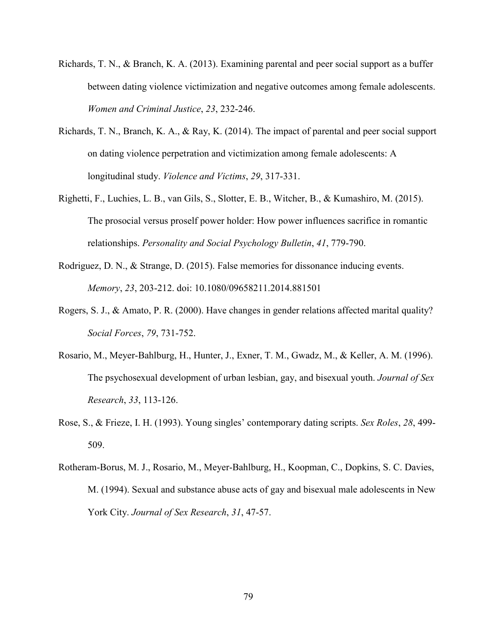- Richards, T. N., & Branch, K. A. (2013). Examining parental and peer social support as a buffer between dating violence victimization and negative outcomes among female adolescents. *Women and Criminal Justice*, *23*, 232-246.
- Richards, T. N., Branch, K. A., & Ray, K. (2014). The impact of parental and peer social support on dating violence perpetration and victimization among female adolescents: A longitudinal study. *Violence and Victims*, *29*, 317-331.
- Righetti, F., Luchies, L. B., van Gils, S., Slotter, E. B., Witcher, B., & Kumashiro, M. (2015). The prosocial versus proself power holder: How power influences sacrifice in romantic relationships. *Personality and Social Psychology Bulletin*, *41*, 779-790.
- Rodriguez, D. N., & Strange, D. (2015). False memories for dissonance inducing events.  *Memory*, *23*, 203-212. doi: 10.1080/09658211.2014.881501
- Rogers, S. J., & Amato, P. R. (2000). Have changes in gender relations affected marital quality? *Social Forces*, *79*, 731-752.
- Rosario, M., Meyer-Bahlburg, H., Hunter, J., Exner, T. M., Gwadz, M., & Keller, A. M. (1996). The psychosexual development of urban lesbian, gay, and bisexual youth. *Journal of Sex Research*, *33*, 113-126.
- Rose, S., & Frieze, I. H. (1993). Young singles' contemporary dating scripts. *Sex Roles*, *28*, 499- 509.
- Rotheram-Borus, M. J., Rosario, M., Meyer-Bahlburg, H., Koopman, C., Dopkins, S. C. Davies, M. (1994). Sexual and substance abuse acts of gay and bisexual male adolescents in New York City. *Journal of Sex Research*, *31*, 47-57.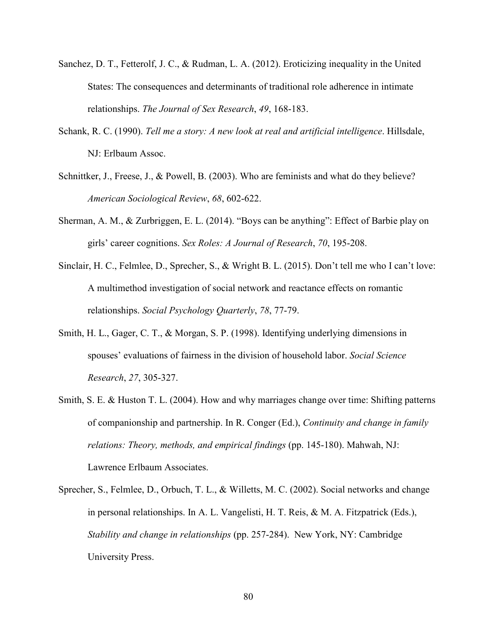- Sanchez, D. T., Fetterolf, J. C., & Rudman, L. A. (2012). Eroticizing inequality in the United States: The consequences and determinants of traditional role adherence in intimate relationships. *The Journal of Sex Research*, *49*, 168-183.
- Schank, R. C. (1990). *Tell me a story: A new look at real and artificial intelligence*. Hillsdale, NJ: Erlbaum Assoc.
- Schnittker, J., Freese, J., & Powell, B. (2003). Who are feminists and what do they believe? *American Sociological Review*, *68*, 602-622.
- Sherman, A. M., & Zurbriggen, E. L. (2014). "Boys can be anything": Effect of Barbie play on girls' career cognitions. *Sex Roles: A Journal of Research*, *70*, 195-208.
- Sinclair, H. C., Felmlee, D., Sprecher, S., & Wright B. L. (2015). Don't tell me who I can't love: A multimethod investigation of social network and reactance effects on romantic relationships. *Social Psychology Quarterly*, *78*, 77-79.
- Smith, H. L., Gager, C. T., & Morgan, S. P. (1998). Identifying underlying dimensions in spouses' evaluations of fairness in the division of household labor. *Social Science Research*, *27*, 305-327.
- Smith, S. E. & Huston T. L. (2004). How and why marriages change over time: Shifting patterns of companionship and partnership. In R. Conger (Ed.), *Continuity and change in family relations: Theory, methods, and empirical findings* (pp. 145-180). Mahwah, NJ: Lawrence Erlbaum Associates.
- Sprecher, S., Felmlee, D., Orbuch, T. L., & Willetts, M. C. (2002). Social networks and change in personal relationships. In A. L. Vangelisti, H. T. Reis, & M. A. Fitzpatrick (Eds.),  *Stability and change in relationships* (pp. 257-284). New York, NY: Cambridge University Press.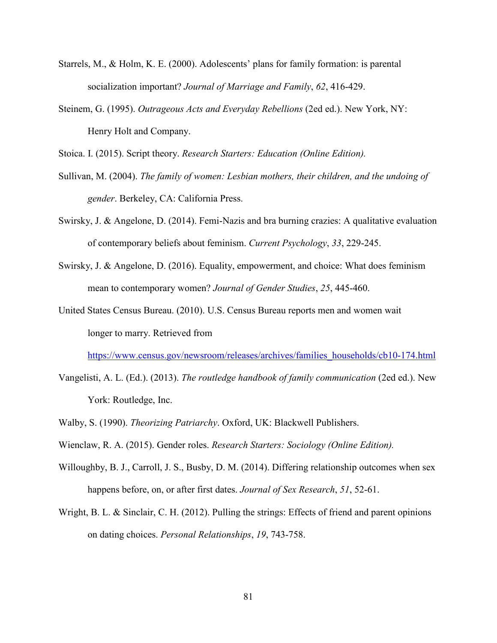- Starrels, M., & Holm, K. E. (2000). Adolescents' plans for family formation: is parental socialization important? *Journal of Marriage and Family*, *62*, 416-429.
- Steinem, G. (1995). *Outrageous Acts and Everyday Rebellions* (2ed ed.). New York, NY: Henry Holt and Company.

Stoica. I. (2015). Script theory. *Research Starters: Education (Online Edition).* 

- Sullivan, M. (2004). *The family of women: Lesbian mothers, their children, and the undoing of gender*. Berkeley, CA: California Press.
- Swirsky, J. & Angelone, D. (2014). Femi-Nazis and bra burning crazies: A qualitative evaluation of contemporary beliefs about feminism. *Current Psychology*, *33*, 229-245.
- Swirsky, J. & Angelone, D. (2016). Equality, empowerment, and choice: What does feminism mean to contemporary women? *Journal of Gender Studies*, *25*, 445-460.
- United States Census Bureau. (2010). U.S. Census Bureau reports men and women wait longer to marry. Retrieved from

https://www.census.gov/newsroom/releases/archives/families\_households/cb10-174.html

- Vangelisti, A. L. (Ed.). (2013). *The routledge handbook of family communication* (2ed ed.). New York: Routledge, Inc.
- Walby, S. (1990). *Theorizing Patriarchy*. Oxford, UK: Blackwell Publishers.
- Wienclaw, R. A. (2015). Gender roles. *Research Starters: Sociology (Online Edition).*
- Willoughby, B. J., Carroll, J. S., Busby, D. M. (2014). Differing relationship outcomes when sex happens before, on, or after first dates. *Journal of Sex Research*, *51*, 52-61.
- Wright, B. L. & Sinclair, C. H. (2012). Pulling the strings: Effects of friend and parent opinions on dating choices. *Personal Relationships*, *19*, 743-758.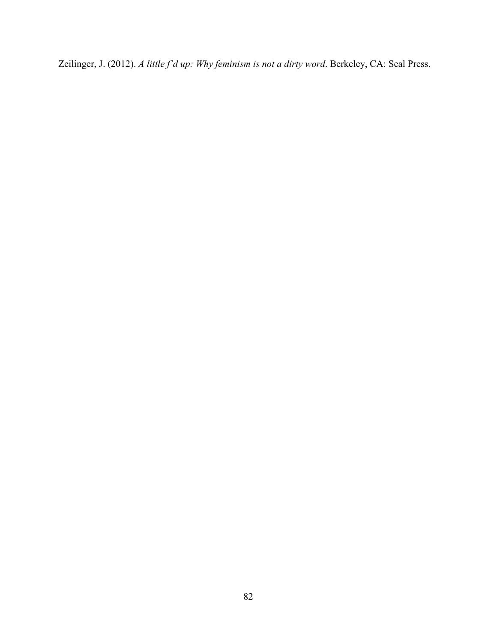Zeilinger, J. (2012). *A little f'd up: Why feminism is not a dirty word*. Berkeley, CA: Seal Press.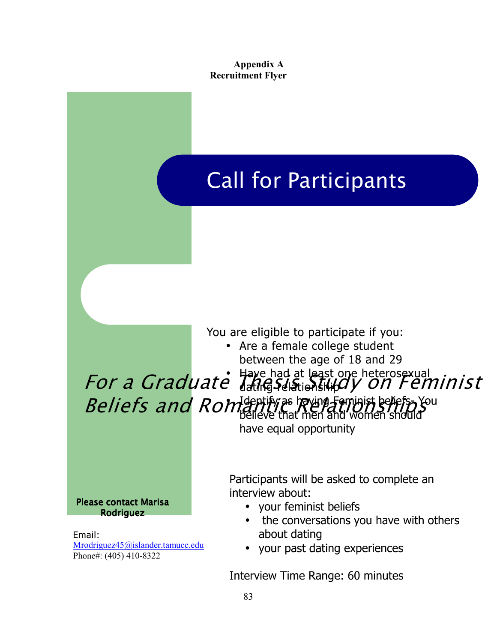### **Appendix A Recruitment Flyer**

# Call for Participants (Call 1996) Call for Participants

You are eligible to participate if you:

• Are a female college student between the age of 18 and 29

# • Have had at least one heterosexual For a Graduate The lays Study on Feminist • Identify as having Feminist beliefs- You  $Beliefs$  and  $Romf$  and  $m$  and  $m$  and  $m$  and  $m$  and  $m$  and  $m$  and  $m$

have equal opportunity

Please contact Marisa Rodriguez

Email: Mrodriguez45@islander.tamucc.edu Phone#: (405) 410-8322

Participants will be asked to complete an interview about:

- your feminist beliefs
- the conversations you have with others about dating
- your past dating experiences

Interview Time Range: 60 minutes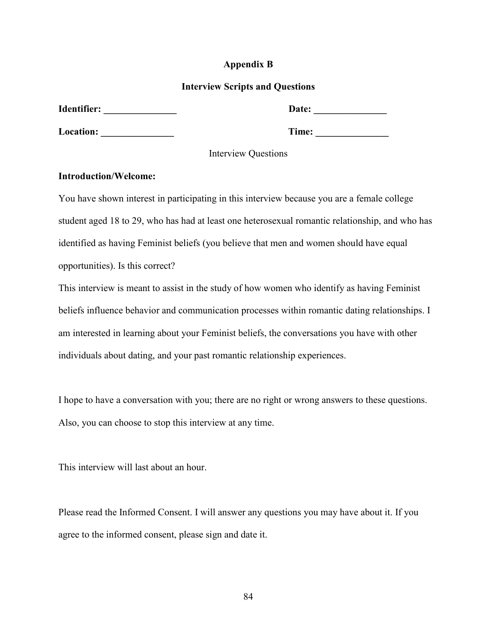### **Appendix B**

#### **Interview Scripts and Questions**

| Identifier: | Date: |
|-------------|-------|
| Location:   | Time: |

Interview Questions

#### **Introduction/Welcome:**

You have shown interest in participating in this interview because you are a female college student aged 18 to 29, who has had at least one heterosexual romantic relationship, and who has identified as having Feminist beliefs (you believe that men and women should have equal opportunities). Is this correct?

This interview is meant to assist in the study of how women who identify as having Feminist beliefs influence behavior and communication processes within romantic dating relationships. I am interested in learning about your Feminist beliefs, the conversations you have with other individuals about dating, and your past romantic relationship experiences.

I hope to have a conversation with you; there are no right or wrong answers to these questions. Also, you can choose to stop this interview at any time.

This interview will last about an hour.

Please read the Informed Consent. I will answer any questions you may have about it. If you agree to the informed consent, please sign and date it.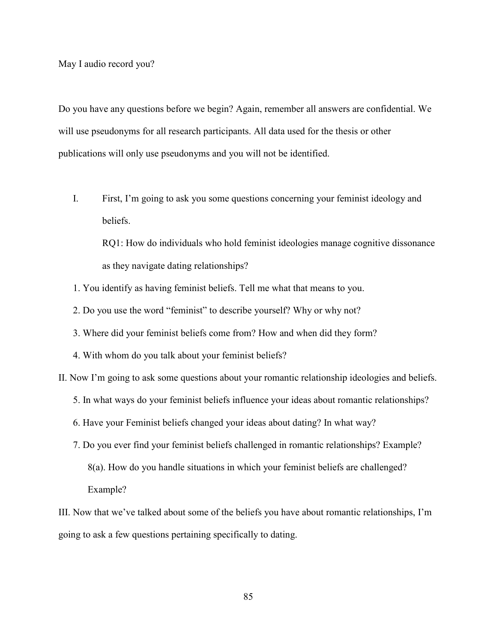May I audio record you?

Do you have any questions before we begin? Again, remember all answers are confidential. We will use pseudonyms for all research participants. All data used for the thesis or other publications will only use pseudonyms and you will not be identified.

I. First, I'm going to ask you some questions concerning your feminist ideology and beliefs.

RQ1: How do individuals who hold feminist ideologies manage cognitive dissonance as they navigate dating relationships?

- 1. You identify as having feminist beliefs. Tell me what that means to you.
- 2. Do you use the word "feminist" to describe yourself? Why or why not?
- 3. Where did your feminist beliefs come from? How and when did they form?
- 4. With whom do you talk about your feminist beliefs?

II. Now I'm going to ask some questions about your romantic relationship ideologies and beliefs.

5. In what ways do your feminist beliefs influence your ideas about romantic relationships?

- 6. Have your Feminist beliefs changed your ideas about dating? In what way?
- 7. Do you ever find your feminist beliefs challenged in romantic relationships? Example? 8(a). How do you handle situations in which your feminist beliefs are challenged? Example?

III. Now that we've talked about some of the beliefs you have about romantic relationships, I'm going to ask a few questions pertaining specifically to dating.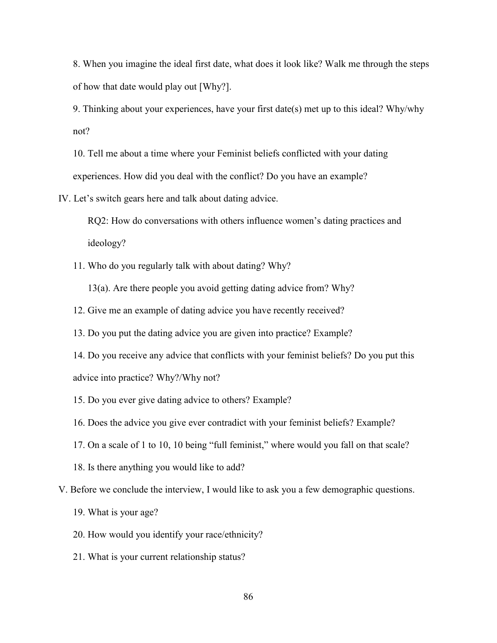8. When you imagine the ideal first date, what does it look like? Walk me through the steps of how that date would play out [Why?].

9. Thinking about your experiences, have your first date(s) met up to this ideal? Why/why not?

10. Tell me about a time where your Feminist beliefs conflicted with your dating experiences. How did you deal with the conflict? Do you have an example?

IV. Let's switch gears here and talk about dating advice.

RQ2: How do conversations with others influence women's dating practices and ideology?

11. Who do you regularly talk with about dating? Why?

13(a). Are there people you avoid getting dating advice from? Why?

12. Give me an example of dating advice you have recently received?

13. Do you put the dating advice you are given into practice? Example?

- 14. Do you receive any advice that conflicts with your feminist beliefs? Do you put this advice into practice? Why?/Why not?
- 15. Do you ever give dating advice to others? Example?
- 16. Does the advice you give ever contradict with your feminist beliefs? Example?
- 17. On a scale of 1 to 10, 10 being "full feminist," where would you fall on that scale?
- 18. Is there anything you would like to add?
- V. Before we conclude the interview, I would like to ask you a few demographic questions.
	- 19. What is your age?
	- 20. How would you identify your race/ethnicity?
	- 21. What is your current relationship status?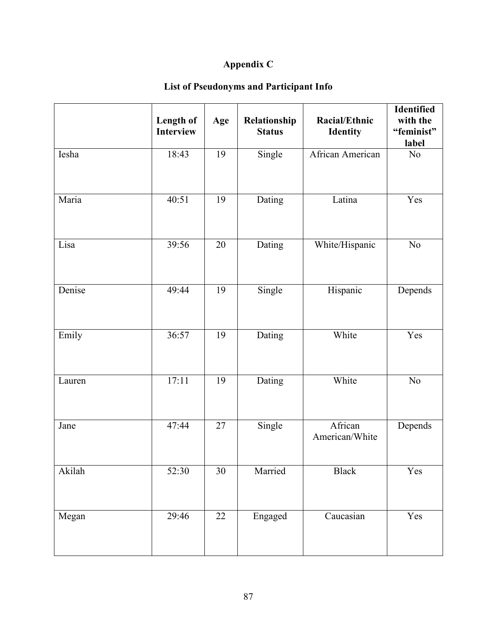## **Appendix C**

## **List of Pseudonyms and Participant Info**

|        | Length of<br><b>Interview</b> | Age | Relationship<br><b>Status</b> | Racial/Ethnic<br><b>Identity</b> | Identified<br>with the<br>"feminist"<br>label |
|--------|-------------------------------|-----|-------------------------------|----------------------------------|-----------------------------------------------|
| Iesha  | 18:43                         | 19  | Single                        | African American                 | No                                            |
| Maria  | 40:51                         | 19  | Dating                        | Latina                           | Yes                                           |
| Lisa   | 39:56                         | 20  | Dating                        | White/Hispanic                   | No                                            |
| Denise | 49:44                         | 19  | Single                        | Hispanic                         | Depends                                       |
| Emily  | 36:57                         | 19  | Dating                        | White                            | Yes                                           |
| Lauren | 17:11                         | 19  | Dating                        | White                            | No                                            |
| Jane   | 47:44                         | 27  | Single                        | African<br>American/White        | Depends                                       |
| Akilah | 52:30                         | 30  | Married                       | <b>Black</b>                     | Yes                                           |
| Megan  | 29:46                         | 22  | Engaged                       | Caucasian                        | Yes                                           |